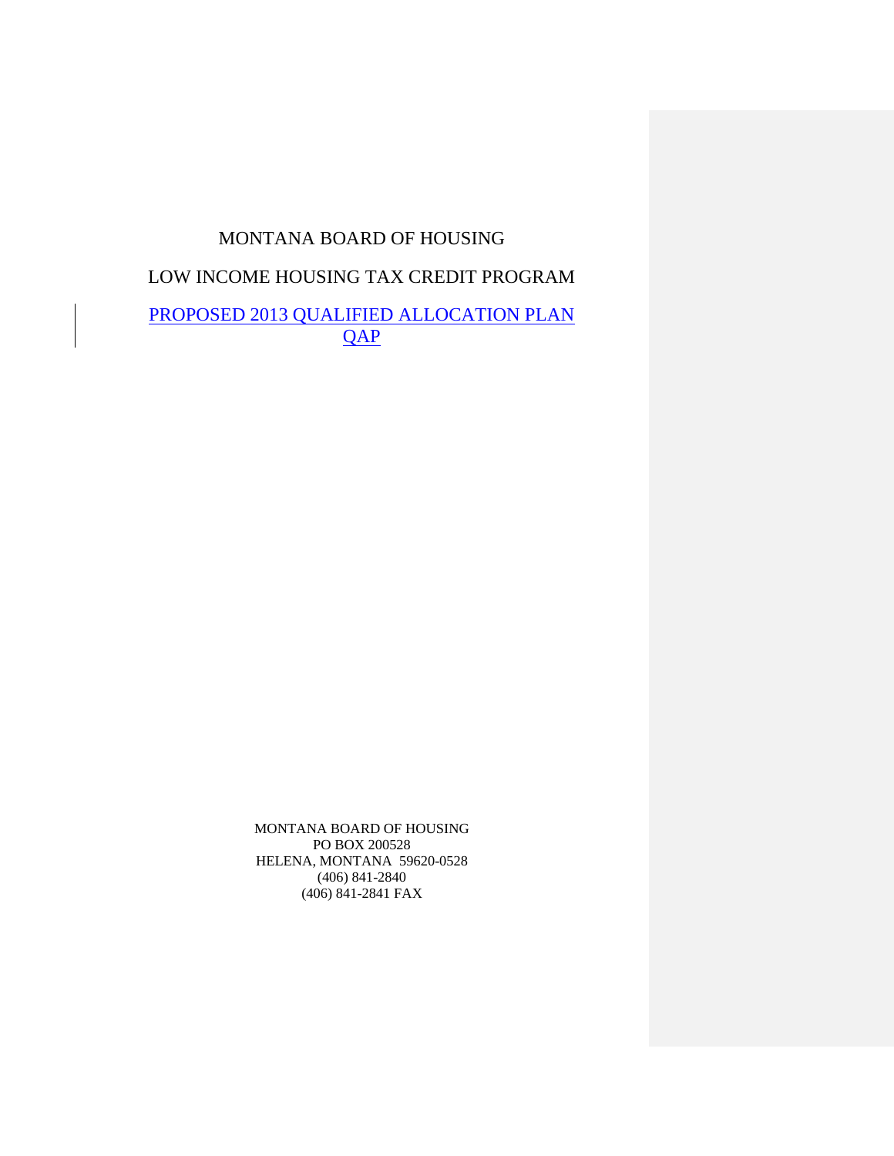# MONTANA BOARD OF HOUSING

# LOW INCOME HOUSING TAX CREDIT PROGRAM

# PROPOSED 2013 QUALIFIED ALLOCATION PLAN QAP

MONTANA BOARD OF HOUSING PO BOX 200528 HELENA, MONTANA 59620-0528 (406) 841-2840 (406) 841-2841 FAX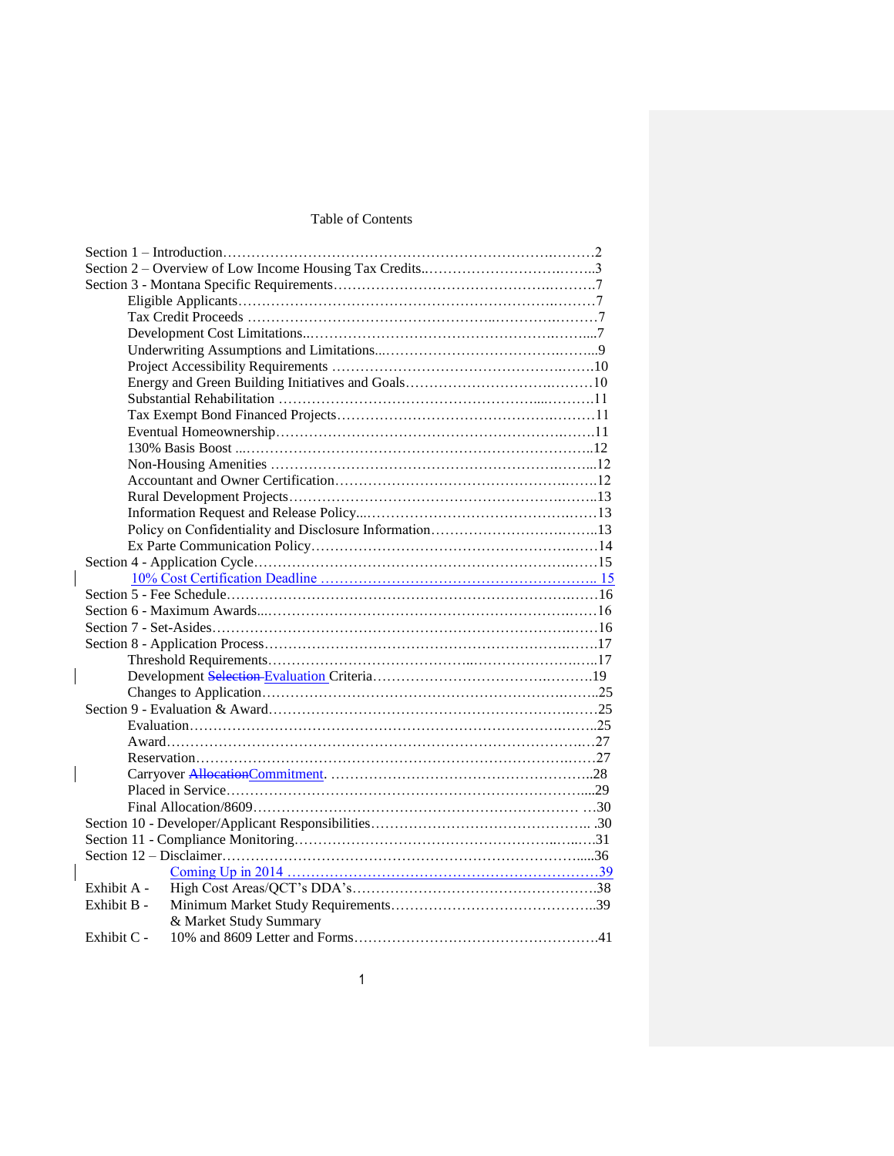# Table of Contents

| Exhibit A -            |  |
|------------------------|--|
| Exhibit B -            |  |
| & Market Study Summary |  |
| Exhibit C -            |  |

 $\overline{\phantom{a}}$ 

 $\begin{array}{c} \rule{0pt}{2ex} \rule{0pt}{2ex} \rule{0pt}{2ex} \rule{0pt}{2ex} \rule{0pt}{2ex} \rule{0pt}{2ex} \rule{0pt}{2ex} \rule{0pt}{2ex} \rule{0pt}{2ex} \rule{0pt}{2ex} \rule{0pt}{2ex} \rule{0pt}{2ex} \rule{0pt}{2ex} \rule{0pt}{2ex} \rule{0pt}{2ex} \rule{0pt}{2ex} \rule{0pt}{2ex} \rule{0pt}{2ex} \rule{0pt}{2ex} \rule{0pt}{2ex} \rule{0pt}{2ex} \rule{0pt}{2ex} \rule{0pt}{2ex} \rule{0pt}{$ 

 $\overline{\phantom{a}}$ 

 $\overline{\phantom{a}}$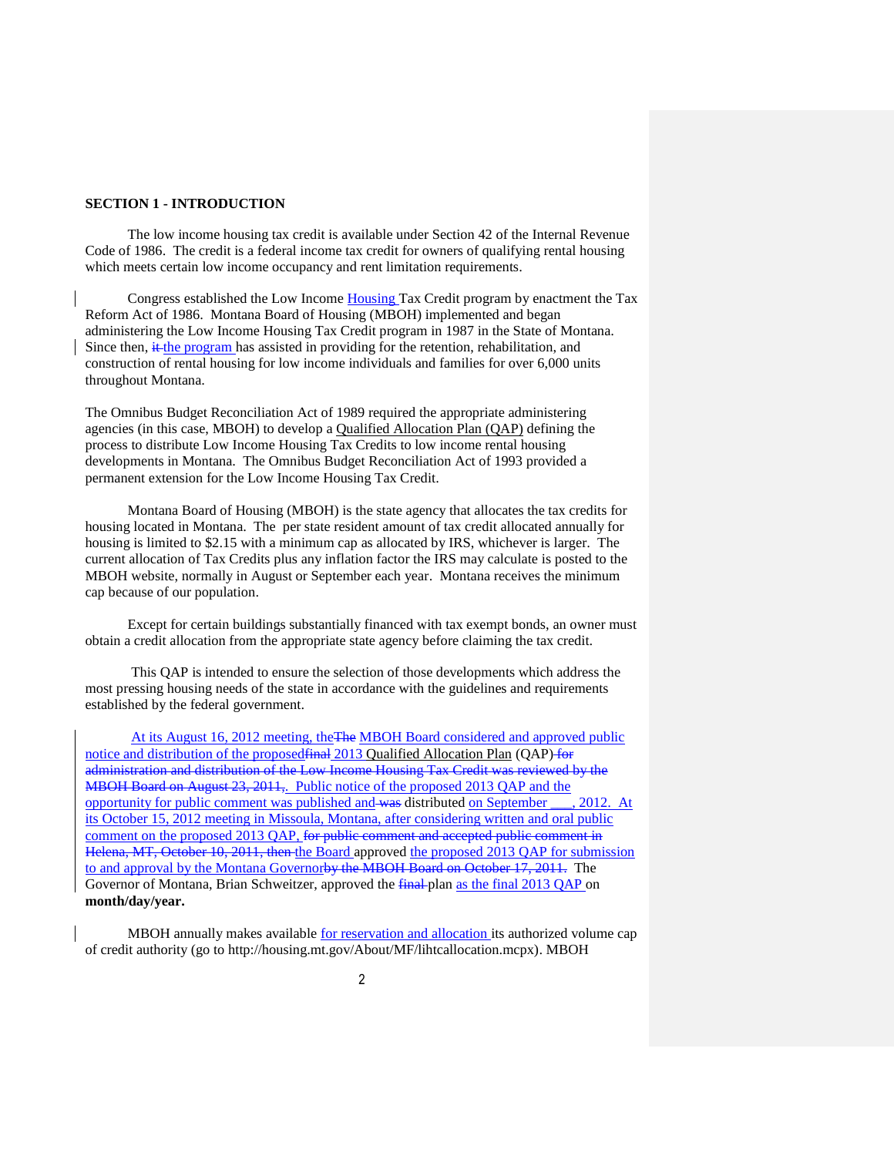#### **SECTION 1 - INTRODUCTION**

The low income housing tax credit is available under Section 42 of the Internal Revenue Code of 1986. The credit is a federal income tax credit for owners of qualifying rental housing which meets certain low income occupancy and rent limitation requirements.

Congress established the Low Income Housing Tax Credit program by enactment the Tax Reform Act of 1986. Montana Board of Housing (MBOH) implemented and began administering the Low Income Housing Tax Credit program in 1987 in the State of Montana. Since then,  $\frac{it}{t}$  the program has assisted in providing for the retention, rehabilitation, and construction of rental housing for low income individuals and families for over 6,000 units throughout Montana.

The Omnibus Budget Reconciliation Act of 1989 required the appropriate administering agencies (in this case, MBOH) to develop a Qualified Allocation Plan (QAP) defining the process to distribute Low Income Housing Tax Credits to low income rental housing developments in Montana. The Omnibus Budget Reconciliation Act of 1993 provided a permanent extension for the Low Income Housing Tax Credit.

Montana Board of Housing (MBOH) is the state agency that allocates the tax credits for housing located in Montana. The per state resident amount of tax credit allocated annually for housing is limited to \$2.15 with a minimum cap as allocated by IRS, whichever is larger. The current allocation of Tax Credits plus any inflation factor the IRS may calculate is posted to the MBOH website, normally in August or September each year. Montana receives the minimum cap because of our population.

Except for certain buildings substantially financed with tax exempt bonds, an owner must obtain a credit allocation from the appropriate state agency before claiming the tax credit.

This QAP is intended to ensure the selection of those developments which address the most pressing housing needs of the state in accordance with the guidelines and requirements established by the federal government.

At its August 16, 2012 meeting, the The MBOH Board considered and approved public notice and distribution of the proposed final 2013 Qualified Allocation Plan (QAP) for administration and distribution of the Low Income Housing Tax Credit was reviewed by the MBOH Board on August 23, 2011, Public notice of the proposed 2013 QAP and the opportunity for public comment was published and was distributed on September \_\_\_, 2012. At its October 15, 2012 meeting in Missoula, Montana, after considering written and oral public comment on the proposed 2013 QAP, for public comment and accepted public comment in Helena, MT, October 10, 2011, then the Board approved the proposed 2013 QAP for submission to and approval by the Montana Governorby the MBOH Board on October 17, 2011. The Governor of Montana, Brian Schweitzer, approved the final plan as the final 2013 QAP on **month/day/year.**

MBOH annually makes available for reservation and allocation its authorized volume cap of credit authority (go to http://housing.mt.gov/About/MF/lihtcallocation.mcpx). MBOH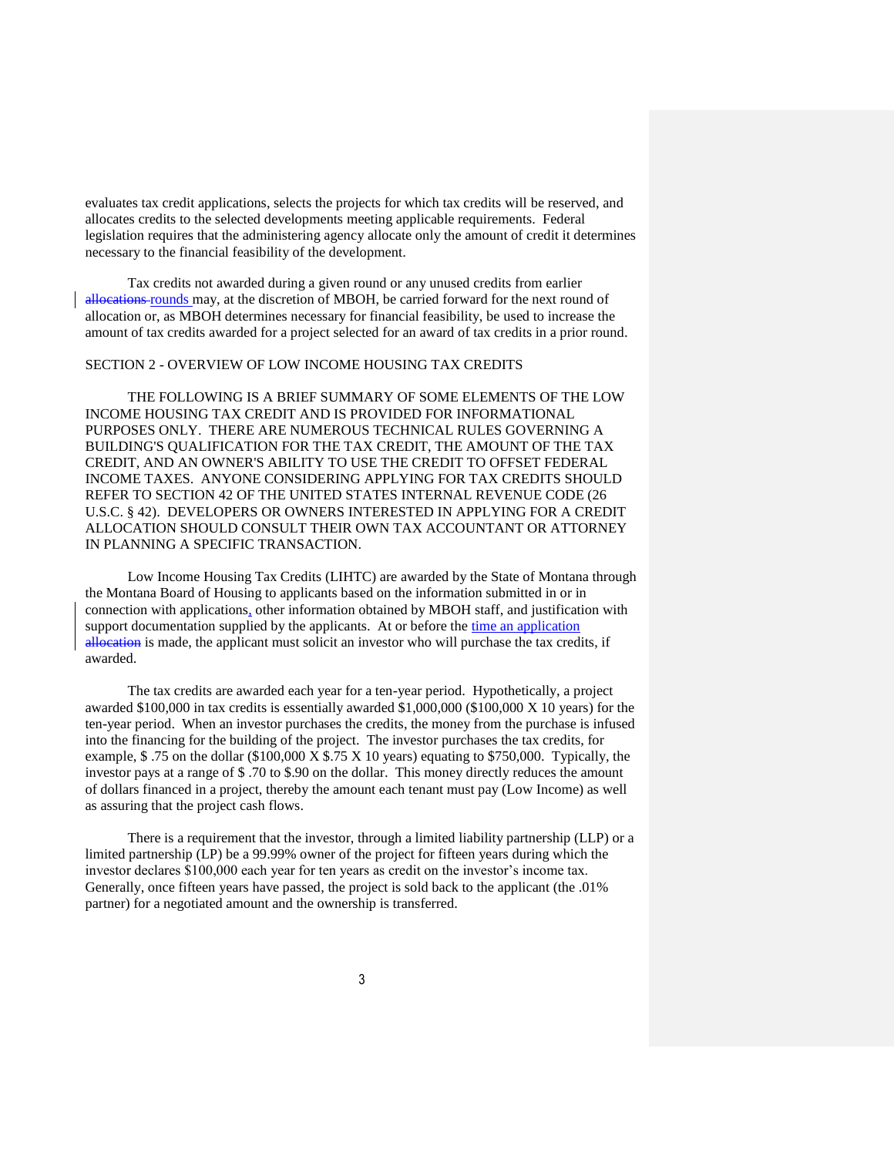evaluates tax credit applications, selects the projects for which tax credits will be reserved, and allocates credits to the selected developments meeting applicable requirements. Federal legislation requires that the administering agency allocate only the amount of credit it determines necessary to the financial feasibility of the development.

Tax credits not awarded during a given round or any unused credits from earlier allocations rounds may, at the discretion of MBOH, be carried forward for the next round of allocation or, as MBOH determines necessary for financial feasibility, be used to increase the amount of tax credits awarded for a project selected for an award of tax credits in a prior round.

#### SECTION 2 - OVERVIEW OF LOW INCOME HOUSING TAX CREDITS

THE FOLLOWING IS A BRIEF SUMMARY OF SOME ELEMENTS OF THE LOW INCOME HOUSING TAX CREDIT AND IS PROVIDED FOR INFORMATIONAL PURPOSES ONLY. THERE ARE NUMEROUS TECHNICAL RULES GOVERNING A BUILDING'S QUALIFICATION FOR THE TAX CREDIT, THE AMOUNT OF THE TAX CREDIT, AND AN OWNER'S ABILITY TO USE THE CREDIT TO OFFSET FEDERAL INCOME TAXES. ANYONE CONSIDERING APPLYING FOR TAX CREDITS SHOULD REFER TO SECTION 42 OF THE UNITED STATES INTERNAL REVENUE CODE (26 U.S.C. § 42). DEVELOPERS OR OWNERS INTERESTED IN APPLYING FOR A CREDIT ALLOCATION SHOULD CONSULT THEIR OWN TAX ACCOUNTANT OR ATTORNEY IN PLANNING A SPECIFIC TRANSACTION.

Low Income Housing Tax Credits (LIHTC) are awarded by the State of Montana through the Montana Board of Housing to applicants based on the information submitted in or in connection with applications, other information obtained by MBOH staff, and justification with support documentation supplied by the applicants. At or before the time an application allocation is made, the applicant must solicit an investor who will purchase the tax credits, if awarded.

The tax credits are awarded each year for a ten-year period. Hypothetically, a project awarded \$100,000 in tax credits is essentially awarded \$1,000,000 (\$100,000 X 10 years) for the ten-year period. When an investor purchases the credits, the money from the purchase is infused into the financing for the building of the project. The investor purchases the tax credits, for example,  $$.75$  on the dollar (\$100,000 X \$.75 X 10 years) equating to \$750,000. Typically, the investor pays at a range of \$ .70 to \$.90 on the dollar. This money directly reduces the amount of dollars financed in a project, thereby the amount each tenant must pay (Low Income) as well as assuring that the project cash flows.

There is a requirement that the investor, through a limited liability partnership (LLP) or a limited partnership (LP) be a 99.99% owner of the project for fifteen years during which the investor declares \$100,000 each year for ten years as credit on the investor's income tax. Generally, once fifteen years have passed, the project is sold back to the applicant (the .01% partner) for a negotiated amount and the ownership is transferred.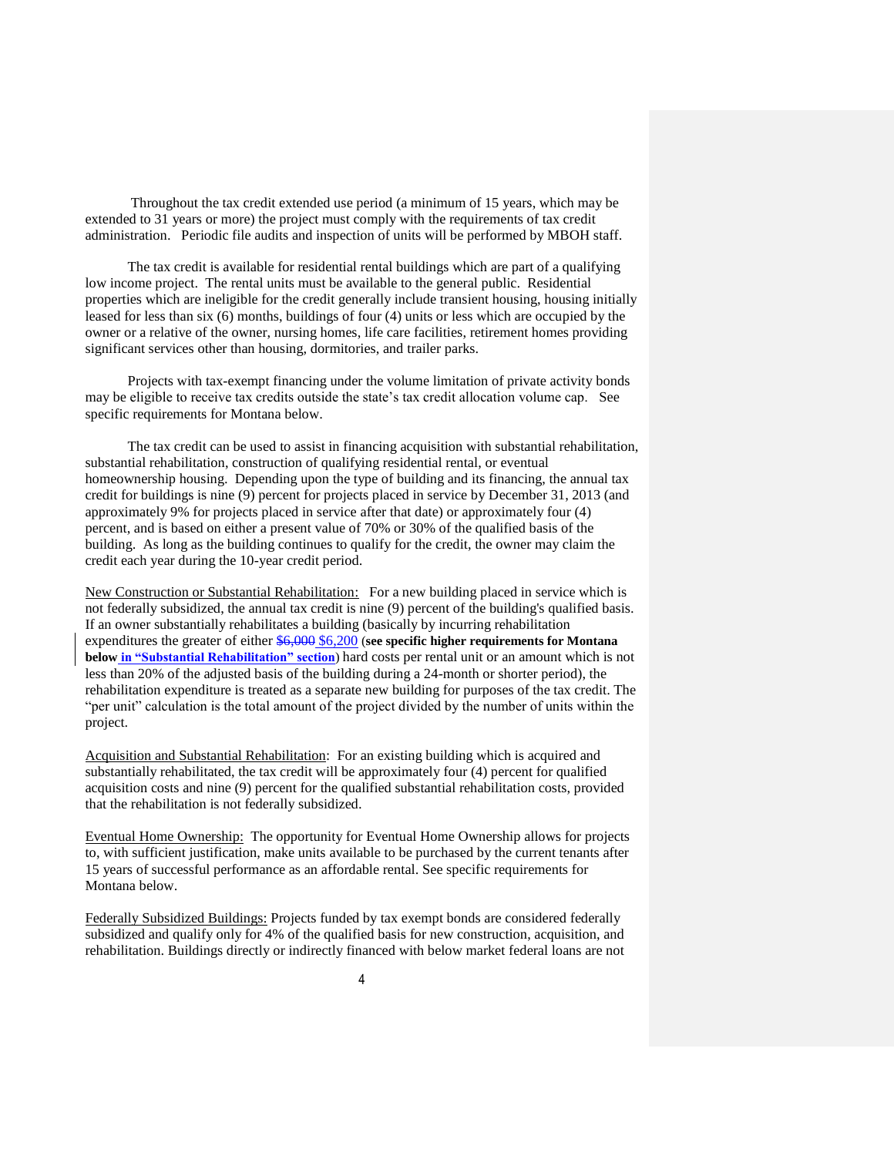Throughout the tax credit extended use period (a minimum of 15 years, which may be extended to 31 years or more) the project must comply with the requirements of tax credit administration. Periodic file audits and inspection of units will be performed by MBOH staff.

The tax credit is available for residential rental buildings which are part of a qualifying low income project. The rental units must be available to the general public. Residential properties which are ineligible for the credit generally include transient housing, housing initially leased for less than six (6) months, buildings of four (4) units or less which are occupied by the owner or a relative of the owner, nursing homes, life care facilities, retirement homes providing significant services other than housing, dormitories, and trailer parks.

Projects with tax-exempt financing under the volume limitation of private activity bonds may be eligible to receive tax credits outside the state's tax credit allocation volume cap. See specific requirements for Montana below.

The tax credit can be used to assist in financing acquisition with substantial rehabilitation, substantial rehabilitation, construction of qualifying residential rental, or eventual homeownership housing. Depending upon the type of building and its financing, the annual tax credit for buildings is nine (9) percent for projects placed in service by December 31, 2013 (and approximately 9% for projects placed in service after that date) or approximately four (4) percent, and is based on either a present value of 70% or 30% of the qualified basis of the building. As long as the building continues to qualify for the credit, the owner may claim the credit each year during the 10-year credit period.

New Construction or Substantial Rehabilitation: For a new building placed in service which is not federally subsidized, the annual tax credit is nine (9) percent of the building's qualified basis. If an owner substantially rehabilitates a building (basically by incurring rehabilitation expenditures the greater of either \$6,000 \$6,200 (**see specific higher requirements for Montana below in "Substantial Rehabilitation" section**) hard costs per rental unit or an amount which is not less than 20% of the adjusted basis of the building during a 24-month or shorter period), the rehabilitation expenditure is treated as a separate new building for purposes of the tax credit. The "per unit" calculation is the total amount of the project divided by the number of units within the project.

Acquisition and Substantial Rehabilitation: For an existing building which is acquired and substantially rehabilitated, the tax credit will be approximately four (4) percent for qualified acquisition costs and nine (9) percent for the qualified substantial rehabilitation costs, provided that the rehabilitation is not federally subsidized.

Eventual Home Ownership: The opportunity for Eventual Home Ownership allows for projects to, with sufficient justification, make units available to be purchased by the current tenants after 15 years of successful performance as an affordable rental. See specific requirements for Montana below.

Federally Subsidized Buildings: Projects funded by tax exempt bonds are considered federally subsidized and qualify only for 4% of the qualified basis for new construction, acquisition, and rehabilitation. Buildings directly or indirectly financed with below market federal loans are not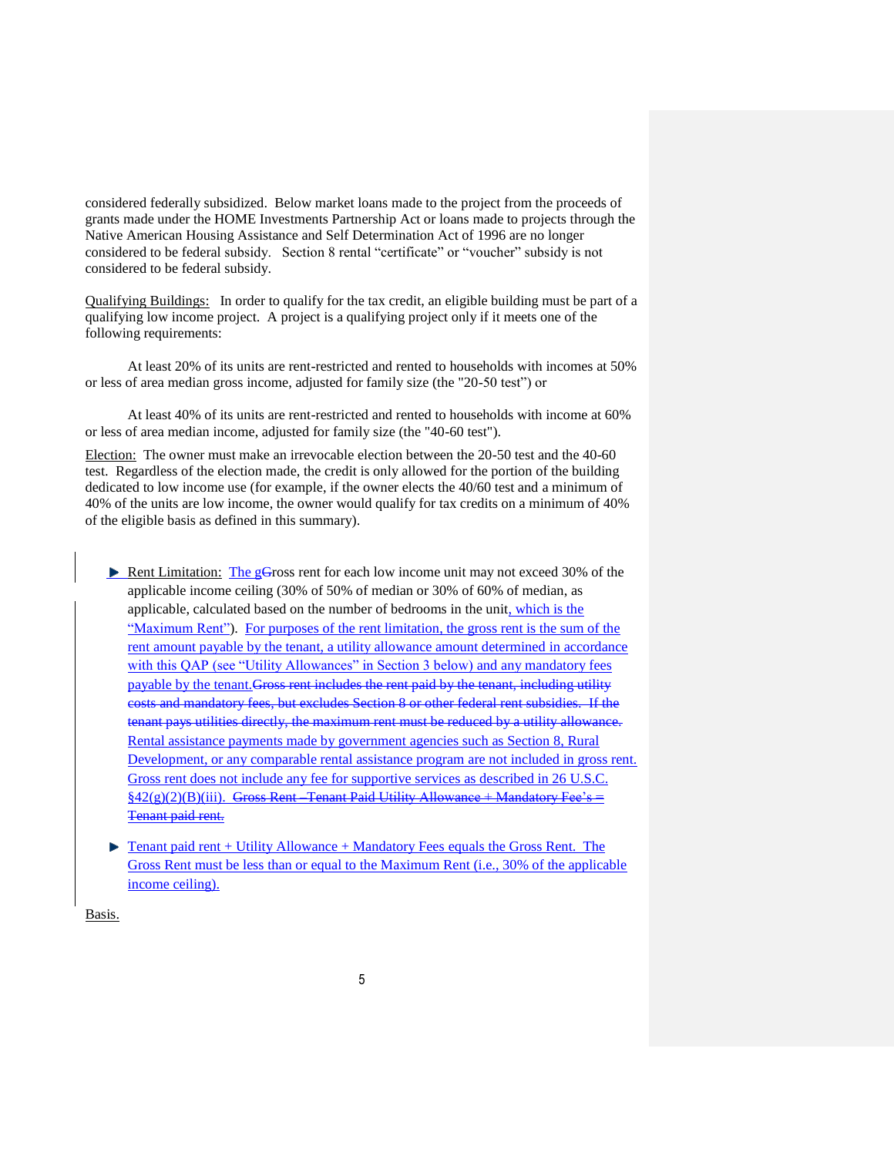considered federally subsidized. Below market loans made to the project from the proceeds of grants made under the HOME Investments Partnership Act or loans made to projects through the Native American Housing Assistance and Self Determination Act of 1996 are no longer considered to be federal subsidy. Section 8 rental "certificate" or "voucher" subsidy is not considered to be federal subsidy.

Qualifying Buildings: In order to qualify for the tax credit, an eligible building must be part of a qualifying low income project. A project is a qualifying project only if it meets one of the following requirements:

At least 20% of its units are rent-restricted and rented to households with incomes at 50% or less of area median gross income, adjusted for family size (the "20-50 test") or

At least 40% of its units are rent-restricted and rented to households with income at 60% or less of area median income, adjusted for family size (the "40-60 test").

Election: The owner must make an irrevocable election between the 20-50 test and the 40-60 test. Regardless of the election made, the credit is only allowed for the portion of the building dedicated to low income use (for example, if the owner elects the 40/60 test and a minimum of 40% of the units are low income, the owner would qualify for tax credits on a minimum of 40% of the eligible basis as defined in this summary).

- $\blacktriangleright$  Rent Limitation: The gGross rent for each low income unit may not exceed 30% of the applicable income ceiling (30% of 50% of median or 30% of 60% of median, as applicable, calculated based on the number of bedrooms in the unit, which is the "Maximum Rent"). For purposes of the rent limitation, the gross rent is the sum of the rent amount payable by the tenant, a utility allowance amount determined in accordance with this QAP (see "Utility Allowances" in Section 3 below) and any mandatory fees payable by the tenant. Gross rent includes the rent paid by the tenant, including utility costs and mandatory fees, but excludes Section 8 or other federal rent subsidies. If the tenant pays utilities directly, the maximum rent must be reduced by a utility allowance. Rental assistance payments made by government agencies such as Section 8, Rural Development, or any comparable rental assistance program are not included in gross rent. Gross rent does not include any fee for supportive services as described in 26 U.S.C.  $\S42(g)(2)(B)(iii)$ . Gross Rent Tenant Paid Utility Allowance + Mandatory Fee's = Tenant paid rent.
- ▶ Tenant paid rent + Utility Allowance + Mandatory Fees equals the Gross Rent. The Gross Rent must be less than or equal to the Maximum Rent (i.e., 30% of the applicable income ceiling).

Basis.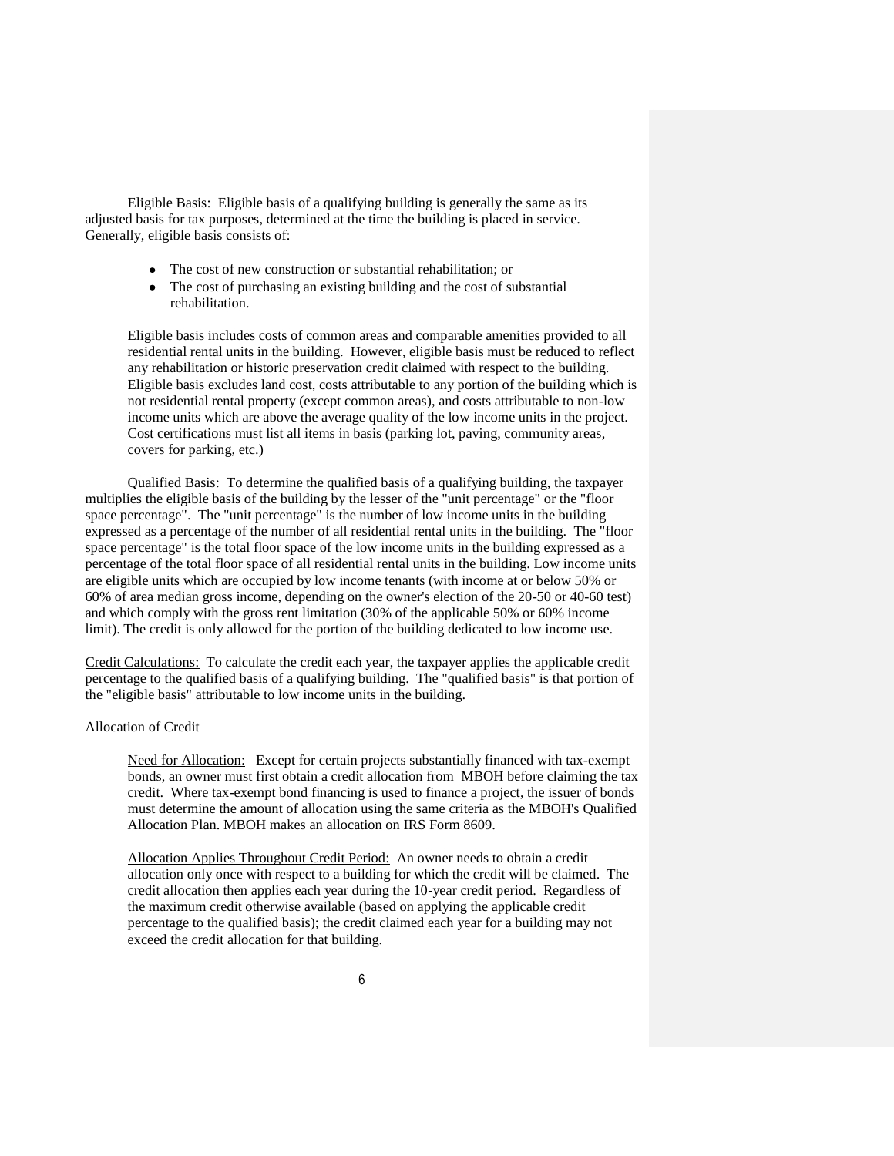Eligible Basis: Eligible basis of a qualifying building is generally the same as its adjusted basis for tax purposes, determined at the time the building is placed in service. Generally, eligible basis consists of:

- The cost of new construction or substantial rehabilitation; or
- The cost of purchasing an existing building and the cost of substantial  $\bullet$ rehabilitation.

Eligible basis includes costs of common areas and comparable amenities provided to all residential rental units in the building. However, eligible basis must be reduced to reflect any rehabilitation or historic preservation credit claimed with respect to the building. Eligible basis excludes land cost, costs attributable to any portion of the building which is not residential rental property (except common areas), and costs attributable to non-low income units which are above the average quality of the low income units in the project. Cost certifications must list all items in basis (parking lot, paving, community areas, covers for parking, etc.)

Qualified Basis: To determine the qualified basis of a qualifying building, the taxpayer multiplies the eligible basis of the building by the lesser of the "unit percentage" or the "floor space percentage". The "unit percentage" is the number of low income units in the building expressed as a percentage of the number of all residential rental units in the building. The "floor space percentage" is the total floor space of the low income units in the building expressed as a percentage of the total floor space of all residential rental units in the building. Low income units are eligible units which are occupied by low income tenants (with income at or below 50% or 60% of area median gross income, depending on the owner's election of the 20-50 or 40-60 test) and which comply with the gross rent limitation (30% of the applicable 50% or 60% income limit). The credit is only allowed for the portion of the building dedicated to low income use.

Credit Calculations: To calculate the credit each year, the taxpayer applies the applicable credit percentage to the qualified basis of a qualifying building. The "qualified basis" is that portion of the "eligible basis" attributable to low income units in the building.

#### Allocation of Credit

Need for Allocation: Except for certain projects substantially financed with tax-exempt bonds, an owner must first obtain a credit allocation from MBOH before claiming the tax credit. Where tax-exempt bond financing is used to finance a project, the issuer of bonds must determine the amount of allocation using the same criteria as the MBOH's Qualified Allocation Plan. MBOH makes an allocation on IRS Form 8609.

Allocation Applies Throughout Credit Period: An owner needs to obtain a credit allocation only once with respect to a building for which the credit will be claimed. The credit allocation then applies each year during the 10-year credit period. Regardless of the maximum credit otherwise available (based on applying the applicable credit percentage to the qualified basis); the credit claimed each year for a building may not exceed the credit allocation for that building.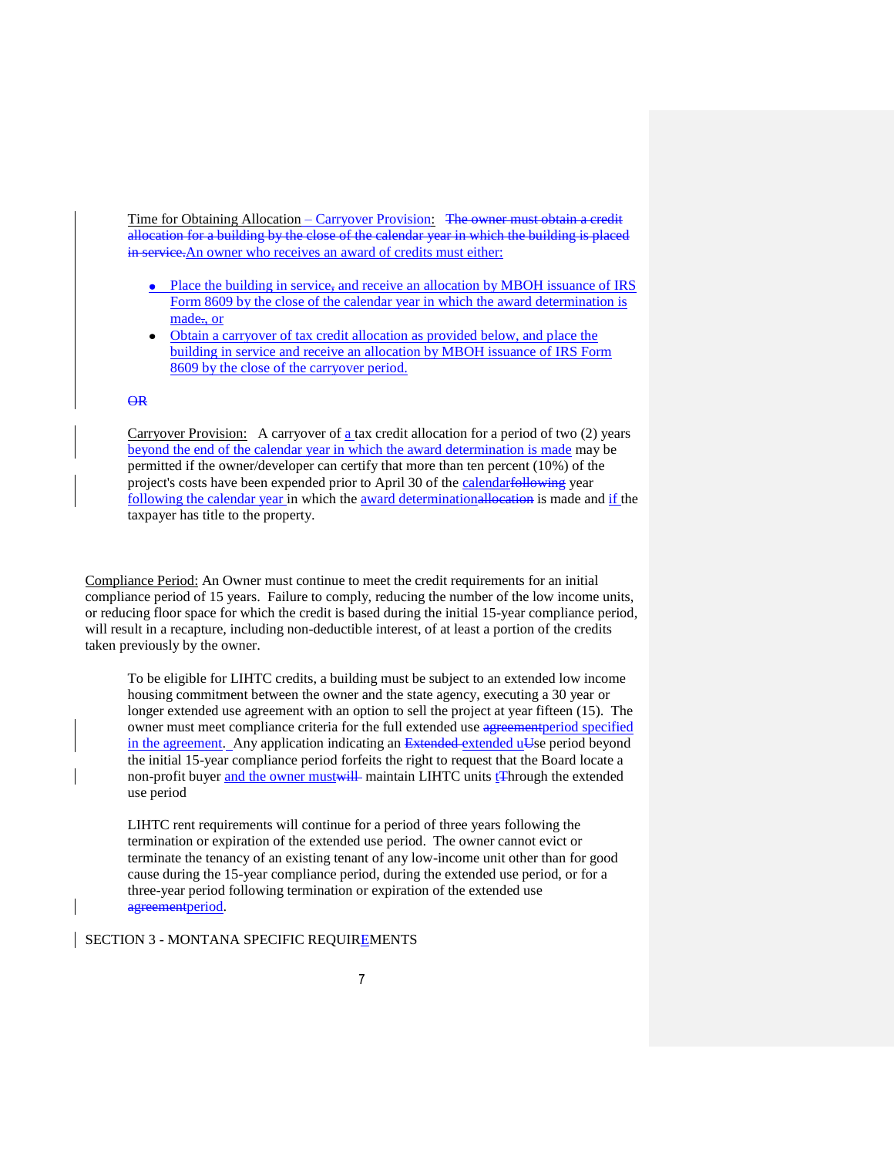Time for Obtaining Allocation – Carryover Provision: The owner must obtain a credit allocation for a building by the close of the calendar year in which the building is placed in service. An owner who receives an award of credits must either:

- Place the building in service, and receive an allocation by MBOH issuance of IRS Form 8609 by the close of the calendar year in which the award determination is made<sub>r</sub>, or
- Obtain a carryover of tax credit allocation as provided below, and place the  $\bullet$ building in service and receive an allocation by MBOH issuance of IRS Form 8609 by the close of the carryover period.

#### OR

Carryover Provision: A carryover of  $\underline{a}$  tax credit allocation for a period of two (2) years beyond the end of the calendar year in which the award determination is made may be permitted if the owner/developer can certify that more than ten percent (10%) of the project's costs have been expended prior to April 30 of the calendarfollowing year following the calendar year in which the award determinationallocation is made and if the taxpayer has title to the property.

Compliance Period: An Owner must continue to meet the credit requirements for an initial compliance period of 15 years. Failure to comply, reducing the number of the low income units, or reducing floor space for which the credit is based during the initial 15-year compliance period, will result in a recapture, including non-deductible interest, of at least a portion of the credits taken previously by the owner.

To be eligible for LIHTC credits, a building must be subject to an extended low income housing commitment between the owner and the state agency, executing a 30 year or longer extended use agreement with an option to sell the project at year fifteen (15). The owner must meet compliance criteria for the full extended use agreement period specified in the agreement. Any application indicating an Extended extended uUse period beyond the initial 15-year compliance period forfeits the right to request that the Board locate a non-profit buyer and the owner mustwill maintain LIHTC units the extended use period

LIHTC rent requirements will continue for a period of three years following the termination or expiration of the extended use period. The owner cannot evict or terminate the tenancy of an existing tenant of any low-income unit other than for good cause during the 15-year compliance period, during the extended use period, or for a three-year period following termination or expiration of the extended use agreementperiod.

SECTION 3 - MONTANA SPECIFIC REQUIREMENTS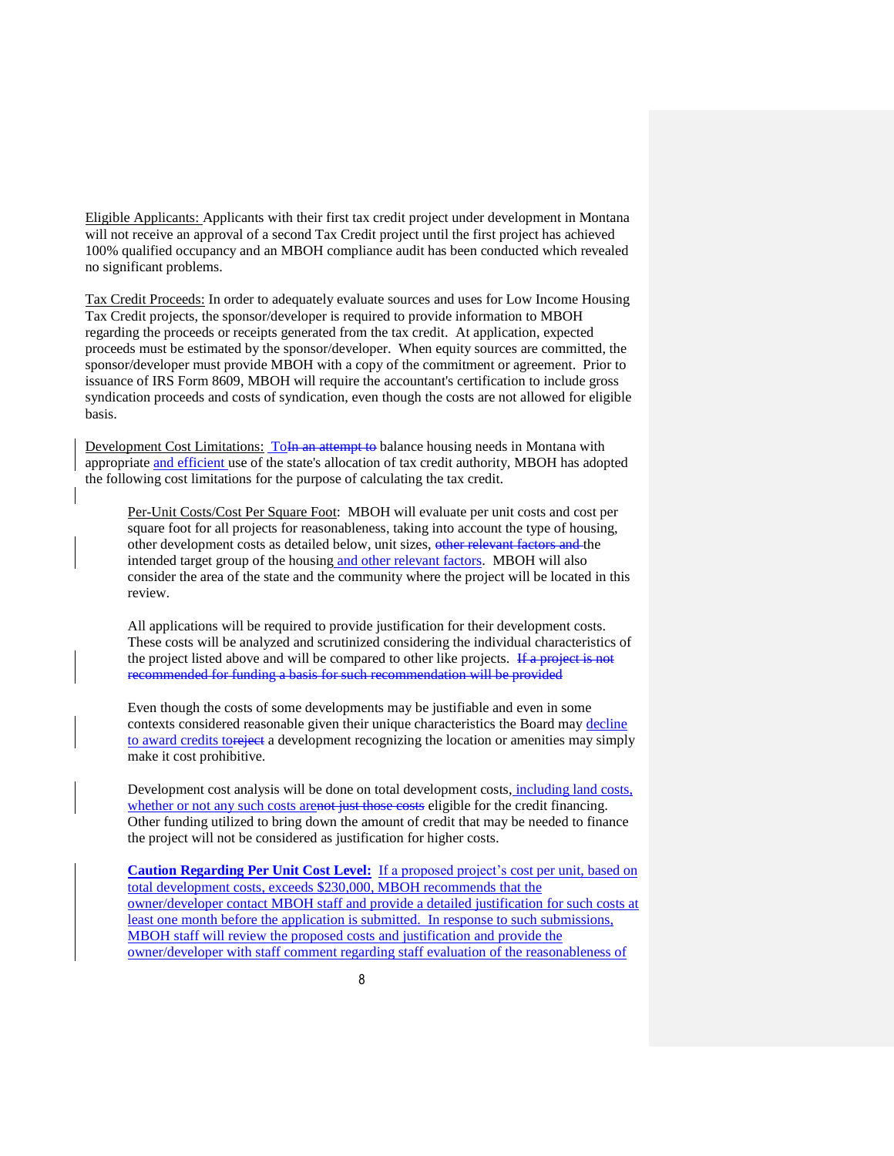Eligible Applicants: Applicants with their first tax credit project under development in Montana will not receive an approval of a second Tax Credit project until the first project has achieved 100% qualified occupancy and an MBOH compliance audit has been conducted which revealed no significant problems.

Tax Credit Proceeds: In order to adequately evaluate sources and uses for Low Income Housing Tax Credit projects, the sponsor/developer is required to provide information to MBOH regarding the proceeds or receipts generated from the tax credit. At application, expected proceeds must be estimated by the sponsor/developer. When equity sources are committed, the sponsor/developer must provide MBOH with a copy of the commitment or agreement. Prior to issuance of IRS Form 8609, MBOH will require the accountant's certification to include gross syndication proceeds and costs of syndication, even though the costs are not allowed for eligible basis.

Development Cost Limitations: To In an attempt to balance housing needs in Montana with appropriate and efficient use of the state's allocation of tax credit authority, MBOH has adopted the following cost limitations for the purpose of calculating the tax credit.

Per-Unit Costs/Cost Per Square Foot: MBOH will evaluate per unit costs and cost per square foot for all projects for reasonableness, taking into account the type of housing, other development costs as detailed below, unit sizes, other relevant factors and the intended target group of the housing and other relevant factors. MBOH will also consider the area of the state and the community where the project will be located in this review.

All applications will be required to provide justification for their development costs. These costs will be analyzed and scrutinized considering the individual characteristics of the project listed above and will be compared to other like projects. If a project is not recommended for funding a basis for such recommendation will be provided

Even though the costs of some developments may be justifiable and even in some contexts considered reasonable given their unique characteristics the Board may decline to award credits toreject a development recognizing the location or amenities may simply make it cost prohibitive.

Development cost analysis will be done on total development costs, including land costs, whether or not any such costs are not just those costs eligible for the credit financing. Other funding utilized to bring down the amount of credit that may be needed to finance the project will not be considered as justification for higher costs.

**Caution Regarding Per Unit Cost Level:** If a proposed project's cost per unit, based on total development costs, exceeds \$230,000, MBOH recommends that the owner/developer contact MBOH staff and provide a detailed justification for such costs at least one month before the application is submitted. In response to such submissions, MBOH staff will review the proposed costs and justification and provide the owner/developer with staff comment regarding staff evaluation of the reasonableness of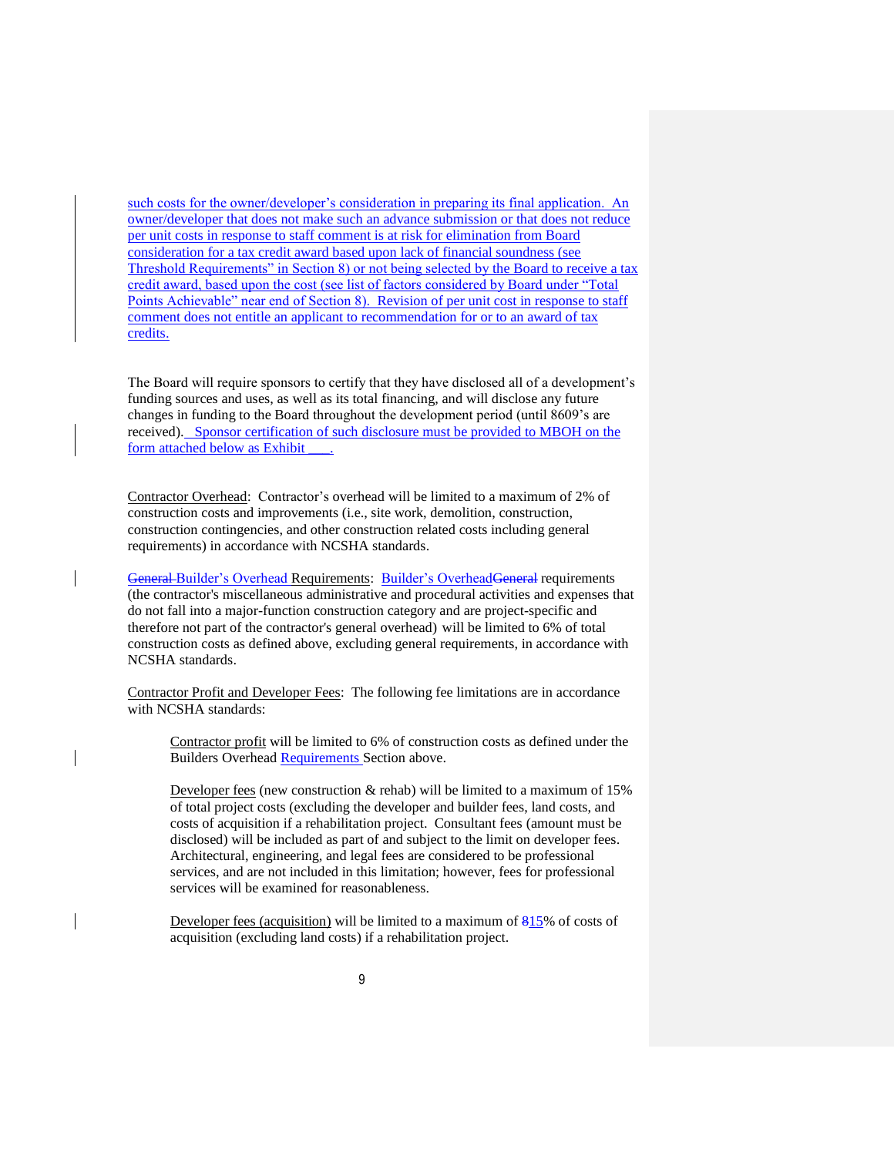such costs for the owner/developer's consideration in preparing its final application. An owner/developer that does not make such an advance submission or that does not reduce per unit costs in response to staff comment is at risk for elimination from Board consideration for a tax credit award based upon lack of financial soundness (see Threshold Requirements" in Section 8) or not being selected by the Board to receive a tax credit award, based upon the cost (see list of factors considered by Board under "Total Points Achievable" near end of Section 8). Revision of per unit cost in response to staff comment does not entitle an applicant to recommendation for or to an award of tax credits.

The Board will require sponsors to certify that they have disclosed all of a development's funding sources and uses, as well as its total financing, and will disclose any future changes in funding to the Board throughout the development period (until 8609's are received). Sponsor certification of such disclosure must be provided to MBOH on the form attached below as Exhibit

Contractor Overhead: Contractor's overhead will be limited to a maximum of 2% of construction costs and improvements (i.e., site work, demolition, construction, construction contingencies, and other construction related costs including general requirements) in accordance with NCSHA standards.

General Builder's Overhead Requirements: Builder's OverheadGeneral requirements (the contractor's miscellaneous administrative and procedural activities and expenses that do not fall into a major-function construction category and are project-specific and therefore not part of the contractor's general overhead) will be limited to 6% of total construction costs as defined above, excluding general requirements, in accordance with NCSHA standards.

Contractor Profit and Developer Fees: The following fee limitations are in accordance with NCSHA standards:

Contractor profit will be limited to 6% of construction costs as defined under the Builders Overhead Requirements Section above.

Developer fees (new construction & rehab) will be limited to a maximum of 15% of total project costs (excluding the developer and builder fees, land costs, and costs of acquisition if a rehabilitation project. Consultant fees (amount must be disclosed) will be included as part of and subject to the limit on developer fees. Architectural, engineering, and legal fees are considered to be professional services, and are not included in this limitation; however, fees for professional services will be examined for reasonableness.

Developer fees (acquisition) will be limited to a maximum of 815% of costs of acquisition (excluding land costs) if a rehabilitation project.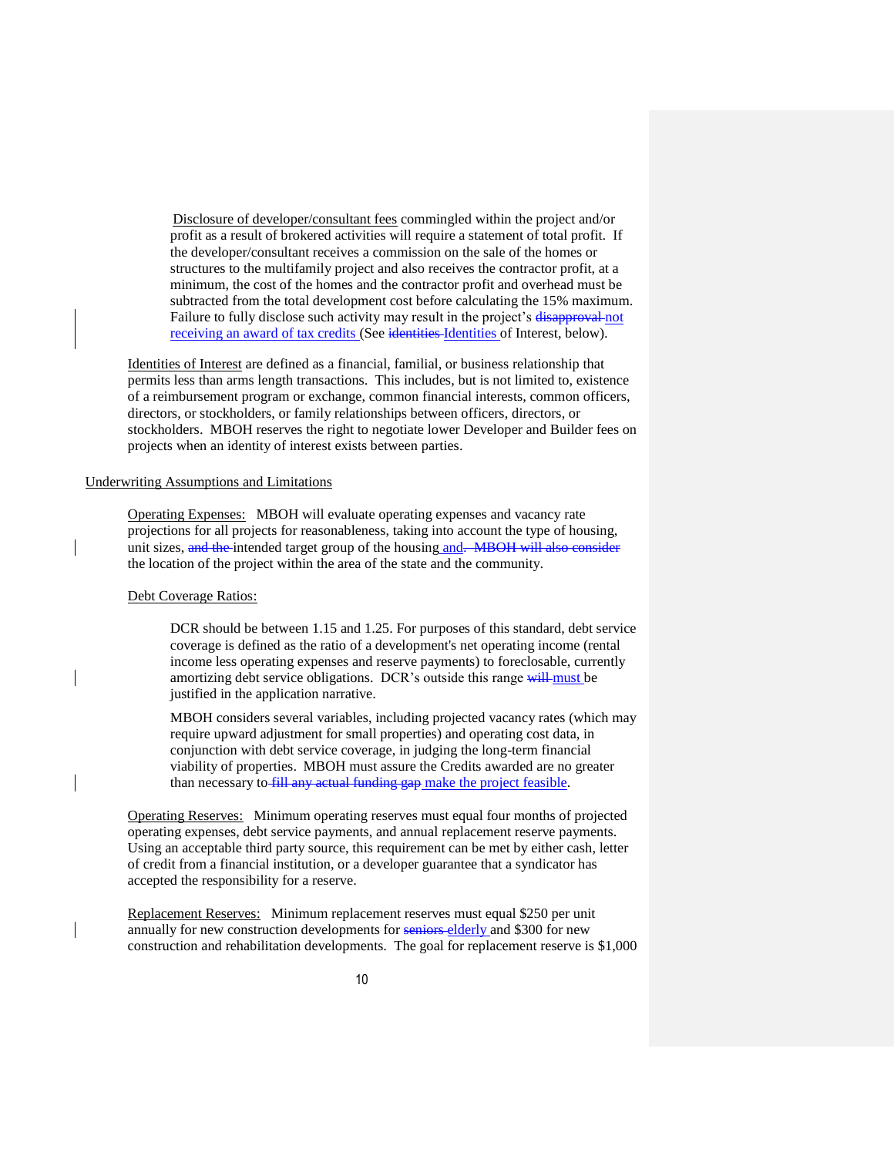Disclosure of developer/consultant fees commingled within the project and/or profit as a result of brokered activities will require a statement of total profit. If the developer/consultant receives a commission on the sale of the homes or structures to the multifamily project and also receives the contractor profit, at a minimum, the cost of the homes and the contractor profit and overhead must be subtracted from the total development cost before calculating the 15% maximum. Failure to fully disclose such activity may result in the project's disapproval not receiving an award of tax credits (See identities Identities of Interest, below).

Identities of Interest are defined as a financial, familial, or business relationship that permits less than arms length transactions. This includes, but is not limited to, existence of a reimbursement program or exchange, common financial interests, common officers, directors, or stockholders, or family relationships between officers, directors, or stockholders. MBOH reserves the right to negotiate lower Developer and Builder fees on projects when an identity of interest exists between parties.

# Underwriting Assumptions and Limitations

Operating Expenses: MBOH will evaluate operating expenses and vacancy rate projections for all projects for reasonableness, taking into account the type of housing, unit sizes, and the intended target group of the housing and. MBOH will also consider the location of the project within the area of the state and the community.

#### Debt Coverage Ratios:

DCR should be between 1.15 and 1.25. For purposes of this standard, debt service coverage is defined as the ratio of a development's net operating income (rental income less operating expenses and reserve payments) to foreclosable, currently amortizing debt service obligations. DCR's outside this range will must be justified in the application narrative.

MBOH considers several variables, including projected vacancy rates (which may require upward adjustment for small properties) and operating cost data, in conjunction with debt service coverage, in judging the long-term financial viability of properties. MBOH must assure the Credits awarded are no greater than necessary to fill any actual funding gap make the project feasible.

Operating Reserves: Minimum operating reserves must equal four months of projected operating expenses, debt service payments, and annual replacement reserve payments. Using an acceptable third party source, this requirement can be met by either cash, letter of credit from a financial institution, or a developer guarantee that a syndicator has accepted the responsibility for a reserve.

Replacement Reserves: Minimum replacement reserves must equal \$250 per unit annually for new construction developments for seniors elderly and \$300 for new construction and rehabilitation developments. The goal for replacement reserve is \$1,000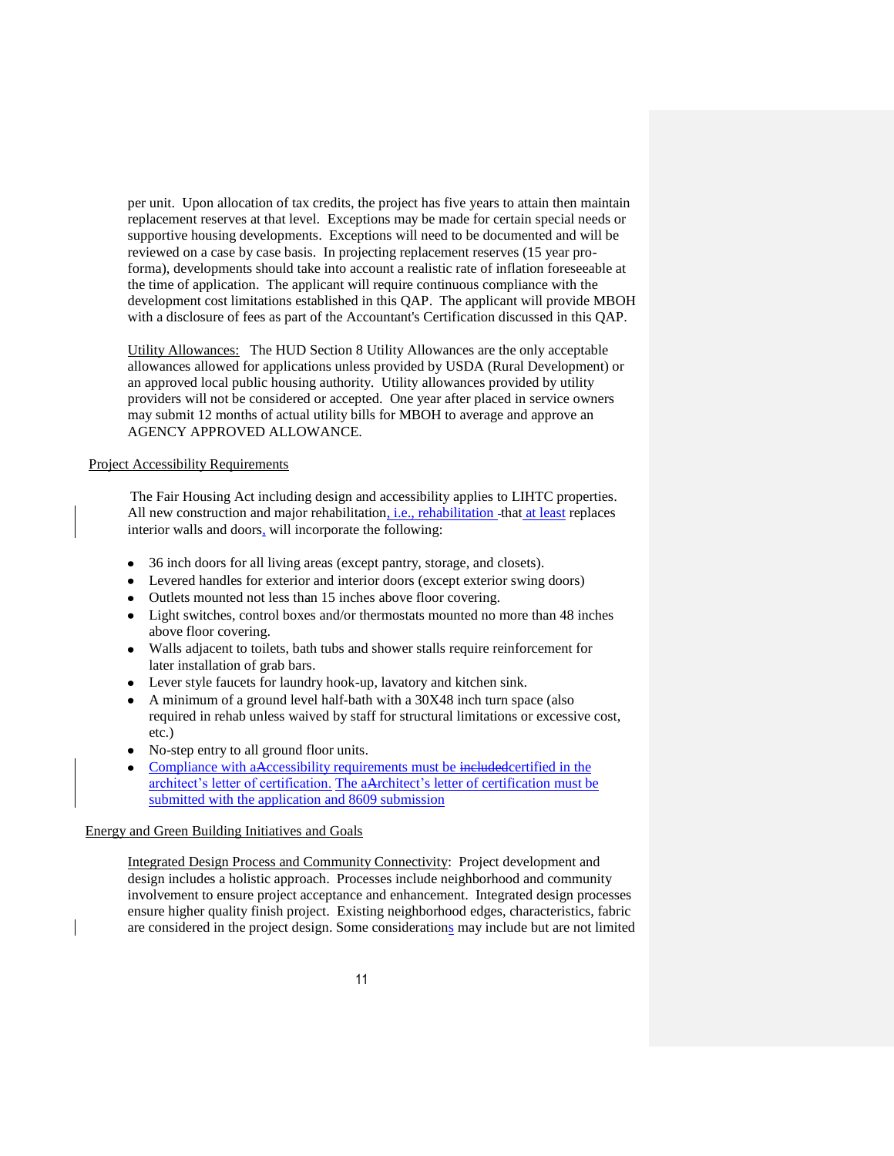per unit. Upon allocation of tax credits, the project has five years to attain then maintain replacement reserves at that level.Exceptions may be made for certain special needs or supportive housing developments. Exceptions will need to be documented and will be reviewed on a case by case basis. In projecting replacement reserves (15 year proforma), developments should take into account a realistic rate of inflation foreseeable at the time of application. The applicant will require continuous compliance with the development cost limitations established in this QAP. The applicant will provide MBOH with a disclosure of fees as part of the Accountant's Certification discussed in this QAP.

Utility Allowances: The HUD Section 8 Utility Allowances are the only acceptable allowances allowed for applications unless provided by USDA (Rural Development) or an approved local public housing authority. Utility allowances provided by utility providers will not be considered or accepted. One year after placed in service owners may submit 12 months of actual utility bills for MBOH to average and approve an AGENCY APPROVED ALLOWANCE.

#### Project Accessibility Requirements

The Fair Housing Act including design and accessibility applies to LIHTC properties. All new construction and major rehabilitation, *i.e.*, rehabilitation - that at least replaces interior walls and doors, will incorporate the following:

- 36 inch doors for all living areas (except pantry, storage, and closets).
- Levered handles for exterior and interior doors (except exterior swing doors)
- Outlets mounted not less than 15 inches above floor covering.
- Light switches, control boxes and/or thermostats mounted no more than 48 inches above floor covering.
- Walls adjacent to toilets, bath tubs and shower stalls require reinforcement for  $\bullet$ later installation of grab bars.
- Lever style faucets for laundry hook-up, lavatory and kitchen sink.
- A minimum of a ground level half-bath with a 30X48 inch turn space (also required in rehab unless waived by staff for structural limitations or excessive cost, etc.)
- No-step entry to all ground floor units.
- Compliance with aAccessibility requirements must be includedcertified in the architect's letter of certification. The aArchitect's letter of certification must be submitted with the application and 8609 submission

#### Energy and Green Building Initiatives and Goals

Integrated Design Process and Community Connectivity: Project development and design includes a holistic approach. Processes include neighborhood and community involvement to ensure project acceptance and enhancement. Integrated design processes ensure higher quality finish project. Existing neighborhood edges, characteristics, fabric are considered in the project design. Some considerations may include but are not limited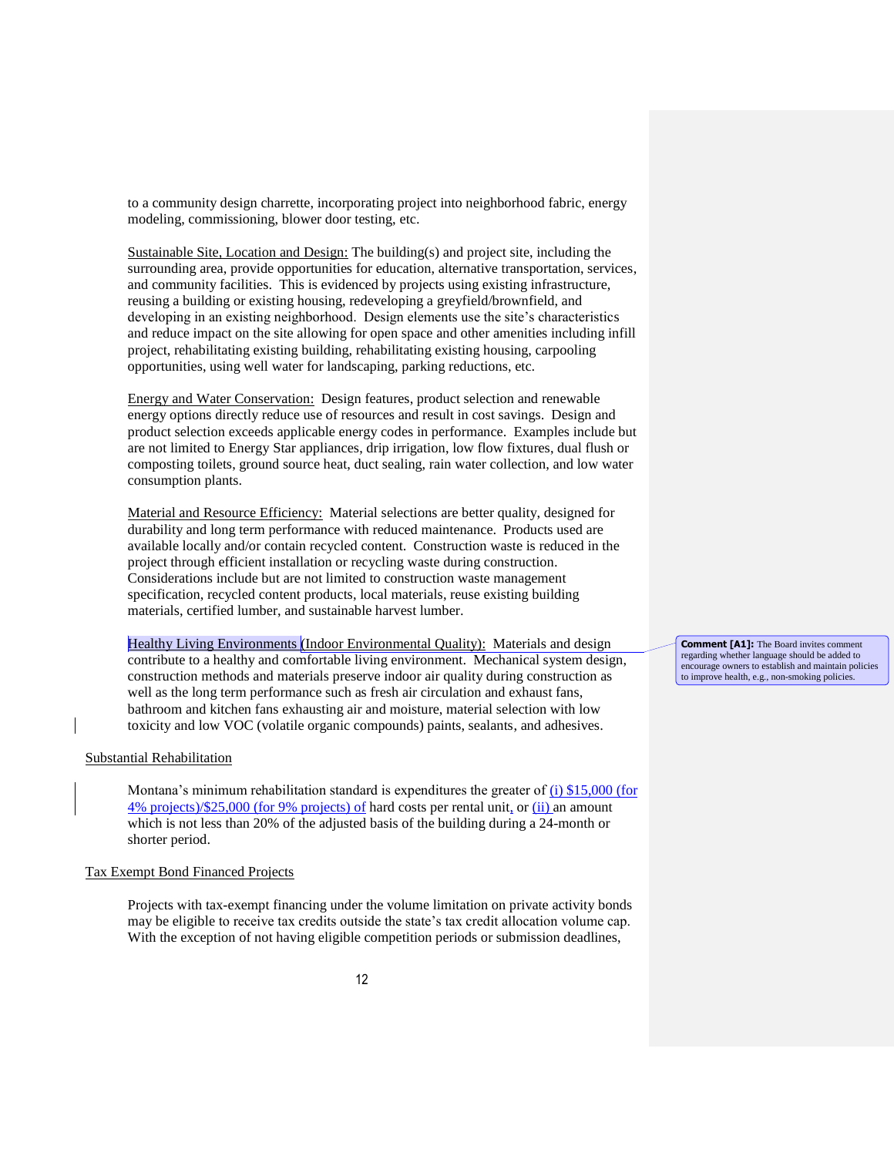to a community design charrette, incorporating project into neighborhood fabric, energy modeling, commissioning, blower door testing, etc.

Sustainable Site, Location and Design: The building(s) and project site, including the surrounding area, provide opportunities for education, alternative transportation, services, and community facilities. This is evidenced by projects using existing infrastructure, reusing a building or existing housing, redeveloping a greyfield/brownfield, and developing in an existing neighborhood. Design elements use the site's characteristics and reduce impact on the site allowing for open space and other amenities including infill project, rehabilitating existing building, rehabilitating existing housing, carpooling opportunities, using well water for landscaping, parking reductions, etc.

Energy and Water Conservation: Design features, product selection and renewable energy options directly reduce use of resources and result in cost savings. Design and product selection exceeds applicable energy codes in performance. Examples include but are not limited to Energy Star appliances, drip irrigation, low flow fixtures, dual flush or composting toilets, ground source heat, duct sealing, rain water collection, and low water consumption plants.

Material and Resource Efficiency: Material selections are better quality, designed for durability and long term performance with reduced maintenance. Products used are available locally and/or contain recycled content. Construction waste is reduced in the project through efficient installation or recycling waste during construction. Considerations include but are not limited to construction waste management specification, recycled content products, local materials, reuse existing building materials, certified lumber, and sustainable harvest lumber.

Healthy Living Environments (Indoor Environmental Quality): Materials and design contribute to a healthy and comfortable living environment. Mechanical system design, construction methods and materials preserve indoor air quality during construction as well as the long term performance such as fresh air circulation and exhaust fans, bathroom and kitchen fans exhausting air and moisture, material selection with low toxicity and low VOC (volatile organic compounds) paints, sealants, and adhesives.

#### Substantial Rehabilitation

Montana's minimum rehabilitation standard is expenditures the greater of (i) \$15,000 (for  $4\%$  projects)/\$25,000 (for 9% projects) of hard costs per rental unit, or (ii) an amount which is not less than 20% of the adjusted basis of the building during a 24-month or shorter period.

#### Tax Exempt Bond Financed Projects

Projects with tax-exempt financing under the volume limitation on private activity bonds may be eligible to receive tax credits outside the state's tax credit allocation volume cap. With the exception of not having eligible competition periods or submission deadlines,

**Comment [A1]:** The Board invites comment regarding whether language should be added to encourage owners to establish and maintain policies to improve health, e.g., non-smoking policies.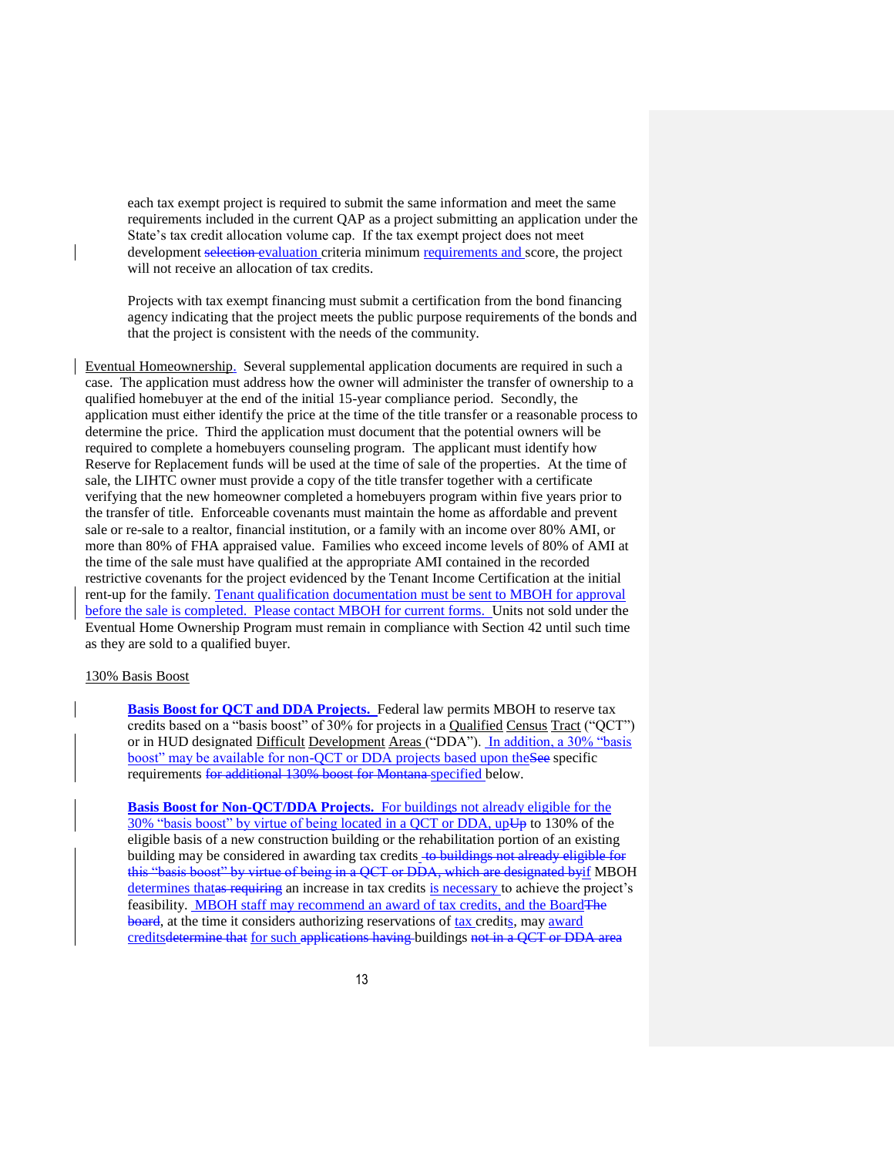each tax exempt project is required to submit the same information and meet the same requirements included in the current QAP as a project submitting an application under the State's tax credit allocation volume cap. If the tax exempt project does not meet development selection evaluation criteria minimum requirements and score, the project will not receive an allocation of tax credits.

Projects with tax exempt financing must submit a certification from the bond financing agency indicating that the project meets the public purpose requirements of the bonds and that the project is consistent with the needs of the community.

Eventual Homeownership. Several supplemental application documents are required in such a case. The application must address how the owner will administer the transfer of ownership to a qualified homebuyer at the end of the initial 15-year compliance period. Secondly, the application must either identify the price at the time of the title transfer or a reasonable process to determine the price. Third the application must document that the potential owners will be required to complete a homebuyers counseling program. The applicant must identify how Reserve for Replacement funds will be used at the time of sale of the properties. At the time of sale, the LIHTC owner must provide a copy of the title transfer together with a certificate verifying that the new homeowner completed a homebuyers program within five years prior to the transfer of title. Enforceable covenants must maintain the home as affordable and prevent sale or re-sale to a realtor, financial institution, or a family with an income over 80% AMI, or more than 80% of FHA appraised value. Families who exceed income levels of 80% of AMI at the time of the sale must have qualified at the appropriate AMI contained in the recorded restrictive covenants for the project evidenced by the Tenant Income Certification at the initial rent-up for the family. Tenant qualification documentation must be sent to MBOH for approval before the sale is completed. Please contact MBOH for current forms. Units not sold under the Eventual Home Ownership Program must remain in compliance with Section 42 until such time as they are sold to a qualified buyer.

#### 130% Basis Boost

**Basis Boost for QCT and DDA Projects.** Federal law permits MBOH to reserve tax credits based on a "basis boost" of 30% for projects in a Qualified Census Tract ("QCT") or in HUD designated Difficult Development Areas ("DDA"). In addition, a 30% "basis boost" may be available for non-QCT or DDA projects based upon the See specific requirements for additional 130% boost for Montana-specified below.

**Basis Boost for Non-QCT/DDA Projects.** For buildings not already eligible for the 30% "basis boost" by virtue of being located in a OCT or DDA, up $\overline{\mathbf{U}}$  to 130% of the eligible basis of a new construction building or the rehabilitation portion of an existing building may be considered in awarding tax credits to buildings not already eligible for this "basis boost" by virtue of being in a QCT or DDA, which are designated byif MBOH determines thatas requiring an increase in tax credits is necessary to achieve the project's feasibility. MBOH staff may recommend an award of tax credits, and the Board The board, at the time it considers authorizing reservations of tax credits, may award creditsdetermine that for such applications having buildings not in a QCT or DDA area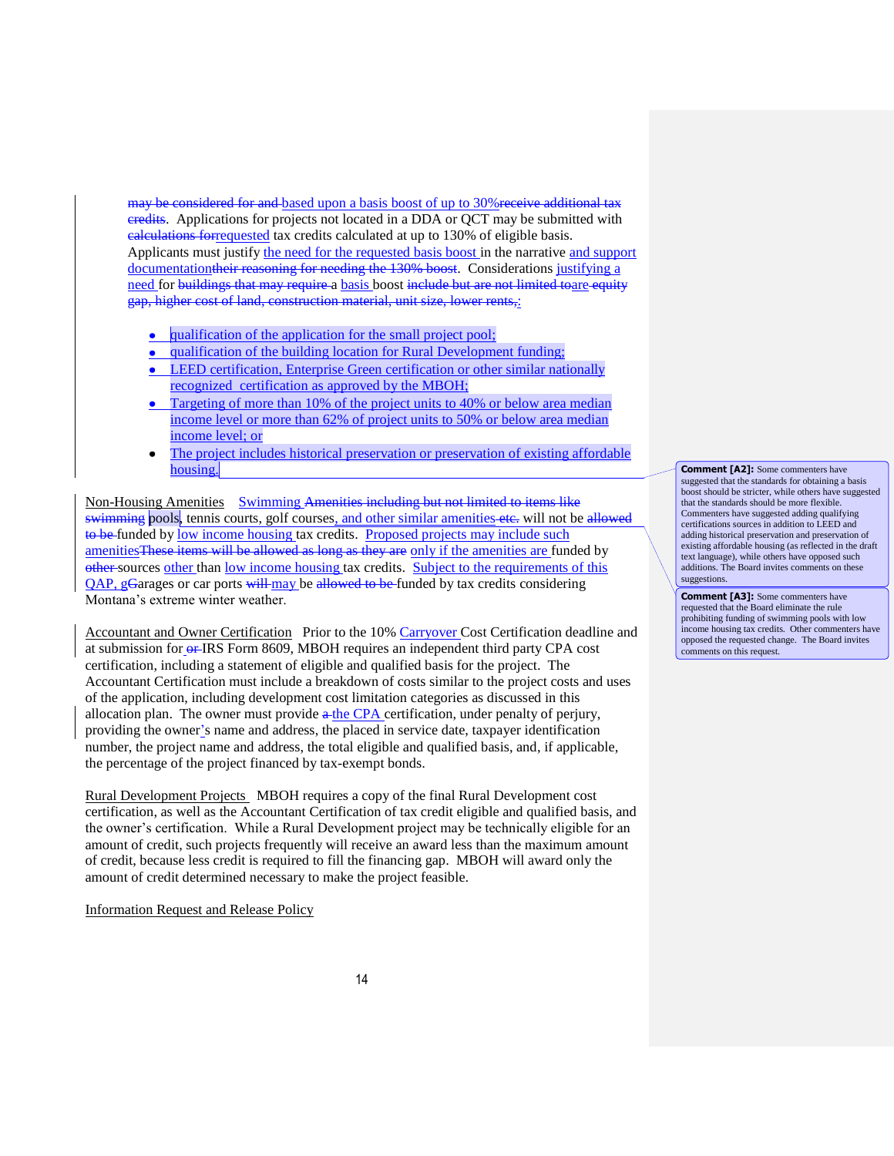may be considered for and based upon a basis boost of up to 30% receive additional tax eredits. Applications for projects not located in a DDA or OCT may be submitted with calculations forrequested tax credits calculated at up to 130% of eligible basis. Applicants must justify the need for the requested basis boost in the narrative and support documentationtheir reasoning for needing the 130% boost. Considerations justifying a need for buildings that may require a basis boost include but are not limited toare equity gap, higher cost of land, construction material, unit size, lower rents,:

- qualification of the application for the small project pool;  $\bullet$
- qualification of the building location for Rural Development funding; LEED certification, Enterprise Green certification or other similar nationally recognized certification as approved by the MBOH;
- Targeting of more than 10% of the project units to 40% or below area median income level or more than 62% of project units to 50% or below area median income level; or
- The project includes historical preservation or preservation of existing affordable  $\bullet$ housing.

Non-Housing Amenities Swimming Amenities including but not limited to items like swimming pools, tennis courts, golf courses, and other similar amenities etc. will not be allowed to be funded by low income housing tax credits. Proposed projects may include such amenities These items will be allowed as long as they are only if the amenities are funded by other sources other than low income housing tax credits. Subject to the requirements of this QAP, gGarages or car ports will may be allowed to be funded by tax credits considering Montana's extreme winter weather.

Accountant and Owner Certification Prior to the 10% Carryover Cost Certification deadline and at submission for  $er$  IRS Form 8609, MBOH requires an independent third party CPA cost certification, including a statement of eligible and qualified basis for the project. The Accountant Certification must include a breakdown of costs similar to the project costs and uses of the application, including development cost limitation categories as discussed in this allocation plan. The owner must provide  $a$  the CPA certification, under penalty of perjury, providing the owner's name and address, the placed in service date, taxpayer identification number, the project name and address, the total eligible and qualified basis, and, if applicable, the percentage of the project financed by tax-exempt bonds.

Rural Development Projects MBOH requires a copy of the final Rural Development cost certification, as well as the Accountant Certification of tax credit eligible and qualified basis, and the owner's certification. While a Rural Development project may be technically eligible for an amount of credit, such projects frequently will receive an award less than the maximum amount of credit, because less credit is required to fill the financing gap. MBOH will award only the amount of credit determined necessary to make the project feasible.

Information Request and Release Policy

#### **Comment [A2]:** Some commenters have suggested that the standards for obtaining a basis boost should be stricter, while others have suggested that the standards should be more flexible. Commenters have suggested adding qualifying certifications sources in addition to LEED and adding historical preservation and preservation of existing affordable housing (as reflected in the draft text language), while others have opposed such additions. The Board invites comments on these suggestions.

**Comment [A3]:** Some commenters have requested that the Board eliminate the rule prohibiting funding of swimming pools with low income housing tax credits. Other commenters have opposed the requested change. The Board invites comments on this request.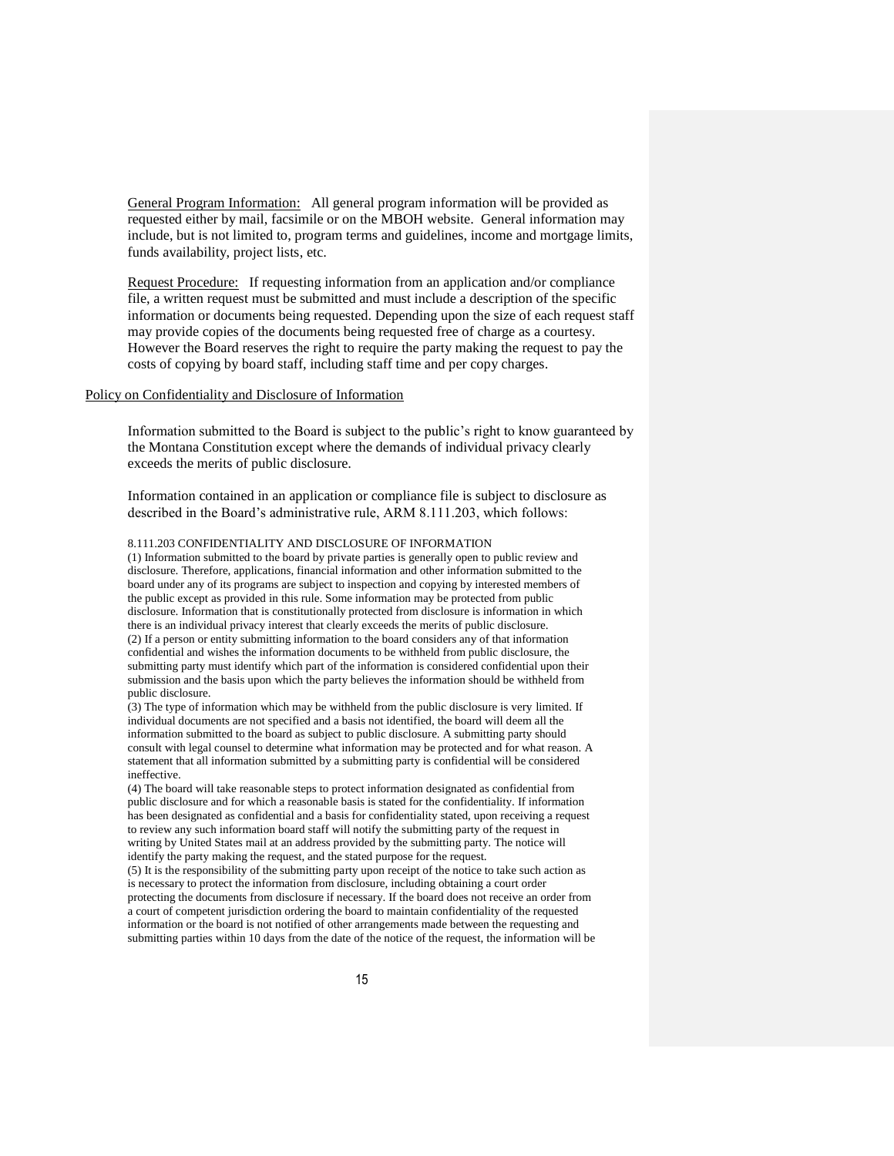General Program Information: All general program information will be provided as requested either by mail, facsimile or on the MBOH website. General information may include, but is not limited to, program terms and guidelines, income and mortgage limits, funds availability, project lists, etc.

Request Procedure: If requesting information from an application and/or compliance file, a written request must be submitted and must include a description of the specific information or documents being requested. Depending upon the size of each request staff may provide copies of the documents being requested free of charge as a courtesy. However the Board reserves the right to require the party making the request to pay the costs of copying by board staff, including staff time and per copy charges.

#### Policy on Confidentiality and Disclosure of Information

Information submitted to the Board is subject to the public's right to know guaranteed by the Montana Constitution except where the demands of individual privacy clearly exceeds the merits of public disclosure.

Information contained in an application or compliance file is subject to disclosure as described in the Board's administrative rule, ARM 8.111.203, which follows:

#### 8.111.203 CONFIDENTIALITY AND DISCLOSURE OF INFORMATION

(1) Information submitted to the board by private parties is generally open to public review and disclosure. Therefore, applications, financial information and other information submitted to the board under any of its programs are subject to inspection and copying by interested members of the public except as provided in this rule. Some information may be protected from public disclosure. Information that is constitutionally protected from disclosure is information in which there is an individual privacy interest that clearly exceeds the merits of public disclosure. (2) If a person or entity submitting information to the board considers any of that information confidential and wishes the information documents to be withheld from public disclosure, the submitting party must identify which part of the information is considered confidential upon their submission and the basis upon which the party believes the information should be withheld from public disclosure.

(3) The type of information which may be withheld from the public disclosure is very limited. If individual documents are not specified and a basis not identified, the board will deem all the information submitted to the board as subject to public disclosure. A submitting party should consult with legal counsel to determine what information may be protected and for what reason. A statement that all information submitted by a submitting party is confidential will be considered ineffective.

(4) The board will take reasonable steps to protect information designated as confidential from public disclosure and for which a reasonable basis is stated for the confidentiality. If information has been designated as confidential and a basis for confidentiality stated, upon receiving a request to review any such information board staff will notify the submitting party of the request in writing by United States mail at an address provided by the submitting party. The notice will identify the party making the request, and the stated purpose for the request.

(5) It is the responsibility of the submitting party upon receipt of the notice to take such action as is necessary to protect the information from disclosure, including obtaining a court order protecting the documents from disclosure if necessary. If the board does not receive an order from a court of competent jurisdiction ordering the board to maintain confidentiality of the requested information or the board is not notified of other arrangements made between the requesting and submitting parties within 10 days from the date of the notice of the request, the information will be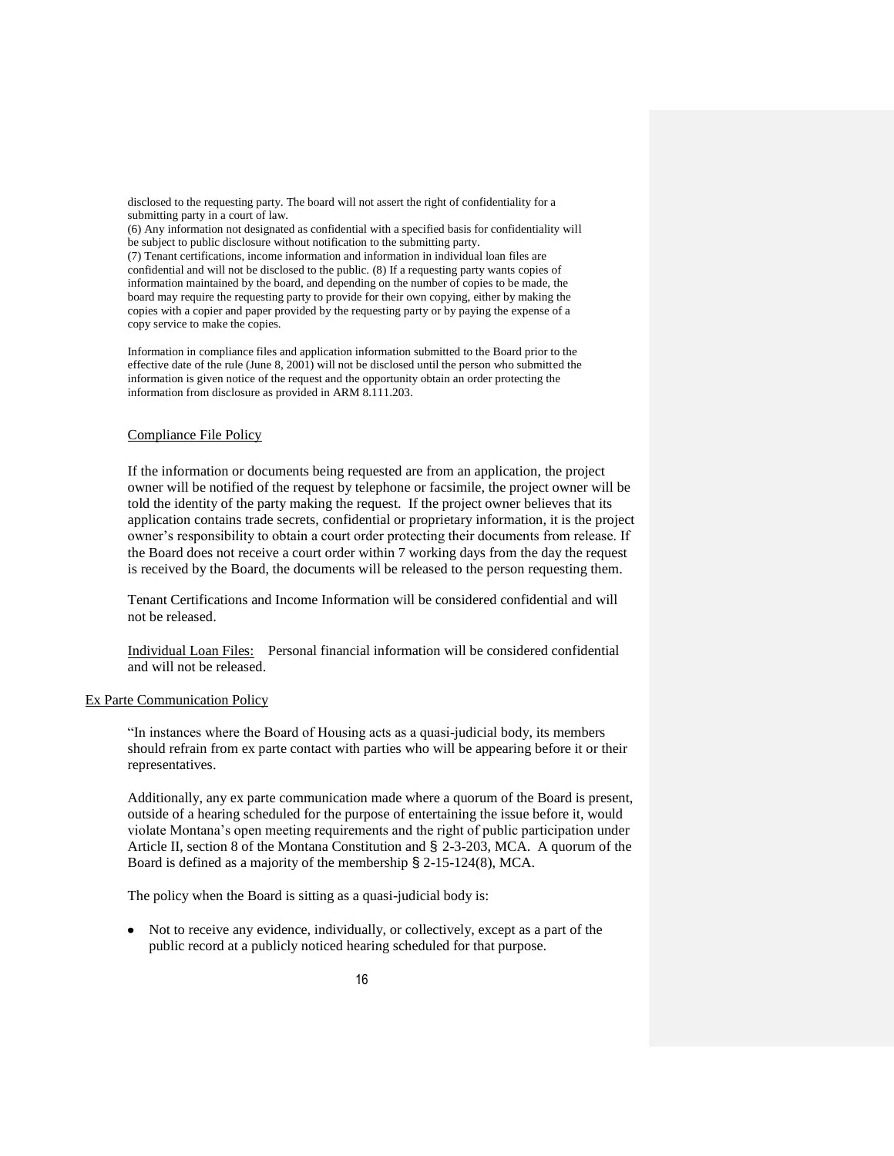disclosed to the requesting party. The board will not assert the right of confidentiality for a submitting party in a court of law.

(6) Any information not designated as confidential with a specified basis for confidentiality will be subject to public disclosure without notification to the submitting party. (7) Tenant certifications, income information and information in individual loan files are confidential and will not be disclosed to the public. (8) If a requesting party wants copies of information maintained by the board, and depending on the number of copies to be made, the board may require the requesting party to provide for their own copying, either by making the copies with a copier and paper provided by the requesting party or by paying the expense of a copy service to make the copies.

Information in compliance files and application information submitted to the Board prior to the effective date of the rule (June 8, 2001) will not be disclosed until the person who submitted the information is given notice of the request and the opportunity obtain an order protecting the information from disclosure as provided in ARM 8.111.203.

#### Compliance File Policy

If the information or documents being requested are from an application, the project owner will be notified of the request by telephone or facsimile, the project owner will be told the identity of the party making the request. If the project owner believes that its application contains trade secrets, confidential or proprietary information, it is the project owner's responsibility to obtain a court order protecting their documents from release. If the Board does not receive a court order within 7 working days from the day the request is received by the Board, the documents will be released to the person requesting them.

Tenant Certifications and Income Information will be considered confidential and will not be released.

Individual Loan Files: Personal financial information will be considered confidential and will not be released.

#### Ex Parte Communication Policy

"In instances where the Board of Housing acts as a quasi-judicial body, its members should refrain from ex parte contact with parties who will be appearing before it or their representatives.

Additionally, any ex parte communication made where a quorum of the Board is present, outside of a hearing scheduled for the purpose of entertaining the issue before it, would violate Montana's open meeting requirements and the right of public participation under Article II, section 8 of the Montana Constitution and § 2-3-203, MCA. A quorum of the Board is defined as a majority of the membership § 2-15-124(8), MCA.

The policy when the Board is sitting as a quasi-judicial body is:

Not to receive any evidence, individually, or collectively, except as a part of the public record at a publicly noticed hearing scheduled for that purpose.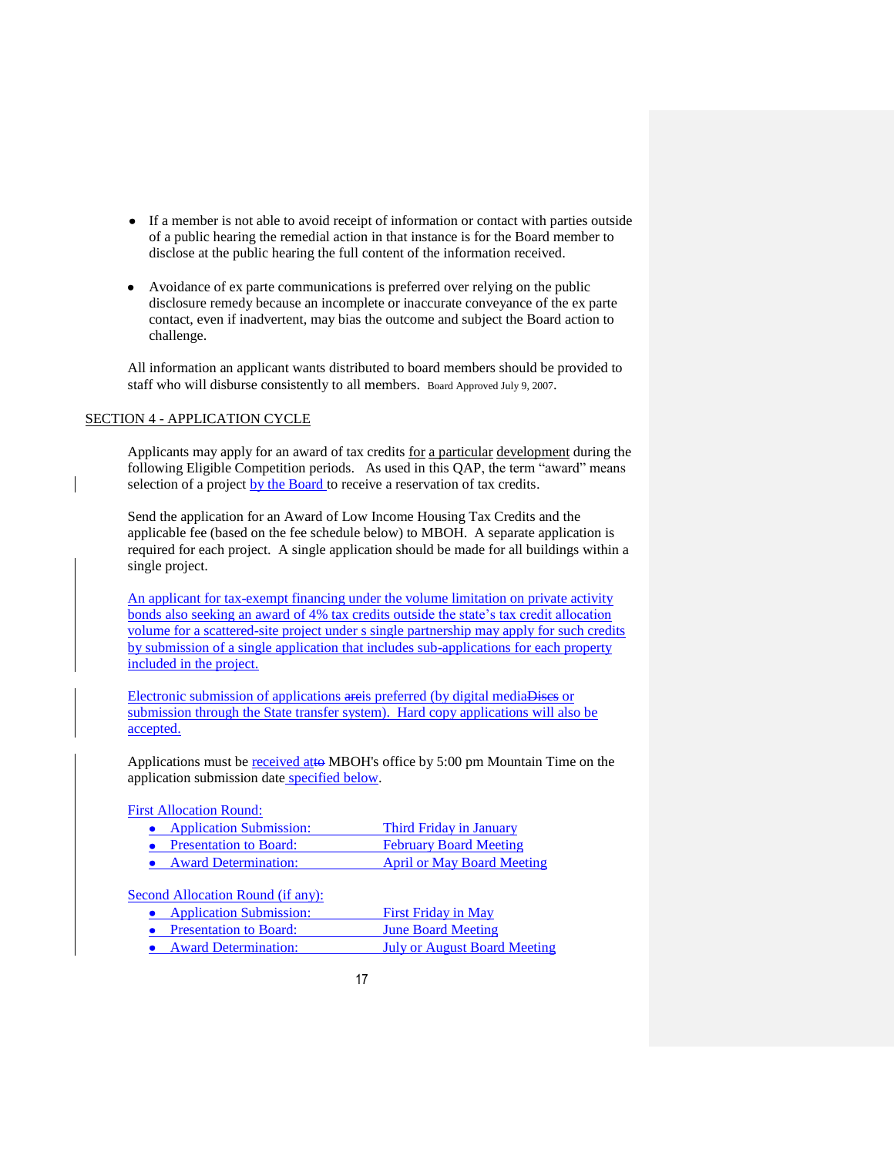- If a member is not able to avoid receipt of information or contact with parties outside of a public hearing the remedial action in that instance is for the Board member to disclose at the public hearing the full content of the information received.
- Avoidance of ex parte communications is preferred over relying on the public  $\bullet$ disclosure remedy because an incomplete or inaccurate conveyance of the ex parte contact, even if inadvertent, may bias the outcome and subject the Board action to challenge.

All information an applicant wants distributed to board members should be provided to staff who will disburse consistently to all members. Board Approved July 9, 2007.

#### SECTION 4 - APPLICATION CYCLE

Applicants may apply for an award of tax credits for a particular development during the following Eligible Competition periods. As used in this QAP, the term "award" means selection of a project by the Board to receive a reservation of tax credits.

Send the application for an Award of Low Income Housing Tax Credits and the applicable fee (based on the fee schedule below) to MBOH. A separate application is required for each project. A single application should be made for all buildings within a single project.

An applicant for tax-exempt financing under the volume limitation on private activity bonds also seeking an award of 4% tax credits outside the state's tax credit allocation volume for a scattered-site project under s single partnership may apply for such credits by submission of a single application that includes sub-applications for each property included in the project.

Electronic submission of applications areis preferred (by digital mediaDises or submission through the State transfer system). Hard copy applications will also be accepted.

Applications must be received atto MBOH's office by 5:00 pm Mountain Time on the application submission date specified below.

#### First Allocation Round:

- Application Submission: Third Friday in January<br>• Presentation to Board: February Board Meeting
- **February Board Meeting**
- Award Determination: April or May Board Meeting

Second Allocation Round (if any):

- Application Submission: First Friday in May
- Presentation to Board: June Board Meeting
- Award Determination: July or August Board Meeting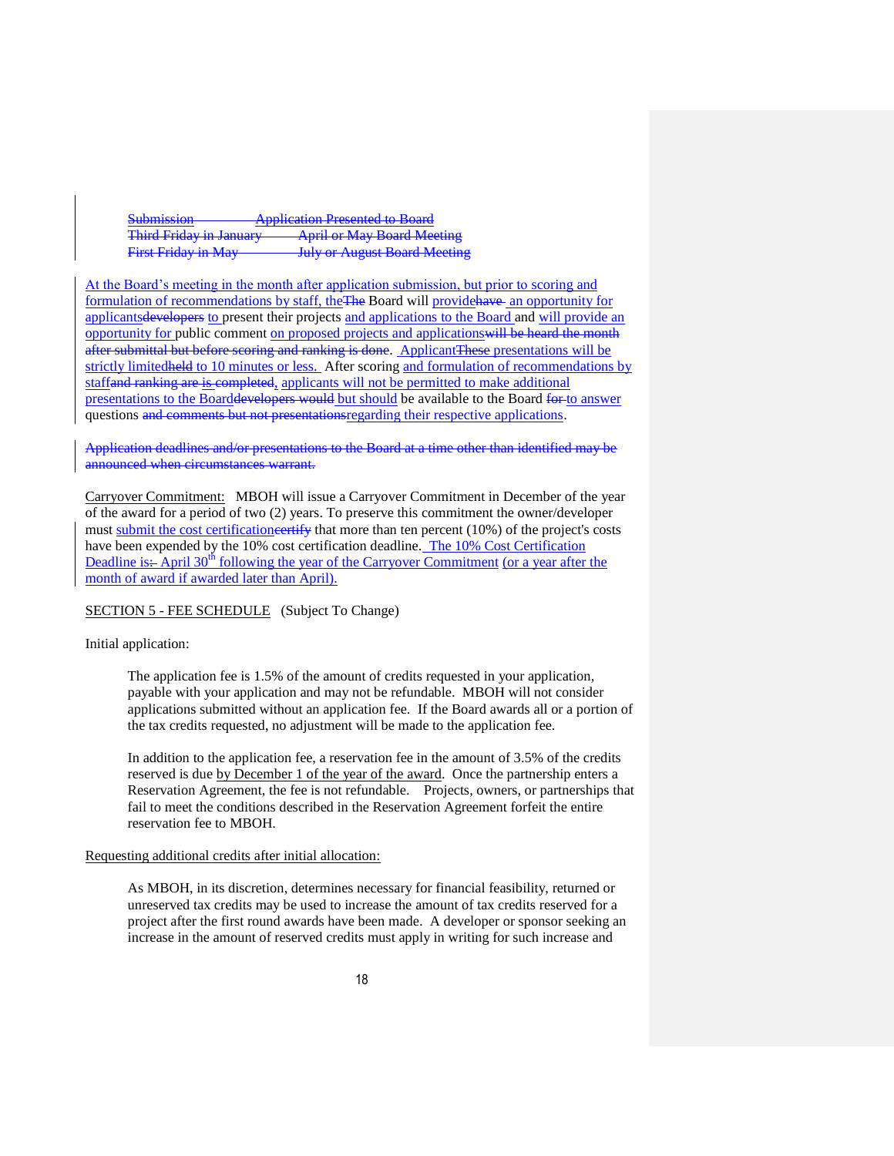Submission **Application Presented to Board** Third Friday in January **April or May Board Meeting** First Friday in May **July or August Board Meeting** 

At the Board's meeting in the month after application submission, but prior to scoring and formulation of recommendations by staff, the The Board will provide have an opportunity for applicantsdevelopers to present their projects and applications to the Board and will provide an opportunity for public comment on proposed projects and applicationswill be heard the month after submittal but before scoring and ranking is done. Applicant These presentations will be strictly limited held to 10 minutes or less. After scoring and formulation of recommendations by staffand ranking are is completed, applicants will not be permitted to make additional presentations to the Boarddevelopers would but should be available to the Board for to answer questions and comments but not presentationsregarding their respective applications.

Application deadlines and/or presentations to the Board at a time other than identified may be announced when circumstances warrant.

Carryover Commitment: MBOH will issue a Carryover Commitment in December of the year of the award for a period of two (2) years. To preserve this commitment the owner/developer must submit the cost certificatione ertify that more than ten percent (10%) of the project's costs have been expended by the 10% cost certification deadline. The 10% Cost Certification Deadline is: April  $30<sup>th</sup>$  following the year of the Carryover Commitment (or a year after the month of award if awarded later than April).

# SECTION 5 - FEE SCHEDULE (Subject To Change)

#### Initial application:

The application fee is 1.5% of the amount of credits requested in your application, payable with your application and may not be refundable. MBOH will not consider applications submitted without an application fee. If the Board awards all or a portion of the tax credits requested, no adjustment will be made to the application fee.

In addition to the application fee, a reservation fee in the amount of 3.5% of the credits reserved is due by December 1 of the year of the award. Once the partnership enters a Reservation Agreement, the fee is not refundable. Projects, owners, or partnerships that fail to meet the conditions described in the Reservation Agreement forfeit the entire reservation fee to MBOH.

#### Requesting additional credits after initial allocation:

As MBOH, in its discretion, determines necessary for financial feasibility, returned or unreserved tax credits may be used to increase the amount of tax credits reserved for a project after the first round awards have been made. A developer or sponsor seeking an increase in the amount of reserved credits must apply in writing for such increase and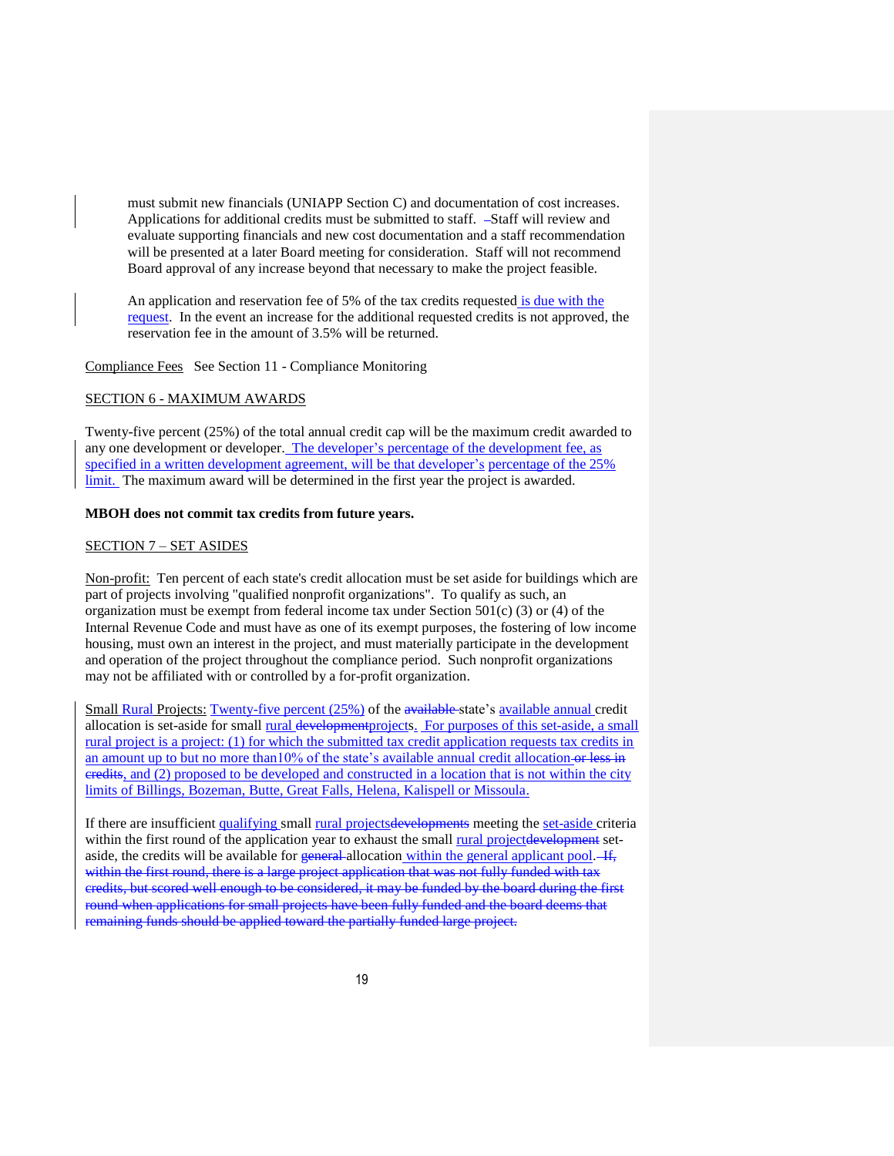must submit new financials (UNIAPP Section C) and documentation of cost increases. Applications for additional credits must be submitted to staff.  $-S\text{taff}$  will review and evaluate supporting financials and new cost documentation and a staff recommendation will be presented at a later Board meeting for consideration. Staff will not recommend Board approval of any increase beyond that necessary to make the project feasible.

An application and reservation fee of 5% of the tax credits requested is due with the request. In the event an increase for the additional requested credits is not approved, the reservation fee in the amount of 3.5% will be returned.

Compliance Fees See Section 11 - Compliance Monitoring

#### SECTION 6 - MAXIMUM AWARDS

Twenty-five percent (25%) of the total annual credit cap will be the maximum credit awarded to any one development or developer. The developer's percentage of the development fee, as specified in a written development agreement, will be that developer's percentage of the 25% limit. The maximum award will be determined in the first year the project is awarded.

#### **MBOH does not commit tax credits from future years.**

#### SECTION 7 – SET ASIDES

Non-profit: Ten percent of each state's credit allocation must be set aside for buildings which are part of projects involving "qualified nonprofit organizations". To qualify as such, an organization must be exempt from federal income tax under Section  $501(c)$  (3) or (4) of the Internal Revenue Code and must have as one of its exempt purposes, the fostering of low income housing, must own an interest in the project, and must materially participate in the development and operation of the project throughout the compliance period. Such nonprofit organizations may not be affiliated with or controlled by a for-profit organization.

Small Rural Projects: Twenty-five percent (25%) of the available state's available annual credit allocation is set-aside for small rural development projects. For purposes of this set-aside, a small rural project is a project: (1) for which the submitted tax credit application requests tax credits in an amount up to but no more than10% of the state's available annual credit allocation-or less in credits, and (2) proposed to be developed and constructed in a location that is not within the city limits of Billings, Bozeman, Butte, Great Falls, Helena, Kalispell or Missoula.

If there are insufficient qualifying small rural projectsdevelopments meeting the set-aside criteria within the first round of the application year to exhaust the small rural projectdevelopment setaside, the credits will be available for general allocation within the general applicant pool.  $\frac{1}{1}$ , within the first round, there is a large project application that was not fully funded with tax credits, but scored well enough to be considered, it may be funded by the board during the first round when applications for small projects have been fully funded and the board deems that remaining funds should be applied toward the partially funded large project.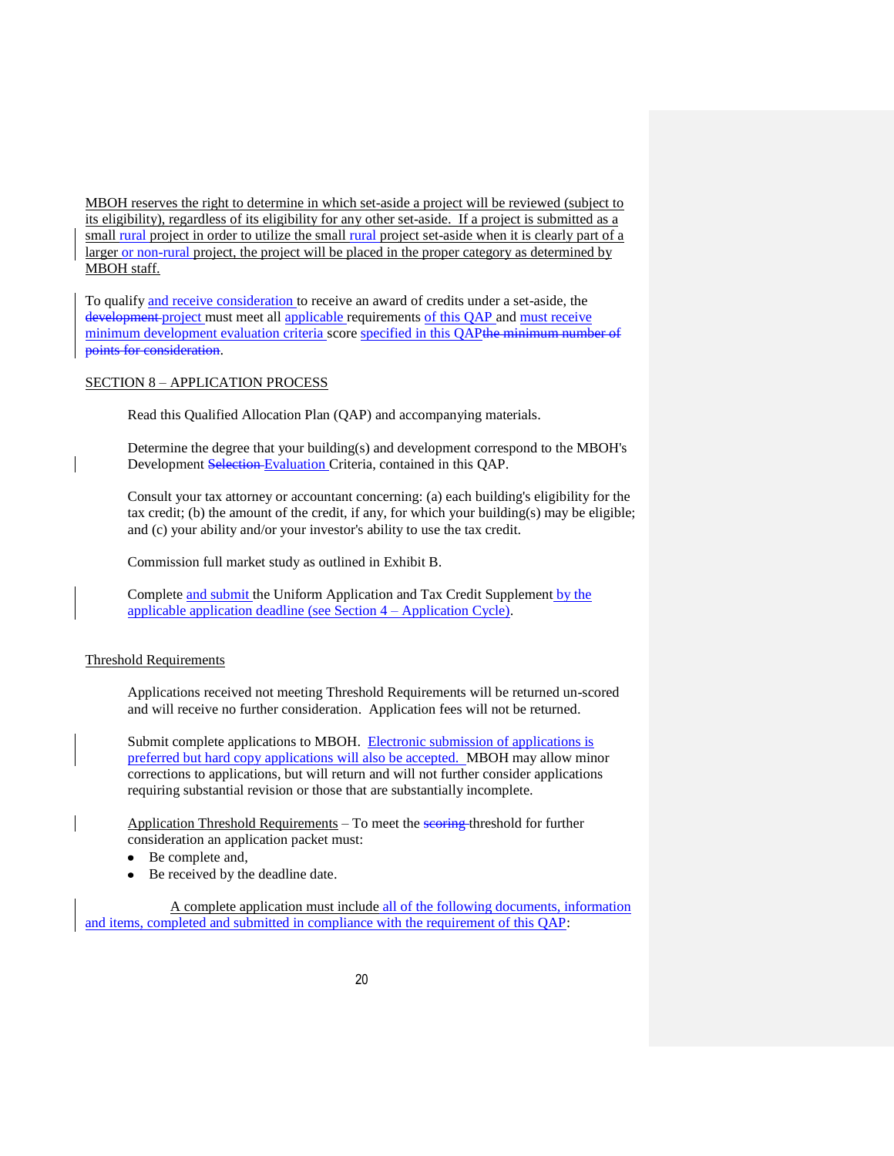MBOH reserves the right to determine in which set-aside a project will be reviewed (subject to its eligibility), regardless of its eligibility for any other set-aside. If a project is submitted as a small rural project in order to utilize the small rural project set-aside when it is clearly part of a larger or non-rural project, the project will be placed in the proper category as determined by MBOH staff.

To qualify and receive consideration to receive an award of credits under a set-aside, the development project must meet all applicable requirements of this QAP and must receive minimum development evaluation criteria score specified in this QAPthe minimum number of points for consideration.

#### SECTION 8 – APPLICATION PROCESS

Read this Qualified Allocation Plan (QAP) and accompanying materials.

Determine the degree that your building(s) and development correspond to the MBOH's Development Selection Evaluation Criteria, contained in this QAP.

Consult your tax attorney or accountant concerning: (a) each building's eligibility for the tax credit; (b) the amount of the credit, if any, for which your building(s) may be eligible; and (c) your ability and/or your investor's ability to use the tax credit.

Commission full market study as outlined in Exhibit B.

Complete and submit the Uniform Application and Tax Credit Supplement by the applicable application deadline (see Section 4 – Application Cycle).

#### Threshold Requirements

Applications received not meeting Threshold Requirements will be returned un-scored and will receive no further consideration. Application fees will not be returned.

Submit complete applications to MBOH. Electronic submission of applications is preferred but hard copy applications will also be accepted. MBOH may allow minor corrections to applications, but will return and will not further consider applications requiring substantial revision or those that are substantially incomplete.

Application Threshold Requirements – To meet the seering threshold for further consideration an application packet must:

- $\bullet$ Be complete and,
- Be received by the deadline date.

A complete application must include all of the following documents, information and items, completed and submitted in compliance with the requirement of this QAP: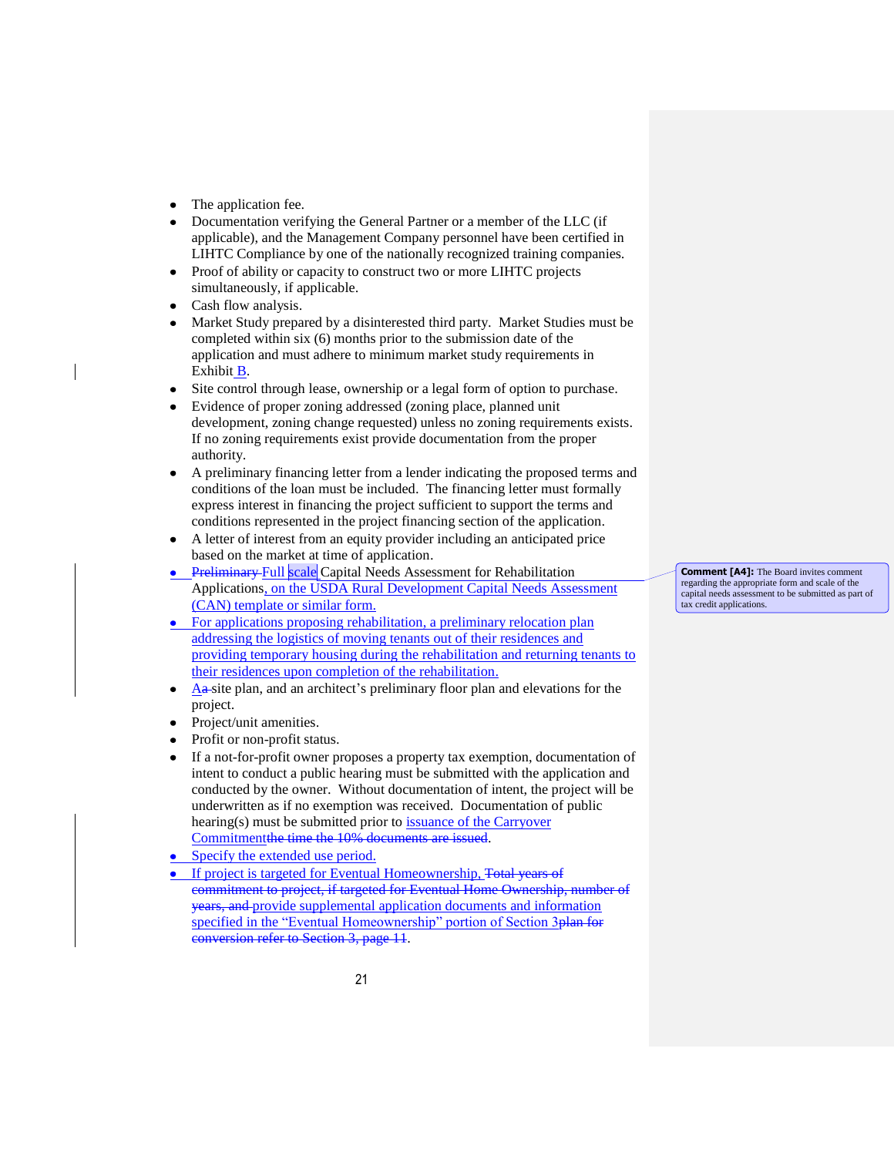- The application fee.
- Documentation verifying the General Partner or a member of the LLC (if applicable), and the Management Company personnel have been certified in LIHTC Compliance by one of the nationally recognized training companies.
- Proof of ability or capacity to construct two or more LIHTC projects simultaneously, if applicable.
- Cash flow analysis.
- Market Study prepared by a disinterested third party. Market Studies must be completed within six (6) months prior to the submission date of the application and must adhere to minimum market study requirements in Exhibit B.
- Site control through lease, ownership or a legal form of option to purchase.
- Evidence of proper zoning addressed (zoning place, planned unit development, zoning change requested) unless no zoning requirements exists. If no zoning requirements exist provide documentation from the proper authority.
- A preliminary financing letter from a lender indicating the proposed terms and conditions of the loan must be included. The financing letter must formally express interest in financing the project sufficient to support the terms and conditions represented in the project financing section of the application.
- A letter of interest from an equity provider including an anticipated price based on the market at time of application.
- **•** Preliminary Full scale Capital Needs Assessment for Rehabilitation Applications, on the USDA Rural Development Capital Needs Assessment (CAN) template or similar form.
- For applications proposing rehabilitation, a preliminary relocation plan addressing the logistics of moving tenants out of their residences and providing temporary housing during the rehabilitation and returning tenants to their residences upon completion of the rehabilitation.
- Aa site plan, and an architect's preliminary floor plan and elevations for the project.
- Project/unit amenities.
- Profit or non-profit status.
- If a not-for-profit owner proposes a property tax exemption, documentation of intent to conduct a public hearing must be submitted with the application and conducted by the owner. Without documentation of intent, the project will be underwritten as if no exemption was received. Documentation of public hearing(s) must be submitted prior to issuance of the Carryover Commitmentthe time the 10% documents are issued.
- Specify the extended use period.  $\bullet$
- If project is targeted for Eventual Homeownership, Total years of commitment to project, if targeted for Eventual Home Ownership, number of years, and provide supplemental application documents and information specified in the "Eventual Homeownership" portion of Section 3plan for conversion refer to Section 3, page 11.

**Comment [A4]:** The Board invites comment regarding the appropriate form and scale of the capital needs assessment to be submitted as part of tax credit applications.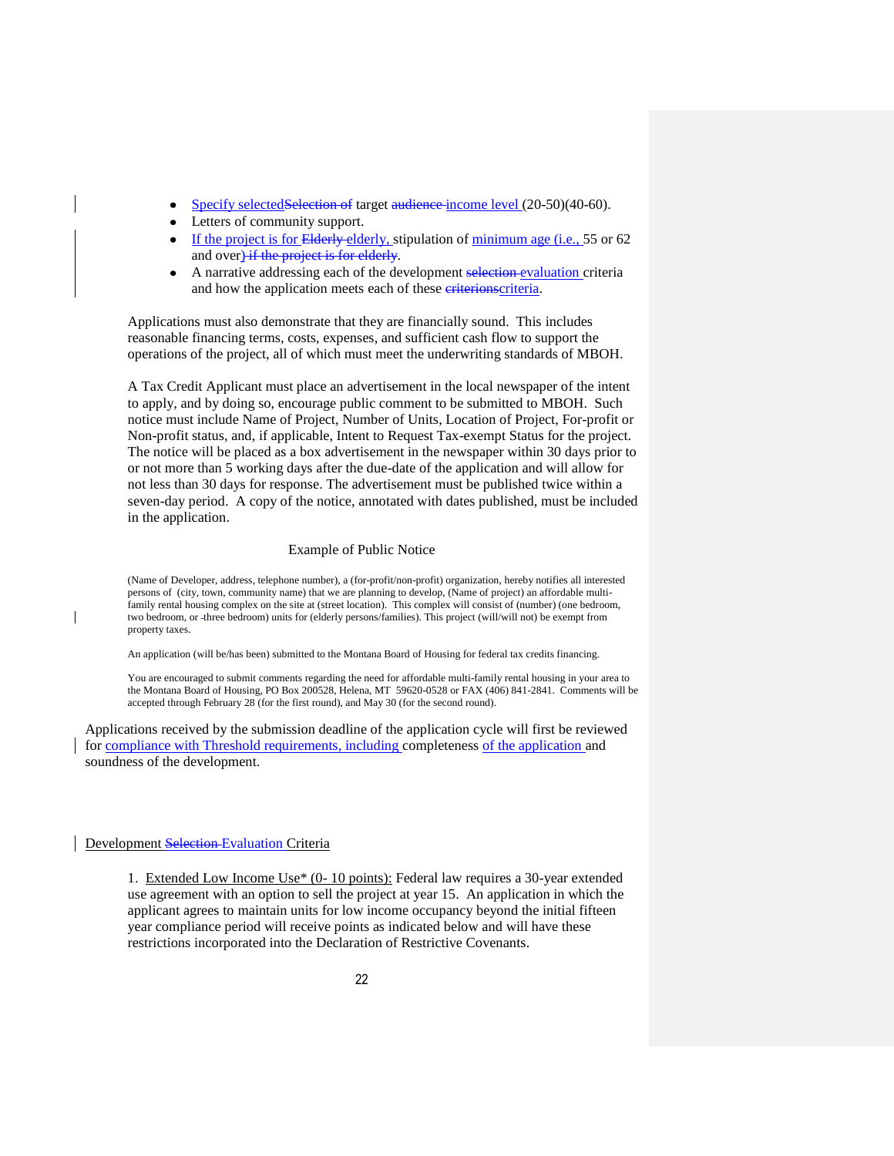- Specify selectedSelection of target audience-income level (20-50)(40-60).
- Letters of community support.
- If the project is for Elderly elderly, stipulation of minimum age (i.e., 55 or 62 and over) if the project is for elderly.
- A narrative addressing each of the development selection evaluation criteria and how the application meets each of these eriterionscriteria.

Applications must also demonstrate that they are financially sound. This includes reasonable financing terms, costs, expenses, and sufficient cash flow to support the operations of the project, all of which must meet the underwriting standards of MBOH.

A Tax Credit Applicant must place an advertisement in the local newspaper of the intent to apply, and by doing so, encourage public comment to be submitted to MBOH. Such notice must include Name of Project, Number of Units, Location of Project, For-profit or Non-profit status, and, if applicable, Intent to Request Tax-exempt Status for the project. The notice will be placed as a box advertisement in the newspaper within 30 days prior to or not more than 5 working days after the due-date of the application and will allow for not less than 30 days for response. The advertisement must be published twice within a seven-day period. A copy of the notice, annotated with dates published, must be included in the application.

#### Example of Public Notice

(Name of Developer, address, telephone number), a (for-profit/non-profit) organization, hereby notifies all interested persons of (city, town, community name) that we are planning to develop, (Name of project) an affordable multifamily rental housing complex on the site at (street location). This complex will consist of (number) (one bedroom, two bedroom, or three bedroom) units for (elderly persons/families). This project (will/will not) be exempt from property taxes.

An application (will be/has been) submitted to the Montana Board of Housing for federal tax credits financing.

You are encouraged to submit comments regarding the need for affordable multi-family rental housing in your area to the Montana Board of Housing, PO Box 200528, Helena, MT 59620-0528 or FAX (406) 841-2841. Comments will be accepted through February 28 (for the first round), and May 30 (for the second round).

Applications received by the submission deadline of the application cycle will first be reviewed for compliance with Threshold requirements, including completeness of the application and soundness of the development.

# Development Selection-Evaluation Criteria

1. Extended Low Income Use\* (0- 10 points): Federal law requires a 30-year extended use agreement with an option to sell the project at year 15. An application in which the applicant agrees to maintain units for low income occupancy beyond the initial fifteen year compliance period will receive points as indicated below and will have these restrictions incorporated into the Declaration of Restrictive Covenants.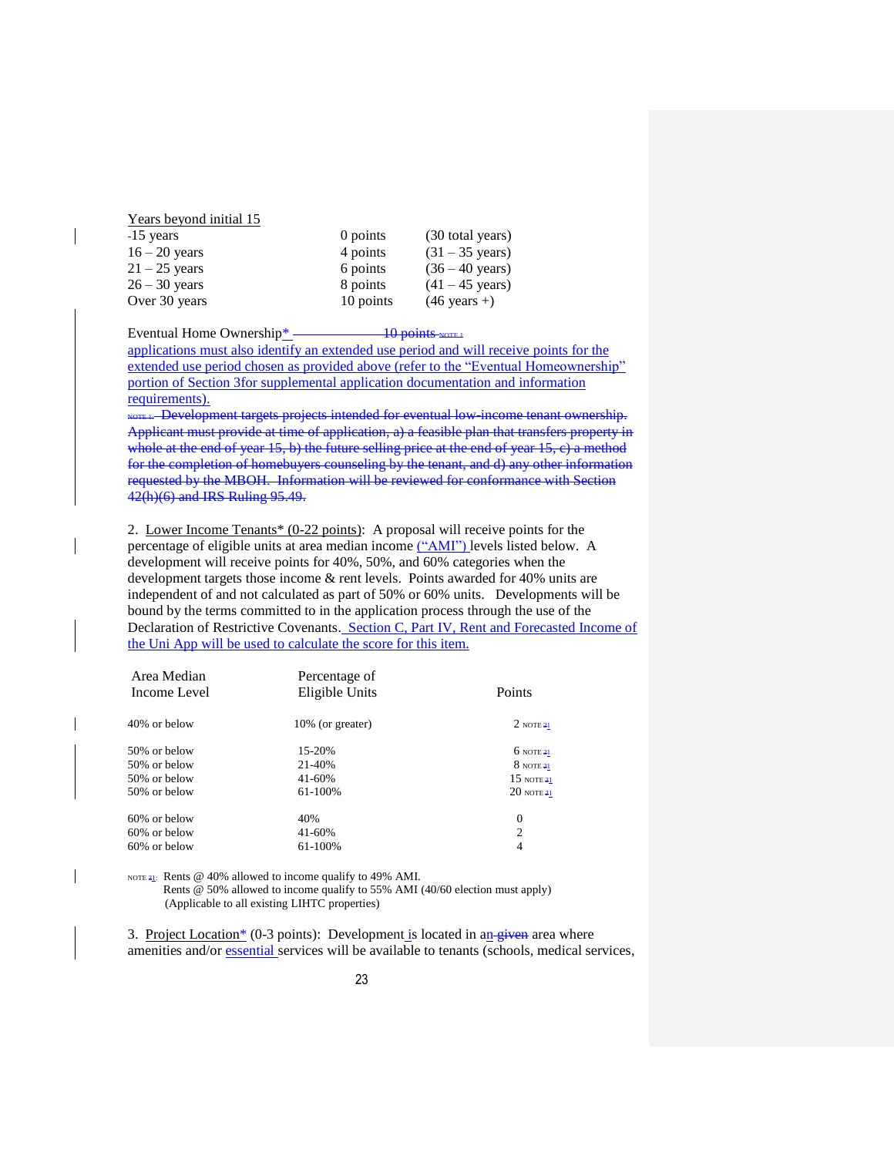| теат осубщи ппиат то |           |                           |
|----------------------|-----------|---------------------------|
| $-15$ years          | 0 points  | (30 total years)          |
| $16 - 20$ years      | 4 points  | $(31 - 35 \text{ years})$ |
| $21 - 25$ years      | 6 points  | $(36 - 40 \text{ years})$ |
| $26 - 30$ years      | 8 points  | $(41 - 45 \text{ years})$ |
| Over 30 years        | 10 points | $(46 \text{ years} +)$    |

Eventual Home Ownership\*  $\frac{10}{20}$  points NOTE 1

Years beyond initial 15

applications must also identify an extended use period and will receive points for the extended use period chosen as provided above (refer to the "Eventual Homeownership" portion of Section 3for supplemental application documentation and information requirements).

NOTE 1: Development targets projects intended for eventual low-income tenant ownership. Applicant must provide at time of application, a) a feasible plan that transfers property in whole at the end of year 15, b) the future selling price at the end of year 15, c) a method for the completion of homebuyers counseling by the tenant, and d) any other information requested by the MBOH. Information will be reviewed for conformance with Section 42(h)(6) and IRS Ruling 95.49.

2. Lower Income Tenants\* (0-22 points): A proposal will receive points for the percentage of eligible units at area median income ("AMI") levels listed below. A development will receive points for 40%, 50%, and 60% categories when the development targets those income & rent levels. Points awarded for 40% units are independent of and not calculated as part of 50% or 60% units. Developments will be bound by the terms committed to in the application process through the use of the Declaration of Restrictive Covenants. Section C, Part IV, Rent and Forecasted Income of the Uni App will be used to calculate the score for this item.

| Area Median<br>Income Level | Percentage of<br>Eligible Units | Points               |
|-----------------------------|---------------------------------|----------------------|
| 40% or below                | 10% (or greater)                | $2$ NOTE $21$        |
| 50% or below                | 15-20%                          | $6$ NOTE $21$        |
| 50% or below                | 21-40%                          | $8$ NOTE 21          |
| 50% or below                | $41 - 60%$                      | $15 \text{ nOTE}$ 21 |
| 50% or below                | 61-100%                         | $20$ NOTE $21$       |
| $60\%$ or below             | 40%                             | $\theta$             |
| 60% or below                | 41-60%                          | $\overline{c}$       |
| $60\%$ or below             | 61-100%                         | 4                    |

NOTE 21: Rents @ 40% allowed to income qualify to 49% AMI.

 Rents @ 50% allowed to income qualify to 55% AMI (40/60 election must apply) (Applicable to all existing LIHTC properties)

3. Project Location<sup>\*</sup> (0-3 points): Development is located in an given area where amenities and/or essential services will be available to tenants (schools, medical services,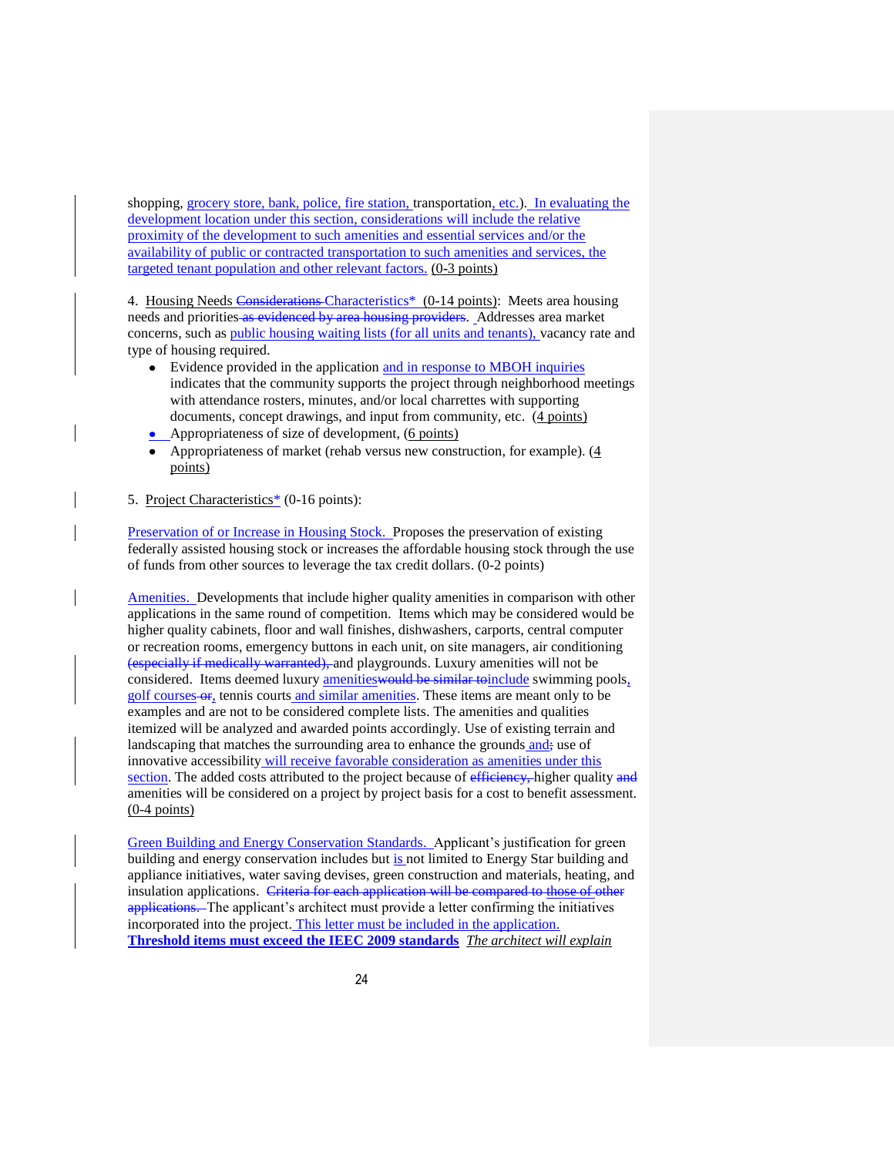shopping, grocery store, bank, police, fire station, transportation, etc.). In evaluating the development location under this section, considerations will include the relative proximity of the development to such amenities and essential services and/or the availability of public or contracted transportation to such amenities and services, the targeted tenant population and other relevant factors. (0**-**3 points)

4. Housing Needs Considerations Characteristics\* (0-14 points): Meets area housing needs and priorities as evidenced by area housing providers. Addresses area market concerns, such as public housing waiting lists (for all units and tenants), vacancy rate and type of housing required.

- $\bullet$ Evidence provided in the application and in response to MBOH inquiries indicates that the community supports the project through neighborhood meetings with attendance rosters, minutes, and/or local charrettes with supporting documents, concept drawings, and input from community, etc. (4 points)
- Appropriateness of size of development,  $(6 \text{ points})$
- Appropriateness of market (rehab versus new construction, for example). (4 points)
- 5. Project Characteristics\* (0-16 points):

Preservation of or Increase in Housing Stock. Proposes the preservation of existing federally assisted housing stock or increases the affordable housing stock through the use of funds from other sources to leverage the tax credit dollars. (0-2 points)

Amenities. Developments that include higher quality amenities in comparison with other applications in the same round of competition. Items which may be considered would be higher quality cabinets, floor and wall finishes, dishwashers, carports, central computer or recreation rooms, emergency buttons in each unit, on site managers, air conditioning (especially if medically warranted), and playgrounds. Luxury amenities will not be considered. Items deemed luxury amenities would be similar to include swimming pools, golf courses-or, tennis courts and similar amenities. These items are meant only to be examples and are not to be considered complete lists. The amenities and qualities itemized will be analyzed and awarded points accordingly. Use of existing terrain and landscaping that matches the surrounding area to enhance the grounds and; use of innovative accessibility will receive favorable consideration as amenities under this section. The added costs attributed to the project because of efficiency, higher quality and amenities will be considered on a project by project basis for a cost to benefit assessment. (0-4 points)

Green Building and Energy Conservation Standards. Applicant's justification for green building and energy conservation includes but is not limited to Energy Star building and appliance initiatives, water saving devises, green construction and materials, heating, and insulation applications. Criteria for each application will be compared to those of other applications. The applicant's architect must provide a letter confirming the initiatives incorporated into the project. This letter must be included in the application. **Threshold items must exceed the IEEC 2009 standards** *The architect will explain*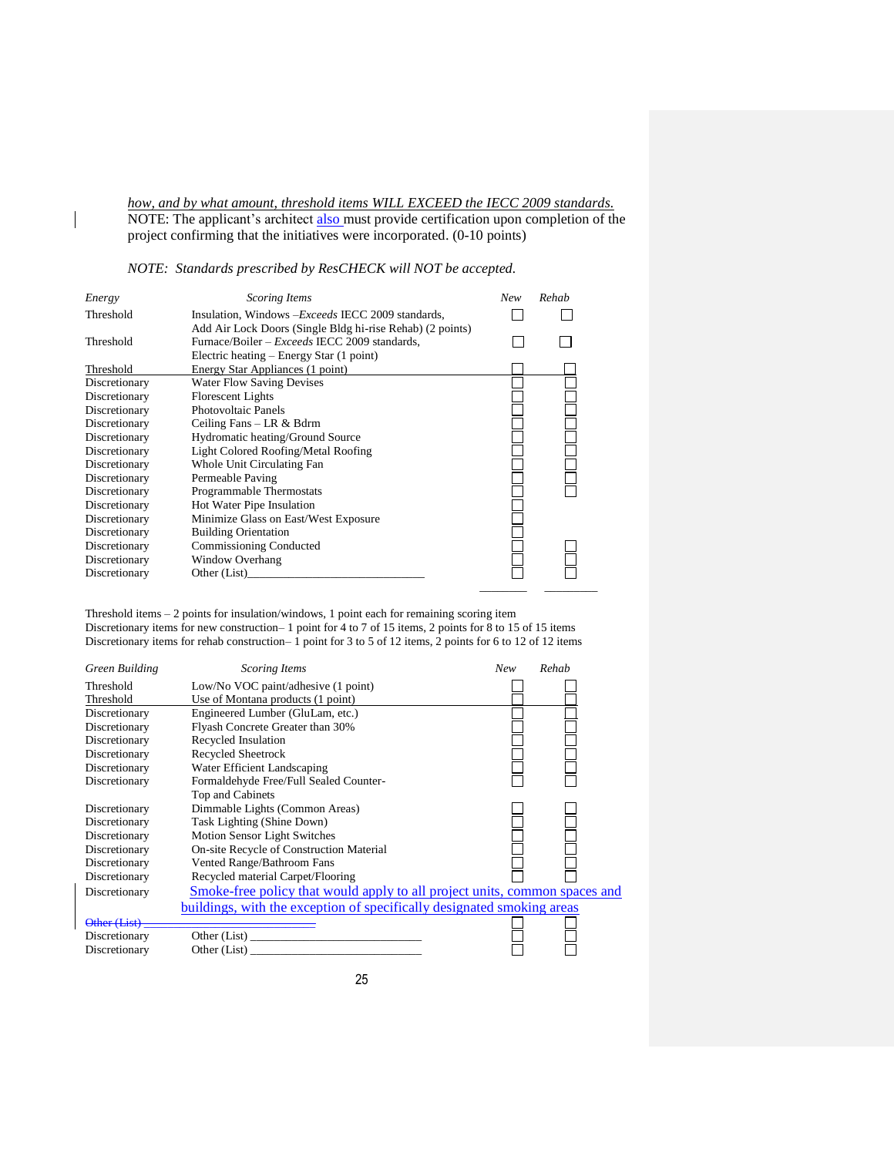*how, and by what amount, threshold items WILL EXCEED the IECC 2009 standards.* NOTE: The applicant's architect also must provide certification upon completion of the project confirming that the initiatives were incorporated. (0-10 points)

*NOTE: Standards prescribed by ResCHECK will NOT be accepted.*

 $\overline{\phantom{a}}$ 

| Energy        | Scoring Items                                             | New | Rehab |
|---------------|-----------------------------------------------------------|-----|-------|
| Threshold     | Insulation, Windows – <i>Exceeds</i> IECC 2009 standards, |     |       |
|               | Add Air Lock Doors (Single Bldg hi-rise Rehab) (2 points) |     |       |
| Threshold     | Furnace/Boiler – <i>Exceeds</i> IECC 2009 standards,      |     |       |
|               | Electric heating – Energy Star (1 point)                  |     |       |
| Threshold     | Energy Star Appliances (1 point)                          |     |       |
| Discretionary | <b>Water Flow Saving Devises</b>                          |     |       |
| Discretionary | <b>Florescent Lights</b>                                  |     |       |
| Discretionary | Photovoltaic Panels                                       |     |       |
| Discretionary | Ceiling Fans – LR & Bdrm                                  |     |       |
| Discretionary | Hydromatic heating/Ground Source                          |     |       |
| Discretionary | Light Colored Roofing/Metal Roofing                       |     |       |
| Discretionary | Whole Unit Circulating Fan                                |     |       |
| Discretionary | Permeable Paving                                          |     |       |
| Discretionary | Programmable Thermostats                                  |     |       |
| Discretionary | Hot Water Pipe Insulation                                 |     |       |
| Discretionary | Minimize Glass on East/West Exposure                      |     |       |
| Discretionary | <b>Building Orientation</b>                               |     |       |
| Discretionary | <b>Commissioning Conducted</b>                            |     |       |
| Discretionary | Window Overhang                                           |     |       |
| Discretionary | Other (List)                                              |     |       |
|               |                                                           |     |       |

Threshold items – 2 points for insulation/windows, 1 point each for remaining scoring item

Discretionary items for new construction– 1 point for 4 to 7 of 15 items, 2 points for 8 to 15 of 15 items Discretionary items for rehab construction– 1 point for 3 to 5 of 12 items, 2 points for 6 to 12 of 12 items

| Green Building | <b>Scoring Items</b>                                                       | New | Rehab |
|----------------|----------------------------------------------------------------------------|-----|-------|
| Threshold      | Low/No VOC paint/adhesive (1 point)                                        |     |       |
| Threshold      | Use of Montana products (1 point)                                          |     |       |
| Discretionary  | Engineered Lumber (GluLam, etc.)                                           |     |       |
| Discretionary  | Flyash Concrete Greater than 30%                                           |     |       |
| Discretionary  | Recycled Insulation                                                        |     |       |
| Discretionary  | Recycled Sheetrock                                                         |     |       |
| Discretionary  | Water Efficient Landscaping                                                |     |       |
| Discretionary  | Formaldehyde Free/Full Sealed Counter-                                     |     |       |
|                | Top and Cabinets                                                           |     |       |
| Discretionary  | Dimmable Lights (Common Areas)                                             |     |       |
| Discretionary  | Task Lighting (Shine Down)                                                 |     |       |
| Discretionary  | Motion Sensor Light Switches                                               |     |       |
| Discretionary  | On-site Recycle of Construction Material                                   |     |       |
| Discretionary  | Vented Range/Bathroom Fans                                                 |     |       |
| Discretionary  | Recycled material Carpet/Flooring                                          |     |       |
| Discretionary  | Smoke-free policy that would apply to all project units, common spaces and |     |       |
|                | buildings, with the exception of specifically designated smoking areas     |     |       |
| Other (List)   |                                                                            |     |       |
| Discretionary  | Other (List)                                                               |     |       |
| Discretionary  | Other (List)                                                               |     |       |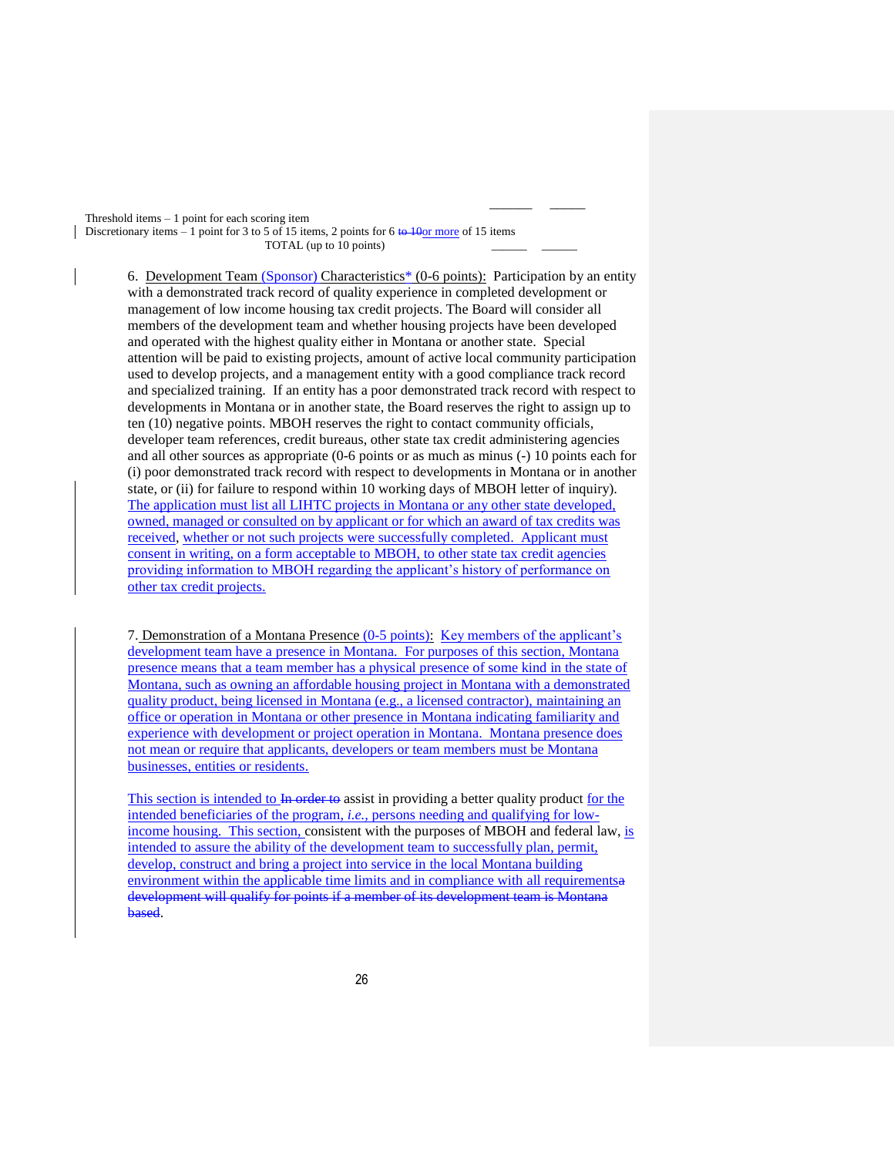Threshold items  $-1$  point for each scoring item Discretionary items – 1 point for 3 to 5 of 15 items, 2 points for 6 to 10or more of 15 items TOTAL (up to 10 points)

6. Development Team (Sponsor) Characteristics\* (0-6 points): Participation by an entity with a demonstrated track record of quality experience in completed development or management of low income housing tax credit projects. The Board will consider all members of the development team and whether housing projects have been developed and operated with the highest quality either in Montana or another state. Special attention will be paid to existing projects, amount of active local community participation used to develop projects, and a management entity with a good compliance track record and specialized training. If an entity has a poor demonstrated track record with respect to developments in Montana or in another state, the Board reserves the right to assign up to ten (10) negative points. MBOH reserves the right to contact community officials, developer team references, credit bureaus, other state tax credit administering agencies and all other sources as appropriate (0-6 points or as much as minus (-) 10 points each for (i) poor demonstrated track record with respect to developments in Montana or in another state, or (ii) for failure to respond within 10 working days of MBOH letter of inquiry). The application must list all LIHTC projects in Montana or any other state developed, owned, managed or consulted on by applicant or for which an award of tax credits was received, whether or not such projects were successfully completed. Applicant must consent in writing, on a form acceptable to MBOH, to other state tax credit agencies providing information to MBOH regarding the applicant's history of performance on other tax credit projects.

 $\mathcal{L}_\text{max}$  , which is a set of the set of the set of the set of the set of the set of the set of the set of the set of the set of the set of the set of the set of the set of the set of the set of the set of the set of

7. Demonstration of a Montana Presence (0-5 points): Key members of the applicant's development team have a presence in Montana. For purposes of this section, Montana presence means that a team member has a physical presence of some kind in the state of Montana, such as owning an affordable housing project in Montana with a demonstrated quality product, being licensed in Montana (e.g., a licensed contractor), maintaining an office or operation in Montana or other presence in Montana indicating familiarity and experience with development or project operation in Montana. Montana presence does not mean or require that applicants, developers or team members must be Montana businesses, entities or residents.

This section is intended to In order to assist in providing a better quality product for the intended beneficiaries of the program, *i.e.,* persons needing and qualifying for lowincome housing. This section, consistent with the purposes of MBOH and federal law, is intended to assure the ability of the development team to successfully plan, permit, develop, construct and bring a project into service in the local Montana building environment within the applicable time limits and in compliance with all requirementsa development will qualify for points if a member of its development team is Montana based.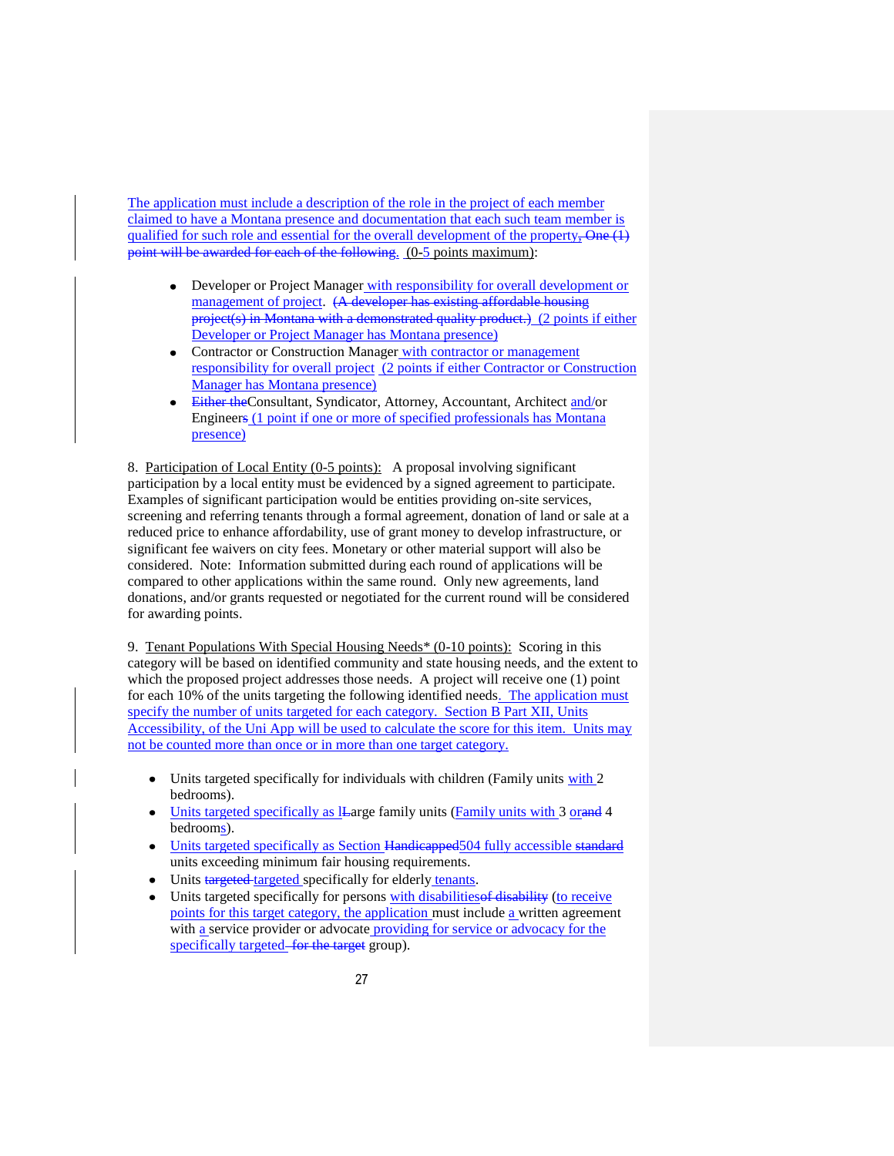The application must include a description of the role in the project of each member claimed to have a Montana presence and documentation that each such team member is qualified for such role and essential for the overall development of the property,  $\overline{\text{One}(1)}$ point will be awarded for each of the following. (0**-**5 points maximum):

- Developer or Project Manager with responsibility for overall development or management of project. (A developer has existing affordable housing project(s) in Montana with a demonstrated quality product.) (2 points if either Developer or Project Manager has Montana presence)
- Contractor or Construction Manager with contractor or management responsibility for overall project (2 points if either Contractor or Construction Manager has Montana presence)
- Either theConsultant, Syndicator, Attorney, Accountant, Architect and/or Engineers (1 point if one or more of specified professionals has Montana presence)

8. Participation of Local Entity (0-5 points): A proposal involving significant participation by a local entity must be evidenced by a signed agreement to participate. Examples of significant participation would be entities providing on-site services, screening and referring tenants through a formal agreement, donation of land or sale at a reduced price to enhance affordability, use of grant money to develop infrastructure, or significant fee waivers on city fees. Monetary or other material support will also be considered. Note: Information submitted during each round of applications will be compared to other applications within the same round. Only new agreements, land donations, and/or grants requested or negotiated for the current round will be considered for awarding points.

9. Tenant Populations With Special Housing Needs\* (0-10 points): Scoring in this category will be based on identified community and state housing needs, and the extent to which the proposed project addresses those needs. A project will receive one  $(1)$  point for each 10% of the units targeting the following identified needs. The application must specify the number of units targeted for each category. Section B Part XII, Units Accessibility, of the Uni App will be used to calculate the score for this item. Units may not be counted more than once or in more than one target category.

- Units targeted specifically for individuals with children (Family units with 2  $\bullet$ bedrooms).
- Units targeted specifically as lLarge family units (Family units with 3 orand 4 bedrooms).
- Units targeted specifically as Section Handicapped504 fully accessible standard units exceeding minimum fair housing requirements.
- Units targeted targeted specifically for elderly tenants.
- Units targeted specifically for persons with disabilities of disability (to receive points for this target category, the application must include a written agreement with a service provider or advocate providing for service or advocacy for the specifically targeted–for the target group).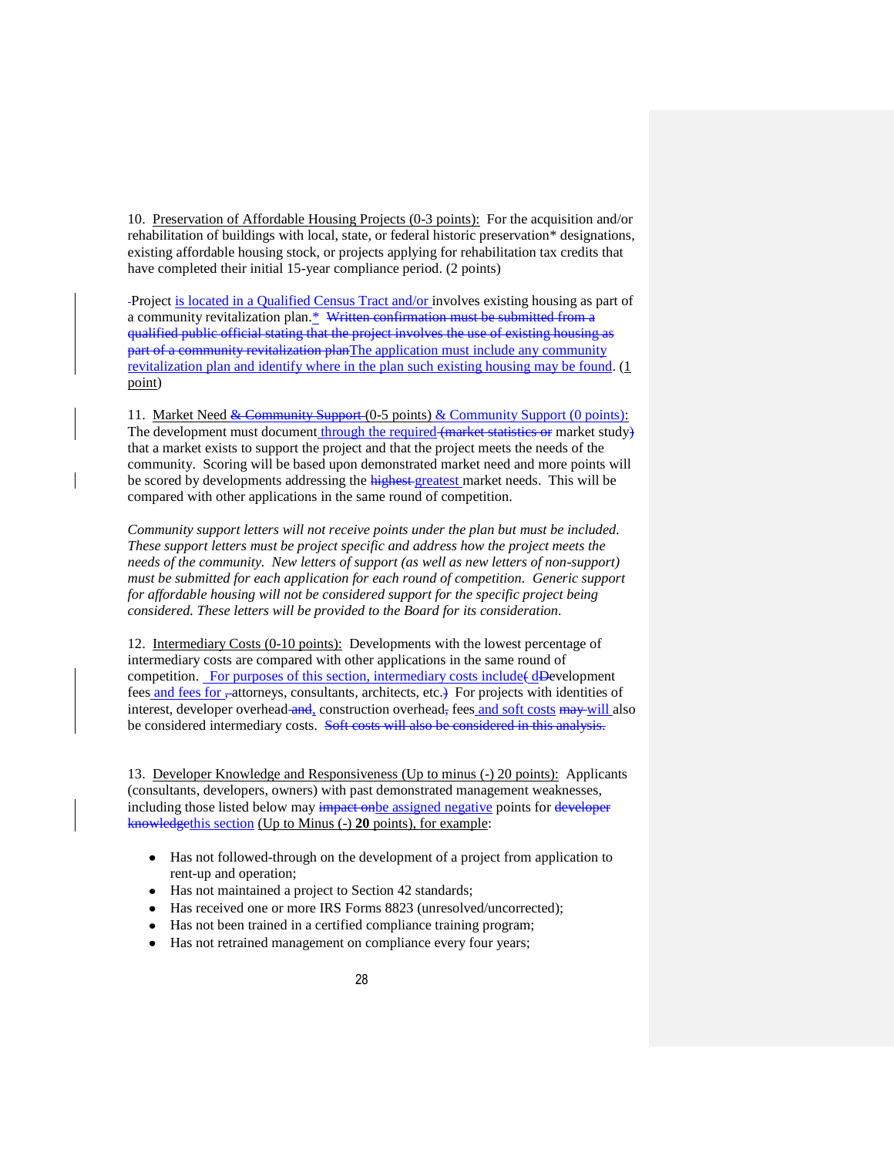10. Preservation of Affordable Housing Projects (0-3 points): For the acquisition and/or rehabilitation of buildings with local, state, or federal historic preservation\* designations, existing affordable housing stock, or projects applying for rehabilitation tax credits that have completed their initial 15-year compliance period. (2 points)

Project is located in a Qualified Census Tract and/or involves existing housing as part of a community revitalization plan.\* Written confirmation must be submitted from a qualified public official stating that the project involves the use of existing housing as part of a community revitalization planThe application must include any community revitalization plan and identify where in the plan such existing housing may be found. (1 point)

11. Market Need & Community Support (0-5 points) & Community Support (0 points): The development must document through the required (market statistics or market study) that a market exists to support the project and that the project meets the needs of the community. Scoring will be based upon demonstrated market need and more points will be scored by developments addressing the highest greatest market needs. This will be compared with other applications in the same round of competition.

*Community support letters will not receive points under the plan but must be included. These support letters must be project specific and address how the project meets the needs of the community. New letters of support (as well as new letters of non-support) must be submitted for each application for each round of competition. Generic support for affordable housing will not be considered support for the specific project being considered. These letters will be provided to the Board for its consideration.*

12. Intermediary Costs (0-10 points): Developments with the lowest percentage of intermediary costs are compared with other applications in the same round of competition. For purposes of this section, intermediary costs include(dDevelopment fees and fees for -attorneys, consultants, architects, etc.) For projects with identities of interest, developer overhead and, construction overhead, fees and soft costs may will also be considered intermediary costs. Soft costs will also be considered in this analysis.

13. Developer Knowledge and Responsiveness (Up to minus (-) 20 points): Applicants (consultants, developers, owners) with past demonstrated management weaknesses, including those listed below may impact on be assigned negative points for developer knowledgethis section (Up to Minus (-) **20** points), for example:

- Has not followed-through on the development of a project from application to rent-up and operation;
- Has not maintained a project to Section 42 standards;
- Has received one or more IRS Forms 8823 (unresolved/uncorrected);
- Has not been trained in a certified compliance training program;  $\bullet$
- Has not retrained management on compliance every four years;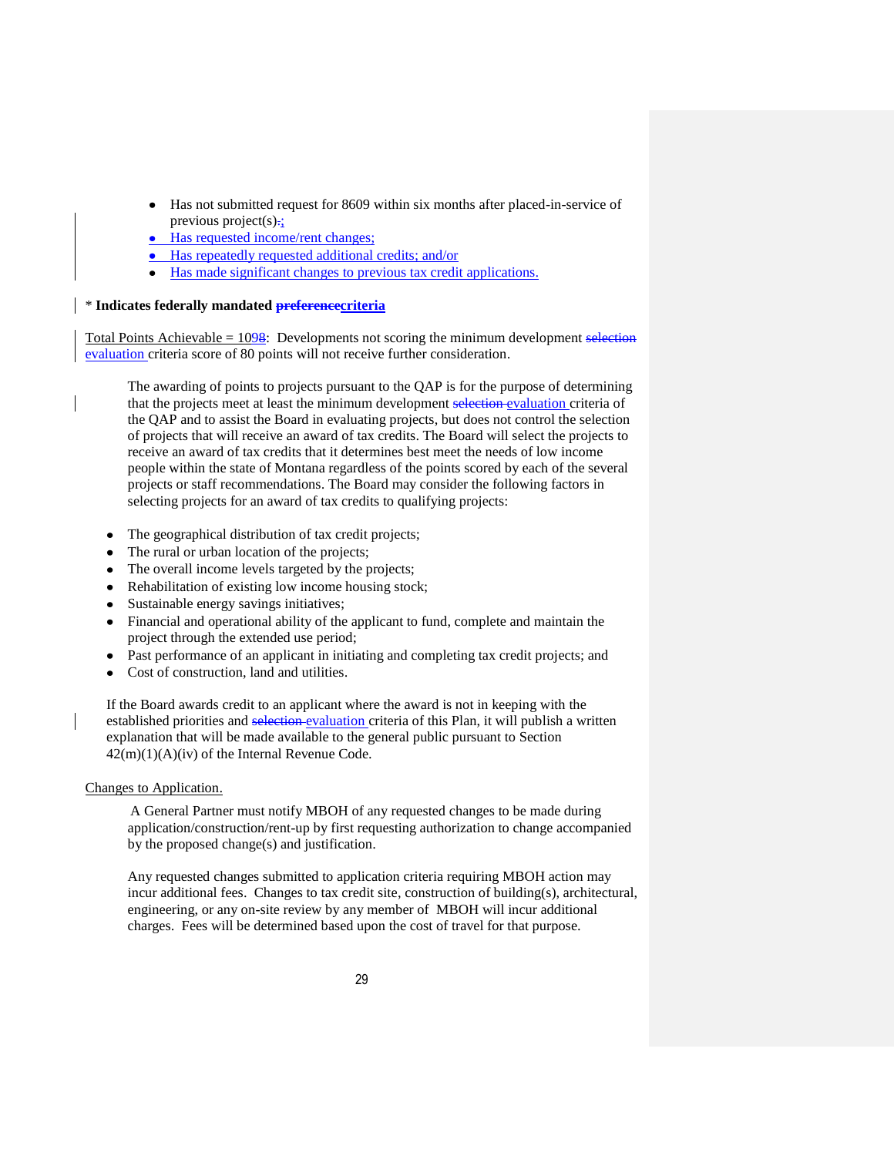- Has not submitted request for 8609 within six months after placed-in-service of previous project(s) $\div$ ;
- Has requested income/rent changes;
- Has repeatedly requested additional credits; and/or
- Has made significant changes to previous tax credit applications.

#### \* **Indicates federally mandated preferencecriteria**

Total Points Achievable  $= 1098$ : Developments not scoring the minimum development selection evaluation criteria score of 80 points will not receive further consideration.

The awarding of points to projects pursuant to the QAP is for the purpose of determining that the projects meet at least the minimum development selection evaluation criteria of the QAP and to assist the Board in evaluating projects, but does not control the selection of projects that will receive an award of tax credits. The Board will select the projects to receive an award of tax credits that it determines best meet the needs of low income people within the state of Montana regardless of the points scored by each of the several projects or staff recommendations. The Board may consider the following factors in selecting projects for an award of tax credits to qualifying projects:

- $\bullet$ The geographical distribution of tax credit projects;
- The rural or urban location of the projects;
- The overall income levels targeted by the projects;
- Rehabilitation of existing low income housing stock;
- Sustainable energy savings initiatives;
- Financial and operational ability of the applicant to fund, complete and maintain the  $\bullet$ project through the extended use period;
- Past performance of an applicant in initiating and completing tax credit projects; and
- Cost of construction, land and utilities.

If the Board awards credit to an applicant where the award is not in keeping with the established priorities and selection evaluation criteria of this Plan, it will publish a written explanation that will be made available to the general public pursuant to Section 42(m)(1)(A)(iv) of the Internal Revenue Code.

Changes to Application.

A General Partner must notify MBOH of any requested changes to be made during application/construction/rent-up by first requesting authorization to change accompanied by the proposed change(s) and justification.

Any requested changes submitted to application criteria requiring MBOH action may incur additional fees. Changes to tax credit site, construction of building(s), architectural, engineering, or any on-site review by any member of MBOH will incur additional charges. Fees will be determined based upon the cost of travel for that purpose.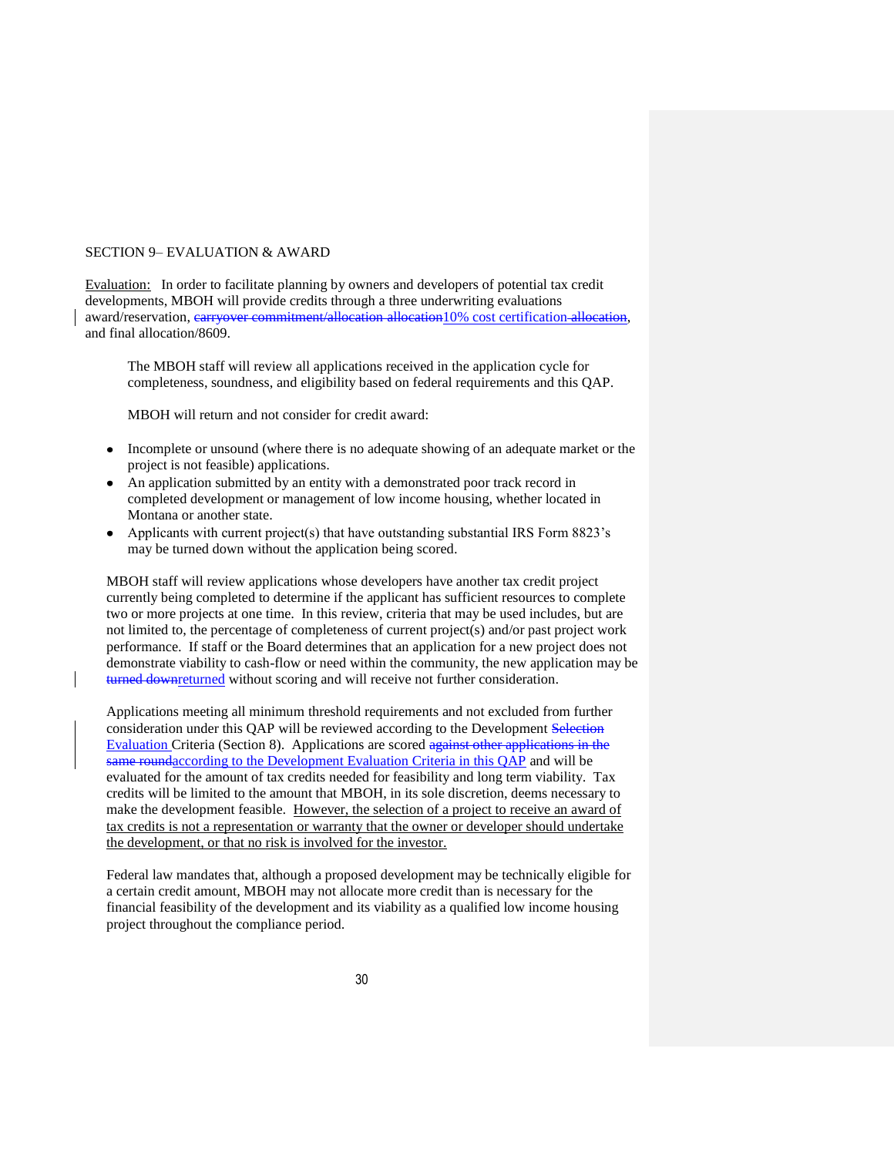#### SECTION 9– EVALUATION & AWARD

Evaluation: In order to facilitate planning by owners and developers of potential tax credit developments, MBOH will provide credits through a three underwriting evaluations award/reservation, carryover commitment/allocation allocation10% cost certification allocation, and final allocation/8609.

The MBOH staff will review all applications received in the application cycle for completeness, soundness, and eligibility based on federal requirements and this QAP.

MBOH will return and not consider for credit award:

- Incomplete or unsound (where there is no adequate showing of an adequate market or the project is not feasible) applications.
- An application submitted by an entity with a demonstrated poor track record in completed development or management of low income housing, whether located in Montana or another state.
- Applicants with current project(s) that have outstanding substantial IRS Form 8823's may be turned down without the application being scored.

MBOH staff will review applications whose developers have another tax credit project currently being completed to determine if the applicant has sufficient resources to complete two or more projects at one time. In this review, criteria that may be used includes, but are not limited to, the percentage of completeness of current project(s) and/or past project work performance. If staff or the Board determines that an application for a new project does not demonstrate viability to cash-flow or need within the community, the new application may be turned downreturned without scoring and will receive not further consideration.

Applications meeting all minimum threshold requirements and not excluded from further consideration under this QAP will be reviewed according to the Development Selection Evaluation Criteria (Section 8). Applications are scored against other applications in the same roundaccording to the Development Evaluation Criteria in this QAP and will be evaluated for the amount of tax credits needed for feasibility and long term viability. Tax credits will be limited to the amount that MBOH, in its sole discretion, deems necessary to make the development feasible. However, the selection of a project to receive an award of tax credits is not a representation or warranty that the owner or developer should undertake the development, or that no risk is involved for the investor.

Federal law mandates that, although a proposed development may be technically eligible for a certain credit amount, MBOH may not allocate more credit than is necessary for the financial feasibility of the development and its viability as a qualified low income housing project throughout the compliance period.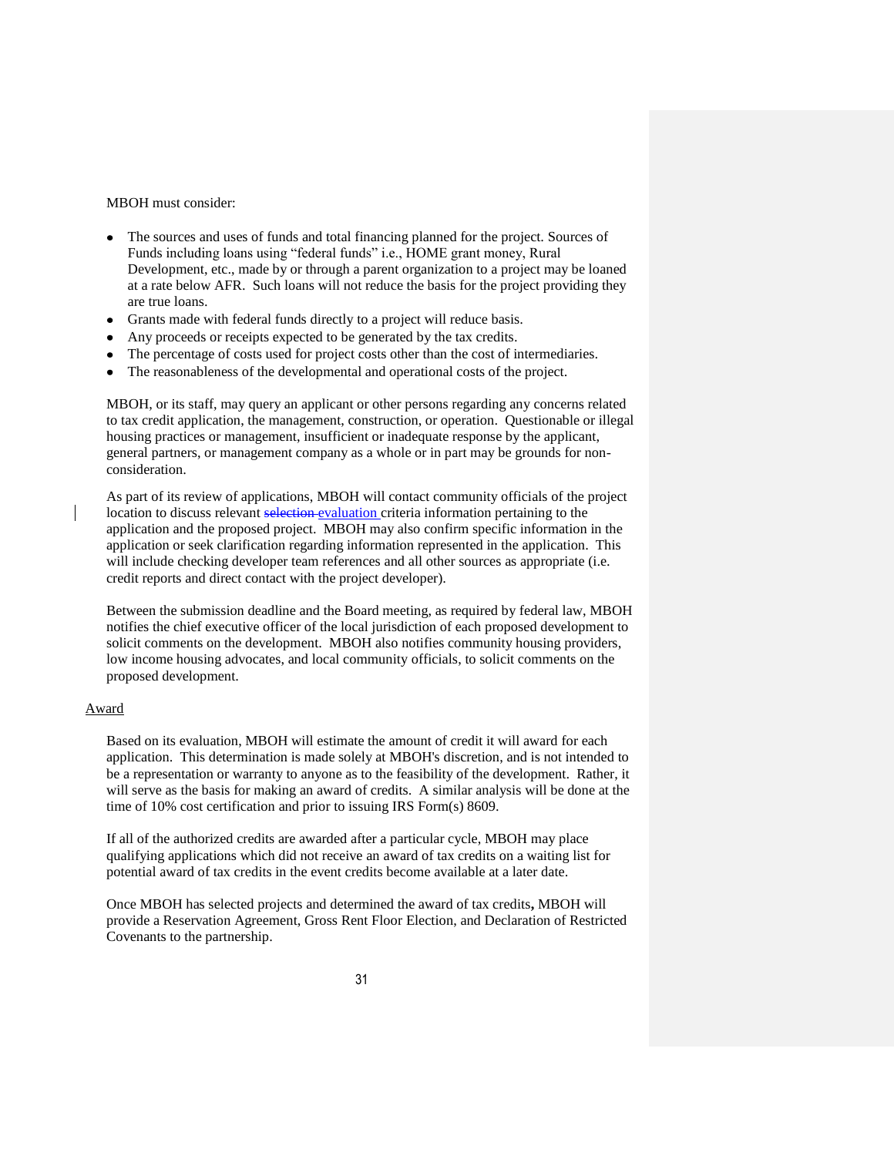#### MBOH must consider:

- The sources and uses of funds and total financing planned for the project. Sources of Funds including loans using "federal funds" i.e., HOME grant money, Rural Development, etc., made by or through a parent organization to a project may be loaned at a rate below AFR. Such loans will not reduce the basis for the project providing they are true loans.
- Grants made with federal funds directly to a project will reduce basis.
- Any proceeds or receipts expected to be generated by the tax credits.
- The percentage of costs used for project costs other than the cost of intermediaries.
- The reasonableness of the developmental and operational costs of the project.

MBOH, or its staff, may query an applicant or other persons regarding any concerns related to tax credit application, the management, construction, or operation. Questionable or illegal housing practices or management, insufficient or inadequate response by the applicant, general partners, or management company as a whole or in part may be grounds for nonconsideration.

As part of its review of applications, MBOH will contact community officials of the project location to discuss relevant selection evaluation criteria information pertaining to the application and the proposed project. MBOH may also confirm specific information in the application or seek clarification regarding information represented in the application. This will include checking developer team references and all other sources as appropriate (i.e. credit reports and direct contact with the project developer).

Between the submission deadline and the Board meeting, as required by federal law, MBOH notifies the chief executive officer of the local jurisdiction of each proposed development to solicit comments on the development. MBOH also notifies community housing providers, low income housing advocates, and local community officials, to solicit comments on the proposed development.

#### Award

Based on its evaluation, MBOH will estimate the amount of credit it will award for each application. This determination is made solely at MBOH's discretion, and is not intended to be a representation or warranty to anyone as to the feasibility of the development. Rather, it will serve as the basis for making an award of credits. A similar analysis will be done at the time of 10% cost certification and prior to issuing IRS Form(s) 8609.

If all of the authorized credits are awarded after a particular cycle, MBOH may place qualifying applications which did not receive an award of tax credits on a waiting list for potential award of tax credits in the event credits become available at a later date.

Once MBOH has selected projects and determined the award of tax credits**,** MBOH will provide a Reservation Agreement, Gross Rent Floor Election, and Declaration of Restricted Covenants to the partnership.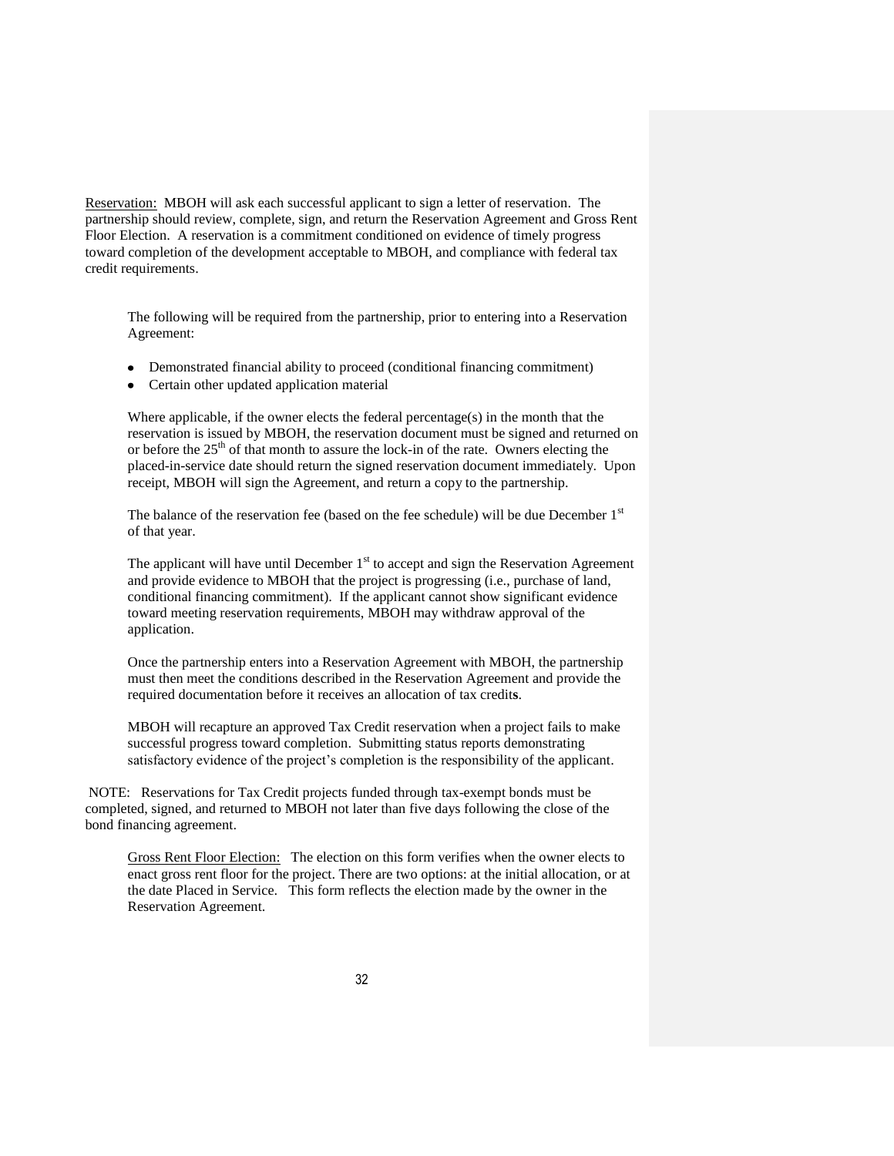Reservation:MBOH will ask each successful applicant to sign a letter of reservation. The partnership should review, complete, sign, and return the Reservation Agreement and Gross Rent Floor Election. A reservation is a commitment conditioned on evidence of timely progress toward completion of the development acceptable to MBOH, and compliance with federal tax credit requirements.

The following will be required from the partnership, prior to entering into a Reservation Agreement:

- Demonstrated financial ability to proceed (conditional financing commitment)
- Certain other updated application material

Where applicable, if the owner elects the federal percentage(s) in the month that the reservation is issued by MBOH, the reservation document must be signed and returned on or before the 25<sup>th</sup> of that month to assure the lock-in of the rate. Owners electing the placed-in-service date should return the signed reservation document immediately. Upon receipt, MBOH will sign the Agreement, and return a copy to the partnership.

The balance of the reservation fee (based on the fee schedule) will be due December  $1<sup>st</sup>$ of that year.

The applicant will have until December  $1<sup>st</sup>$  to accept and sign the Reservation Agreement and provide evidence to MBOH that the project is progressing (i.e., purchase of land, conditional financing commitment). If the applicant cannot show significant evidence toward meeting reservation requirements, MBOH may withdraw approval of the application.

Once the partnership enters into a Reservation Agreement with MBOH, the partnership must then meet the conditions described in the Reservation Agreement and provide the required documentation before it receives an allocation of tax credit**s**.

MBOH will recapture an approved Tax Credit reservation when a project fails to make successful progress toward completion. Submitting status reports demonstrating satisfactory evidence of the project's completion is the responsibility of the applicant.

NOTE: Reservations for Tax Credit projects funded through tax-exempt bonds must be completed, signed, and returned to MBOH not later than five days following the close of the bond financing agreement.

Gross Rent Floor Election: The election on this form verifies when the owner elects to enact gross rent floor for the project. There are two options: at the initial allocation, or at the date Placed in Service. This form reflects the election made by the owner in the Reservation Agreement.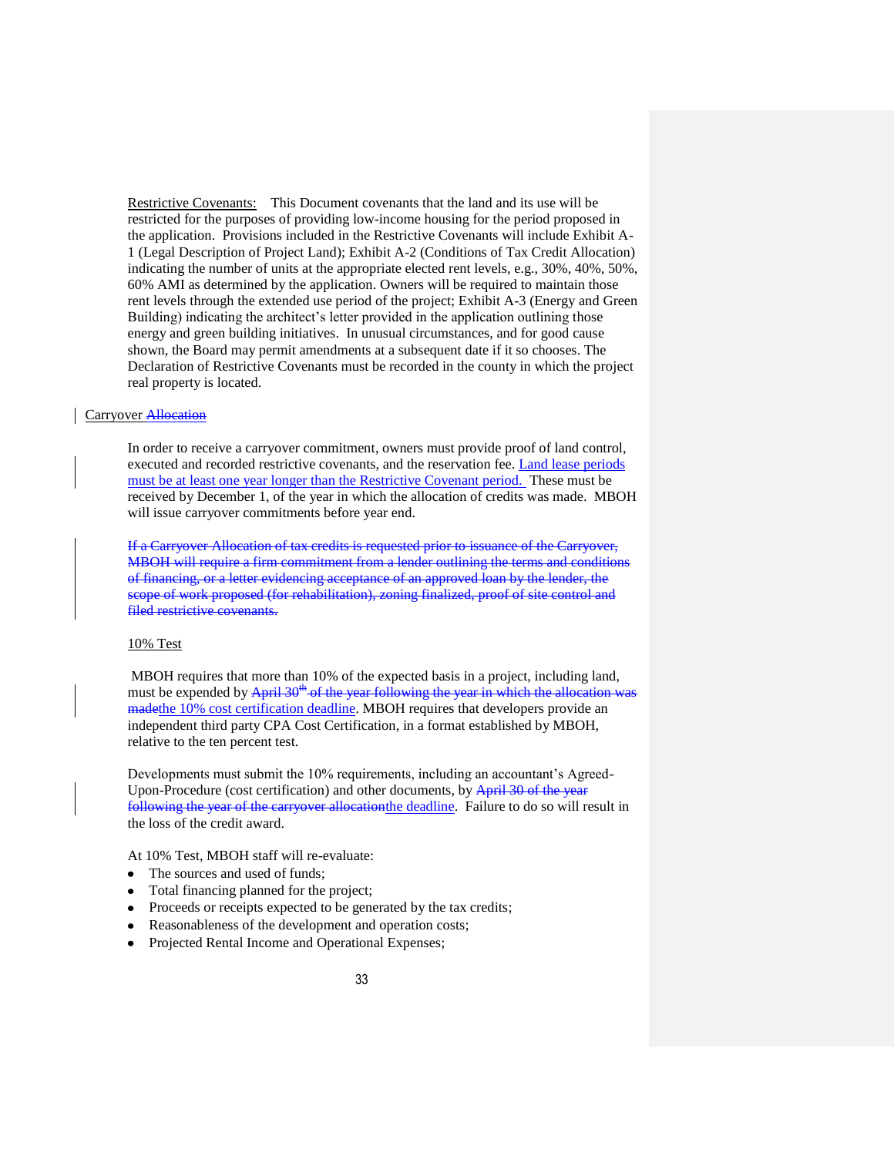Restrictive Covenants: This Document covenants that the land and its use will be restricted for the purposes of providing low-income housing for the period proposed in the application. Provisions included in the Restrictive Covenants will include Exhibit A-1 (Legal Description of Project Land); Exhibit A-2 (Conditions of Tax Credit Allocation) indicating the number of units at the appropriate elected rent levels, e.g., 30%, 40%, 50%, 60% AMI as determined by the application. Owners will be required to maintain those rent levels through the extended use period of the project; Exhibit A-3 (Energy and Green Building) indicating the architect's letter provided in the application outlining those energy and green building initiatives. In unusual circumstances, and for good cause shown, the Board may permit amendments at a subsequent date if it so chooses. The Declaration of Restrictive Covenants must be recorded in the county in which the project real property is located.

# Carryover Allocation

In order to receive a carryover commitment, owners must provide proof of land control, executed and recorded restrictive covenants, and the reservation fee. Land lease periods must be at least one year longer than the Restrictive Covenant period. These must be received by December 1, of the year in which the allocation of credits was made. MBOH will issue carryover commitments before year end.

If a Carryover Allocation of tax credits is requested prior to issuance of the Carryover, MBOH will require a firm commitment from a lender outlining the terms and conditions of financing, or a letter evidencing acceptance of an approved loan by the lender, the scope of work proposed (for rehabilitation), zoning finalized, proof of site control and filed restrictive covenants.

#### 10% Test

MBOH requires that more than 10% of the expected basis in a project, including land, must be expended by  $\Delta \text{pril } 30^{\text{th}}$  of the year following the year in which the allocation was madethe 10% cost certification deadline. MBOH requires that developers provide an independent third party CPA Cost Certification, in a format established by MBOH, relative to the ten percent test.

Developments must submit the 10% requirements, including an accountant's Agreed-Upon-Procedure (cost certification) and other documents, by April 30 of the year following the year of the carryover allocationthe deadline. Failure to do so will result in the loss of the credit award.

At 10% Test, MBOH staff will re-evaluate:

- $\bullet$ The sources and used of funds;
- Total financing planned for the project;
- Proceeds or receipts expected to be generated by the tax credits;
- Reasonableness of the development and operation costs;
- Projected Rental Income and Operational Expenses;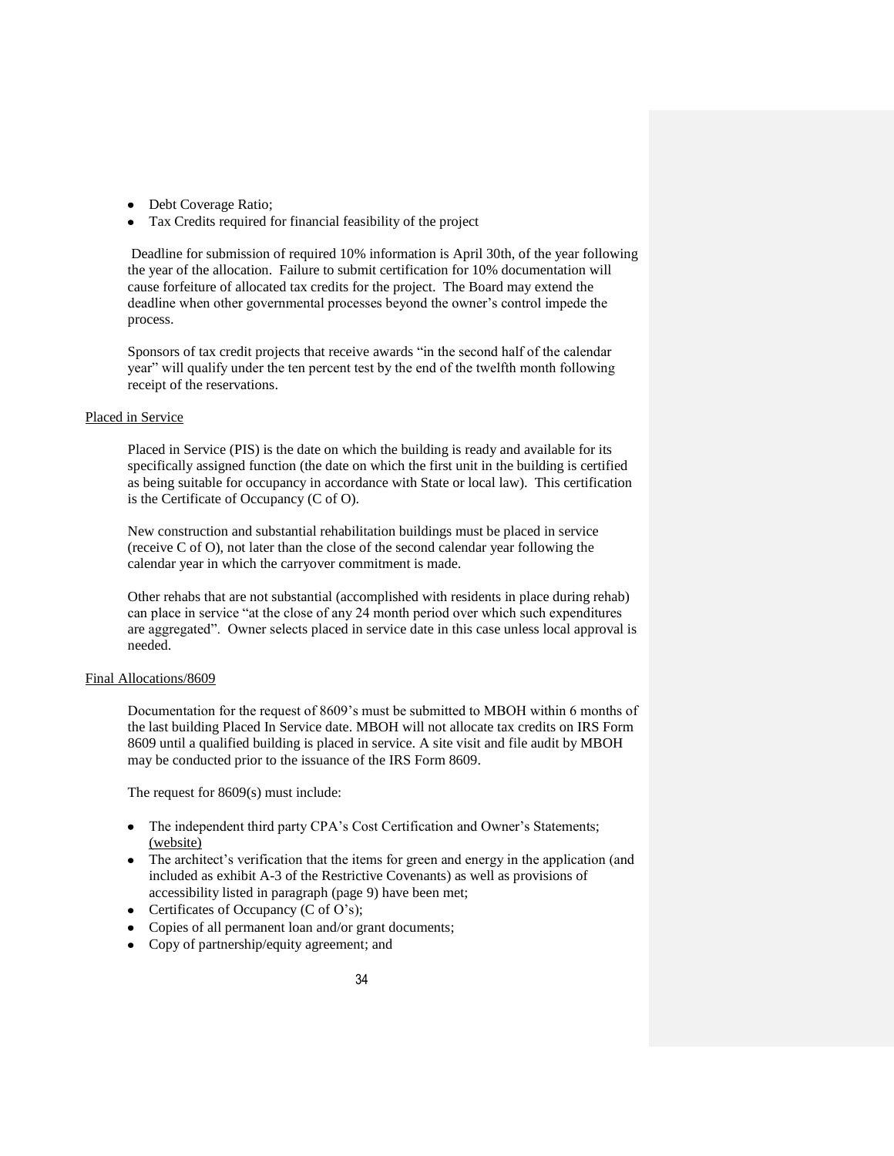- Debt Coverage Ratio;
- Tax Credits required for financial feasibility of the project

Deadline for submission of required 10% information is April 30th, of the year following the year of the allocation. Failure to submit certification for 10% documentation will cause forfeiture of allocated tax credits for the project. The Board may extend the deadline when other governmental processes beyond the owner's control impede the process.

Sponsors of tax credit projects that receive awards "in the second half of the calendar year" will qualify under the ten percent test by the end of the twelfth month following receipt of the reservations.

### Placed in Service

Placed in Service (PIS) is the date on which the building is ready and available for its specifically assigned function (the date on which the first unit in the building is certified as being suitable for occupancy in accordance with State or local law). This certification is the Certificate of Occupancy (C of O).

New construction and substantial rehabilitation buildings must be placed in service (receive C of O), not later than the close of the second calendar year following the calendar year in which the carryover commitment is made.

Other rehabs that are not substantial (accomplished with residents in place during rehab) can place in service "at the close of any 24 month period over which such expenditures are aggregated". Owner selects placed in service date in this case unless local approval is needed.

#### Final Allocations/8609

Documentation for the request of 8609's must be submitted to MBOH within 6 months of the last building Placed In Service date. MBOH will not allocate tax credits on IRS Form 8609 until a qualified building is placed in service. A site visit and file audit by MBOH may be conducted prior to the issuance of the IRS Form 8609.

The request for 8609(s) must include:

- The independent third party CPA's Cost Certification and Owner's Statements; (website)
- The architect's verification that the items for green and energy in the application (and included as exhibit A-3 of the Restrictive Covenants) as well as provisions of accessibility listed in paragraph (page 9) have been met;
- Certificates of Occupancy  $(C \text{ of } O's)$ ;
- Copies of all permanent loan and/or grant documents;
- Copy of partnership/equity agreement; and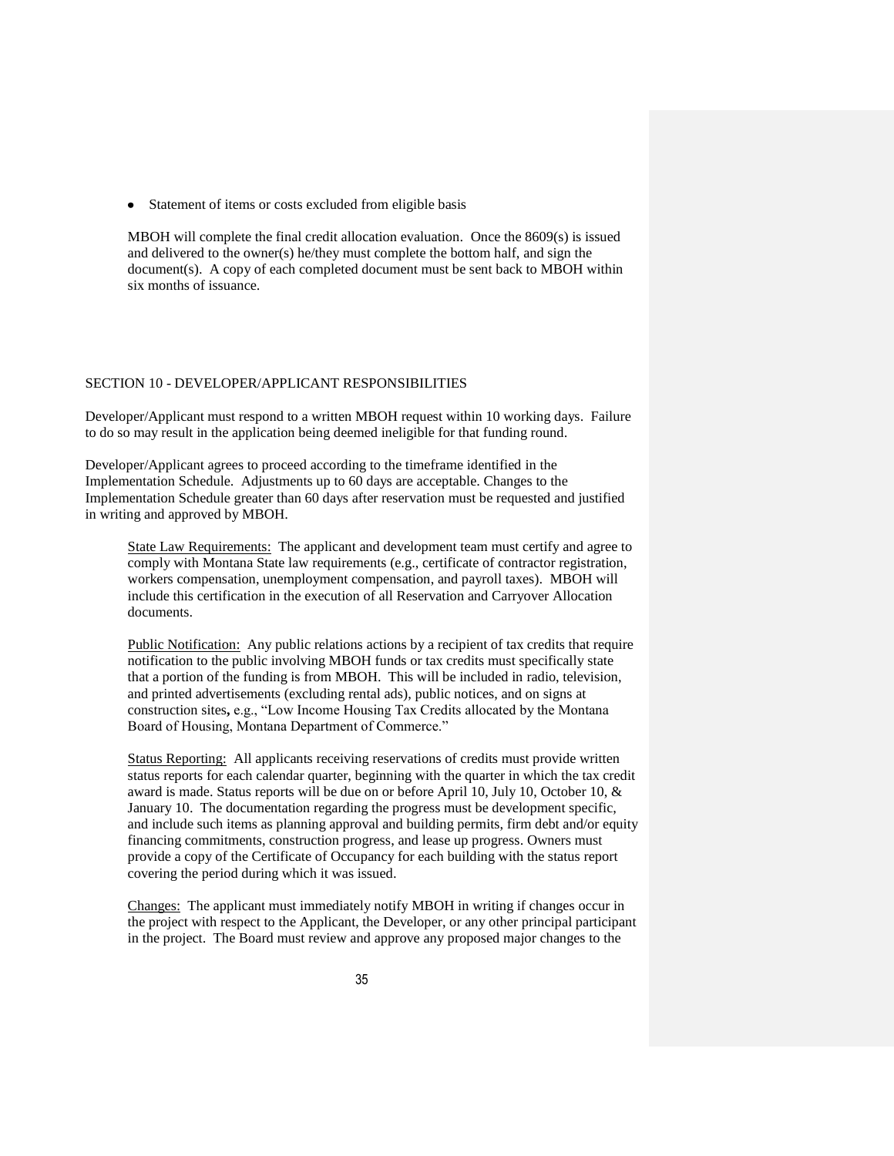• Statement of items or costs excluded from eligible basis

MBOH will complete the final credit allocation evaluation. Once the 8609(s) is issued and delivered to the owner(s) he/they must complete the bottom half, and sign the document(s). A copy of each completed document must be sent back to MBOH within six months of issuance.

#### SECTION 10 - DEVELOPER/APPLICANT RESPONSIBILITIES

Developer/Applicant must respond to a written MBOH request within 10 working days. Failure to do so may result in the application being deemed ineligible for that funding round.

Developer/Applicant agrees to proceed according to the timeframe identified in the Implementation Schedule. Adjustments up to 60 days are acceptable. Changes to the Implementation Schedule greater than 60 days after reservation must be requested and justified in writing and approved by MBOH.

State Law Requirements: The applicant and development team must certify and agree to comply with Montana State law requirements (e.g., certificate of contractor registration, workers compensation, unemployment compensation, and payroll taxes). MBOH will include this certification in the execution of all Reservation and Carryover Allocation documents.

Public Notification: Any public relations actions by a recipient of tax credits that require notification to the public involving MBOH funds or tax credits must specifically state that a portion of the funding is from MBOH. This will be included in radio, television, and printed advertisements (excluding rental ads), public notices, and on signs at construction sites**,** e.g., "Low Income Housing Tax Credits allocated by the Montana Board of Housing, Montana Department of Commerce."

Status Reporting: All applicants receiving reservations of credits must provide written status reports for each calendar quarter, beginning with the quarter in which the tax credit award is made. Status reports will be due on or before April 10, July 10, October 10, & January 10. The documentation regarding the progress must be development specific, and include such items as planning approval and building permits, firm debt and/or equity financing commitments, construction progress, and lease up progress. Owners must provide a copy of the Certificate of Occupancy for each building with the status report covering the period during which it was issued.

Changes: The applicant must immediately notify MBOH in writing if changes occur in the project with respect to the Applicant, the Developer, or any other principal participant in the project. The Board must review and approve any proposed major changes to the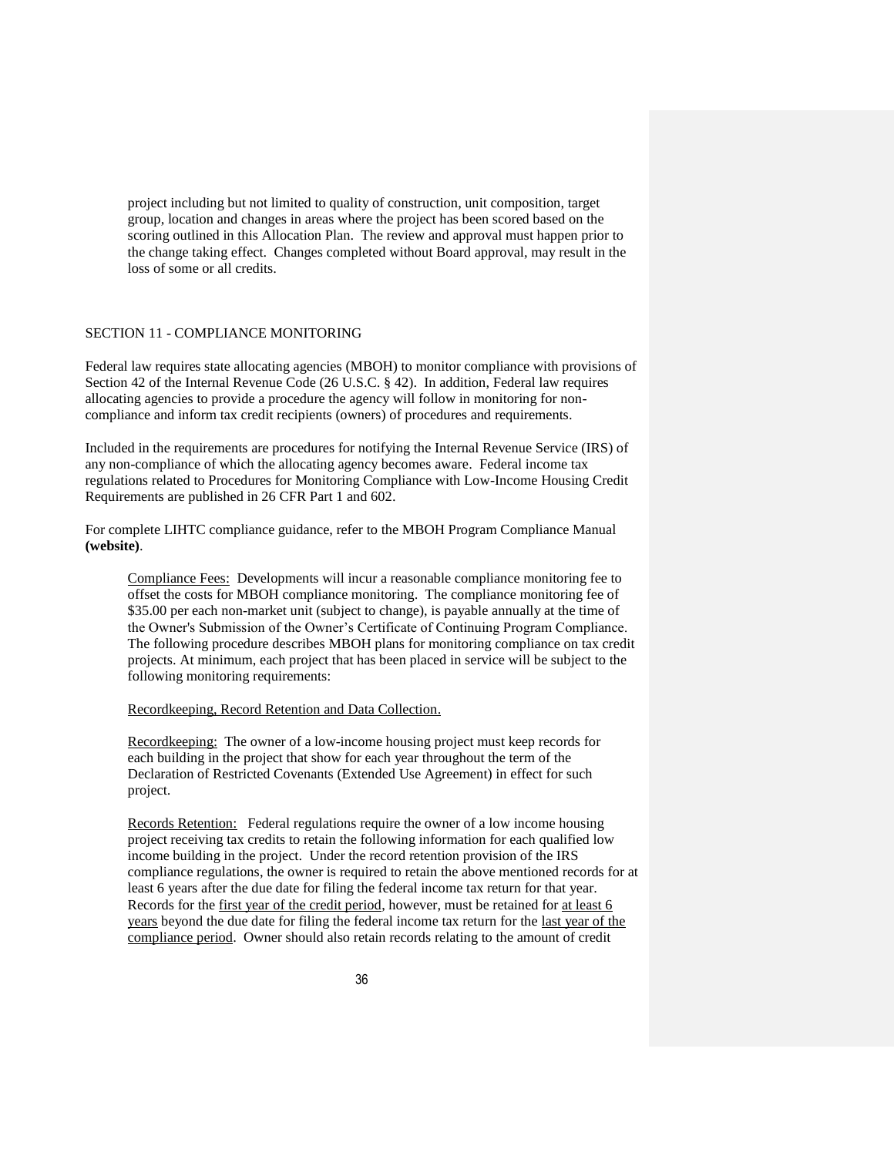project including but not limited to quality of construction, unit composition, target group, location and changes in areas where the project has been scored based on the scoring outlined in this Allocation Plan. The review and approval must happen prior to the change taking effect. Changes completed without Board approval, may result in the loss of some or all credits.

#### SECTION 11 - COMPLIANCE MONITORING

Federal law requires state allocating agencies (MBOH) to monitor compliance with provisions of Section 42 of the Internal Revenue Code (26 U.S.C. § 42). In addition, Federal law requires allocating agencies to provide a procedure the agency will follow in monitoring for noncompliance and inform tax credit recipients (owners) of procedures and requirements.

Included in the requirements are procedures for notifying the Internal Revenue Service (IRS) of any non-compliance of which the allocating agency becomes aware. Federal income tax regulations related to Procedures for Monitoring Compliance with Low-Income Housing Credit Requirements are published in 26 CFR Part 1 and 602.

For complete LIHTC compliance guidance, refer to the MBOH Program Compliance Manual **(website)**.

Compliance Fees: Developments will incur a reasonable compliance monitoring fee to offset the costs for MBOH compliance monitoring. The compliance monitoring fee of \$35.00 per each non-market unit (subject to change), is payable annually at the time of the Owner's Submission of the Owner's Certificate of Continuing Program Compliance. The following procedure describes MBOH plans for monitoring compliance on tax credit projects. At minimum, each project that has been placed in service will be subject to the following monitoring requirements:

#### Recordkeeping, Record Retention and Data Collection.

Recordkeeping: The owner of a low-income housing project must keep records for each building in the project that show for each year throughout the term of the Declaration of Restricted Covenants (Extended Use Agreement) in effect for such project.

Records Retention: Federal regulations require the owner of a low income housing project receiving tax credits to retain the following information for each qualified low income building in the project. Under the record retention provision of the IRS compliance regulations, the owner is required to retain the above mentioned records for at least 6 years after the due date for filing the federal income tax return for that year. Records for the first year of the credit period, however, must be retained for at least 6 years beyond the due date for filing the federal income tax return for the last year of the compliance period. Owner should also retain records relating to the amount of credit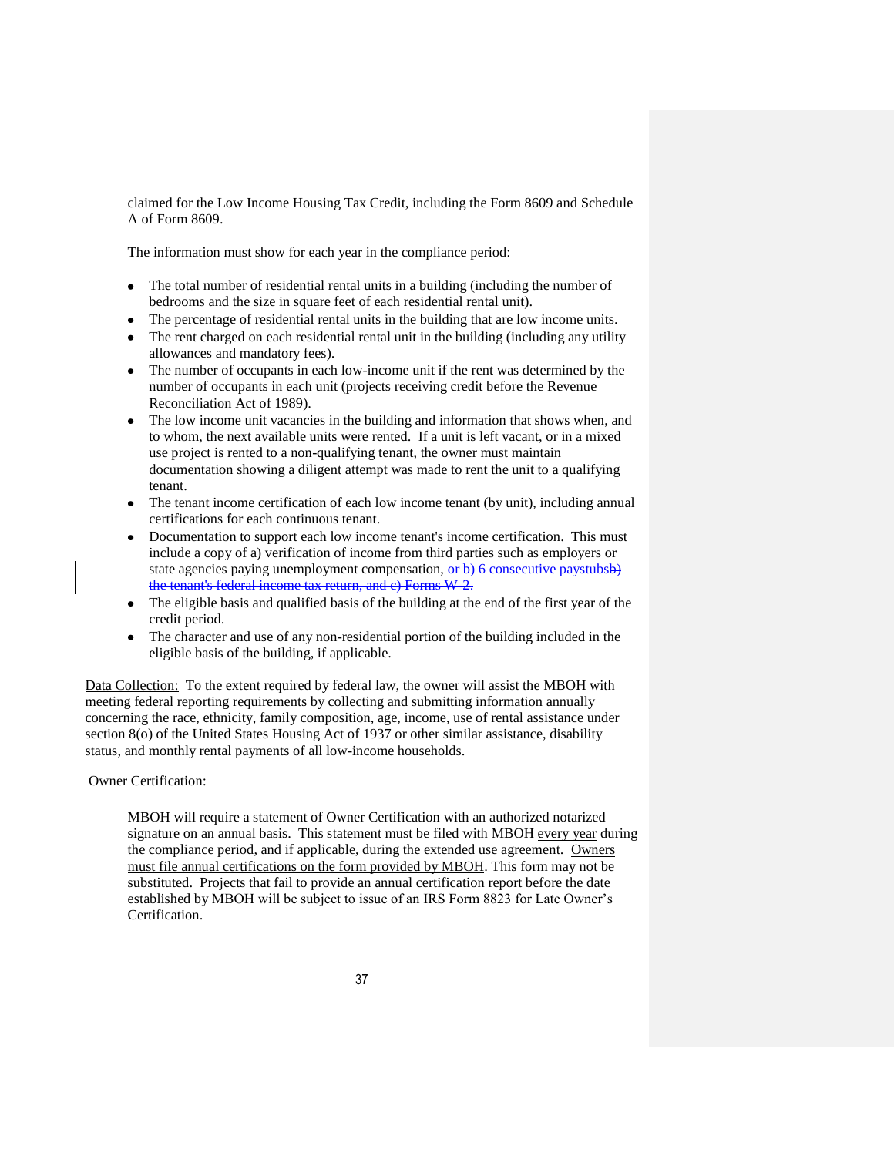claimed for the Low Income Housing Tax Credit, including the Form 8609 and Schedule A of Form 8609.

The information must show for each year in the compliance period:

- The total number of residential rental units in a building (including the number of  $\bullet$ bedrooms and the size in square feet of each residential rental unit).
- The percentage of residential rental units in the building that are low income units.
- The rent charged on each residential rental unit in the building (including any utility allowances and mandatory fees).
- The number of occupants in each low-income unit if the rent was determined by the number of occupants in each unit (projects receiving credit before the Revenue Reconciliation Act of 1989).
- The low income unit vacancies in the building and information that shows when, and to whom, the next available units were rented. If a unit is left vacant, or in a mixed use project is rented to a non-qualifying tenant, the owner must maintain documentation showing a diligent attempt was made to rent the unit to a qualifying tenant.
- The tenant income certification of each low income tenant (by unit), including annual certifications for each continuous tenant.
- Documentation to support each low income tenant's income certification. This must include a copy of a) verification of income from third parties such as employers or state agencies paying unemployment compensation, or b) 6 consecutive paystubsb) the tenant's federal income tax return, and c) Forms W-2.
- The eligible basis and qualified basis of the building at the end of the first year of the credit period.
- The character and use of any non-residential portion of the building included in the eligible basis of the building, if applicable.

Data Collection: To the extent required by federal law, the owner will assist the MBOH with meeting federal reporting requirements by collecting and submitting information annually concerning the race, ethnicity, family composition, age, income, use of rental assistance under section 8(o) of the United States Housing Act of 1937 or other similar assistance, disability status, and monthly rental payments of all low-income households.

#### Owner Certification:

MBOH will require a statement of Owner Certification with an authorized notarized signature on an annual basis. This statement must be filed with MBOH every year during the compliance period, and if applicable, during the extended use agreement. Owners must file annual certifications on the form provided by MBOH. This form may not be substituted. Projects that fail to provide an annual certification report before the date established by MBOH will be subject to issue of an IRS Form 8823 for Late Owner's Certification.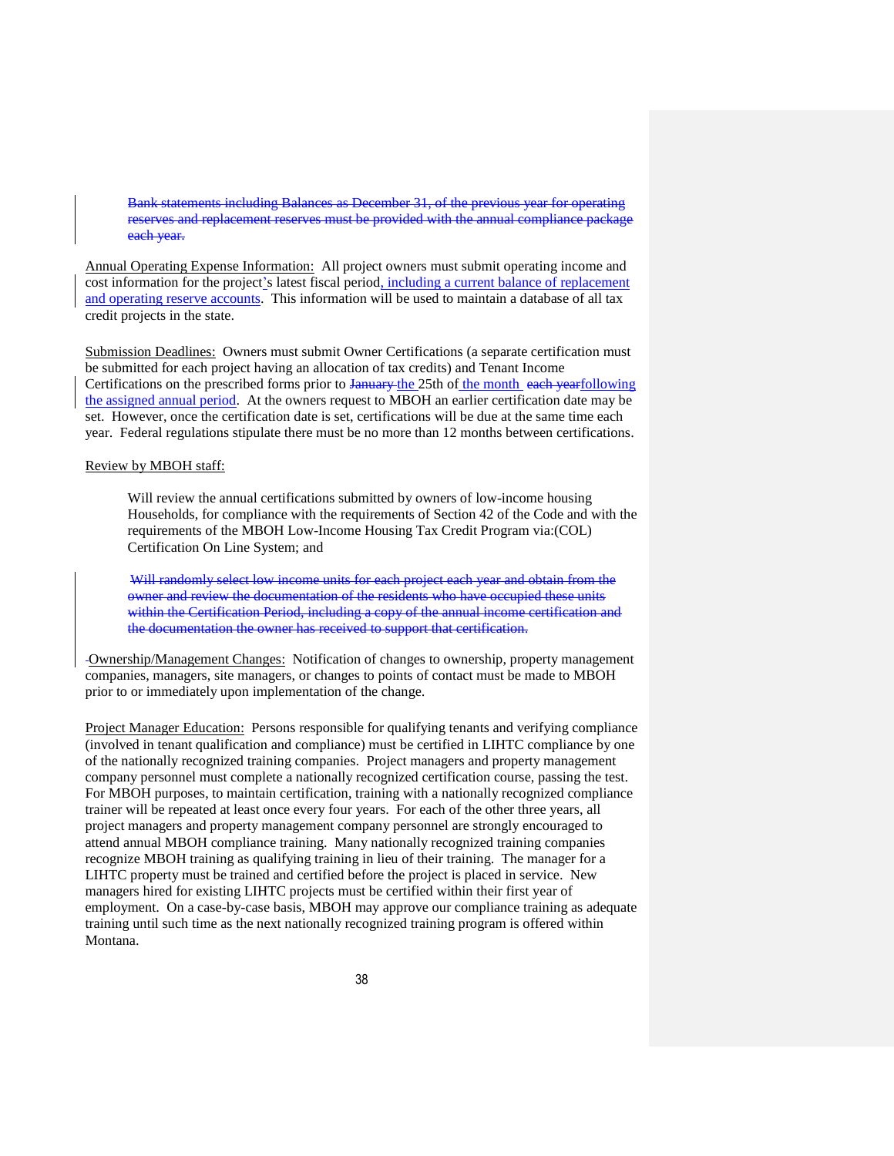Bank statements including Balances as December 31, of the previous year for operating reserves and replacement reserves must be provided with the annual compliance package each year.

Annual Operating Expense Information: All project owners must submit operating income and cost information for the project's latest fiscal period, including a current balance of replacement and operating reserve accounts. This information will be used to maintain a database of all tax credit projects in the state.

Submission Deadlines: Owners must submit Owner Certifications (a separate certification must be submitted for each project having an allocation of tax credits) and Tenant Income Certifications on the prescribed forms prior to January the 25th of the month each yearfollowing the assigned annual period. At the owners request to MBOH an earlier certification date may be set. However, once the certification date is set, certifications will be due at the same time each year. Federal regulations stipulate there must be no more than 12 months between certifications.

#### Review by MBOH staff:

Will review the annual certifications submitted by owners of low-income housing Households, for compliance with the requirements of Section 42 of the Code and with the requirements of the MBOH Low-Income Housing Tax Credit Program via:(COL) Certification On Line System; and

Will randomly select low income units for each project each year and obtain from the owner and review the documentation of the residents who have occupied these units within the Certification Period, including a copy of the annual income certification and the documentation the owner has received to support that certification.

Ownership/Management Changes: Notification of changes to ownership, property management companies, managers, site managers, or changes to points of contact must be made to MBOH prior to or immediately upon implementation of the change.

Project Manager Education: Persons responsible for qualifying tenants and verifying compliance (involved in tenant qualification and compliance) must be certified in LIHTC compliance by one of the nationally recognized training companies. Project managers and property management company personnel must complete a nationally recognized certification course, passing the test. For MBOH purposes, to maintain certification, training with a nationally recognized compliance trainer will be repeated at least once every four years. For each of the other three years, all project managers and property management company personnel are strongly encouraged to attend annual MBOH compliance training. Many nationally recognized training companies recognize MBOH training as qualifying training in lieu of their training. The manager for a LIHTC property must be trained and certified before the project is placed in service. New managers hired for existing LIHTC projects must be certified within their first year of employment. On a case-by-case basis, MBOH may approve our compliance training as adequate training until such time as the next nationally recognized training program is offered within Montana.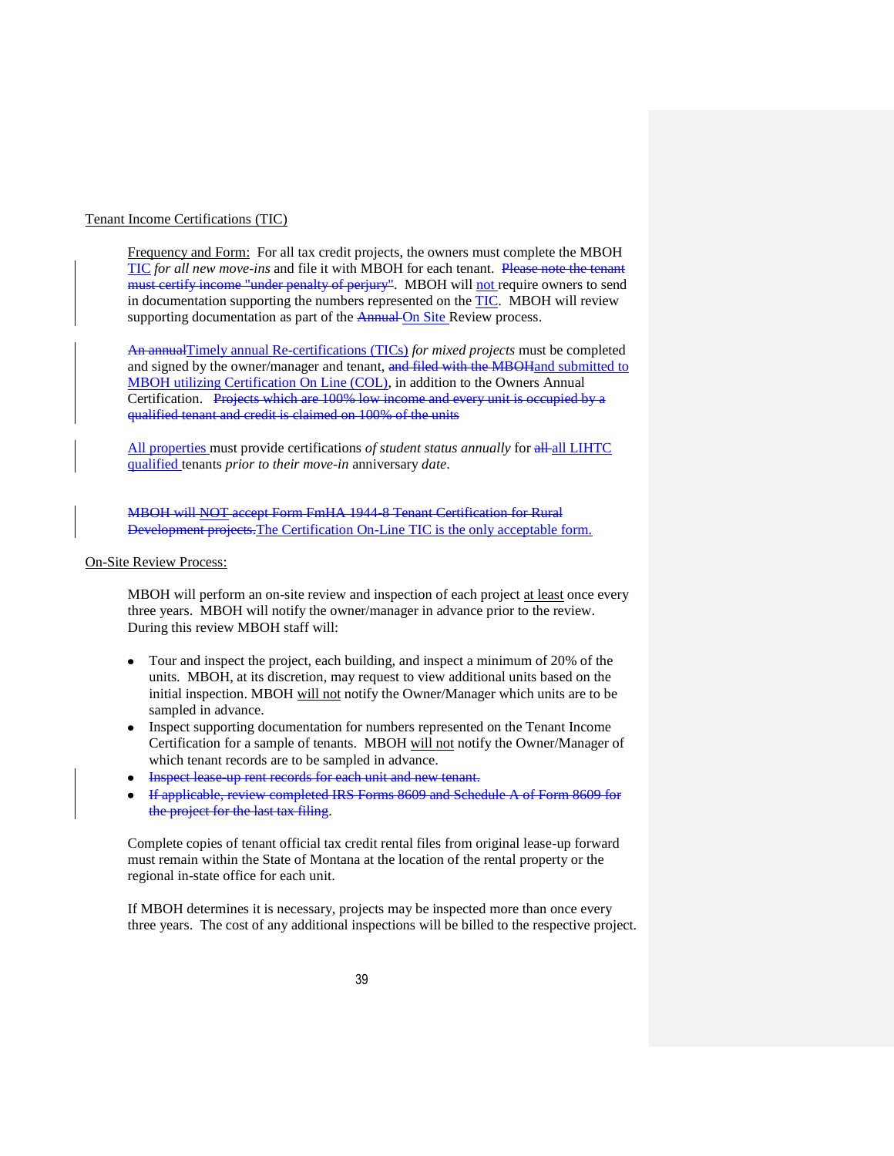#### Tenant Income Certifications (TIC)

Frequency and Form: For all tax credit projects, the owners must complete the MBOH TIC *for all new move-ins* and file it with MBOH for each tenant. Please note the tenant must certify income "under penalty of perjury". MBOH will not require owners to send in documentation supporting the numbers represented on the TIC. MBOH will review supporting documentation as part of the Annual On Site Review process.

An annualTimely annual Re-certifications (TICs) *for mixed projects* must be completed and signed by the owner/manager and tenant, and filed with the MBOH and submitted to MBOH utilizing Certification On Line (COL), in addition to the Owners Annual Certification. Projects which are 100% low income and every unit is occupied by a qualified tenant and credit is claimed on 100% of the units

All properties must provide certifications *of student status annually* for all all LIHTC qualified tenants *prior to their move-in* anniversary *date*.

MBOH will NOT accept Form FmHA 1944-8 Tenant Certification for Rural Development projects.The Certification On-Line TIC is the only acceptable form.

#### On-Site Review Process:

MBOH will perform an on-site review and inspection of each project at least once every three years. MBOH will notify the owner/manager in advance prior to the review. During this review MBOH staff will:

- Tour and inspect the project, each building, and inspect a minimum of 20% of the units. MBOH, at its discretion, may request to view additional units based on the initial inspection. MBOH will not notify the Owner/Manager which units are to be sampled in advance.
- Inspect supporting documentation for numbers represented on the Tenant Income Certification for a sample of tenants. MBOH will not notify the Owner/Manager of which tenant records are to be sampled in advance.
- Inspect lease-up rent records for each unit and new tenant.
- If applicable, review completed IRS Forms 8609 and Schedule A of Form 8609 for the project for the last tax filing.

Complete copies of tenant official tax credit rental files from original lease-up forward must remain within the State of Montana at the location of the rental property or the regional in-state office for each unit.

If MBOH determines it is necessary, projects may be inspected more than once every three years. The cost of any additional inspections will be billed to the respective project.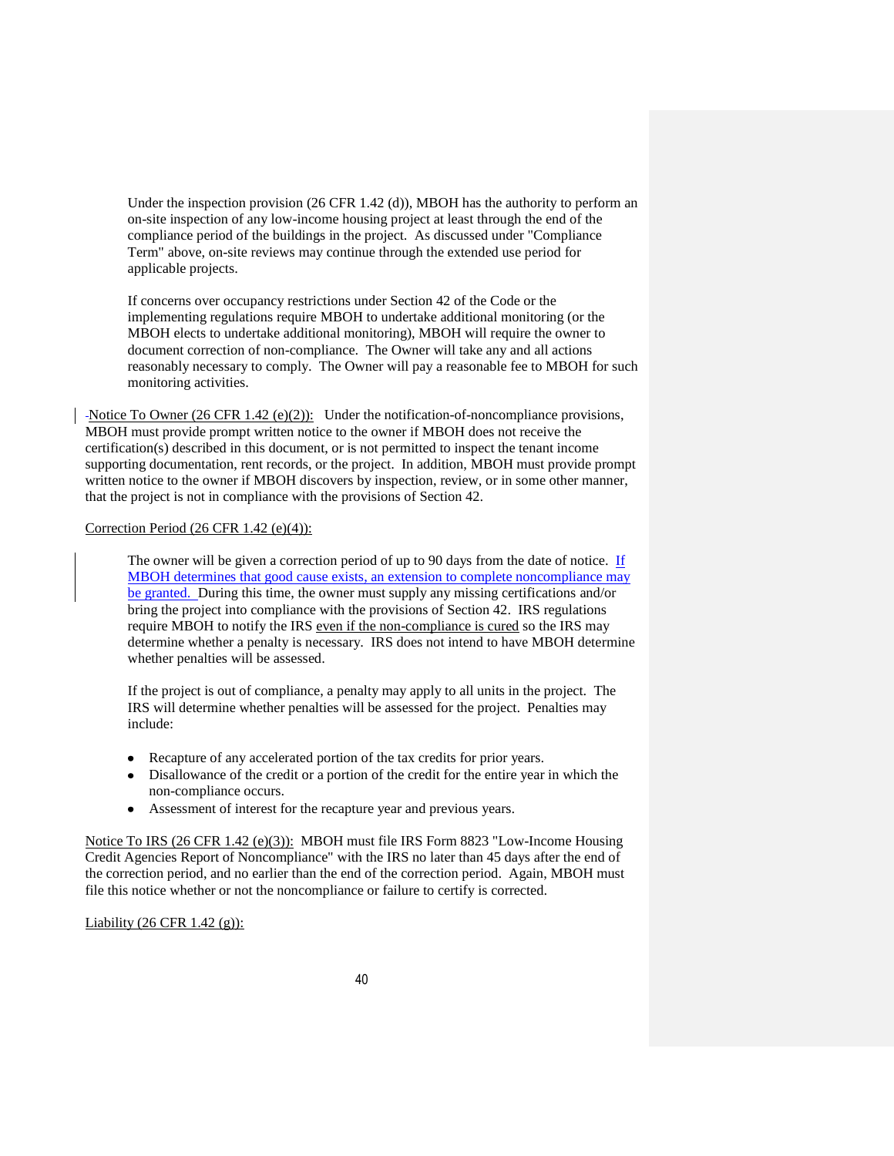Under the inspection provision  $(26 \text{ CFR } 1.42 \text{ (d)}), \text{MBOH}$  has the authority to perform an on-site inspection of any low-income housing project at least through the end of the compliance period of the buildings in the project. As discussed under "Compliance Term" above, on-site reviews may continue through the extended use period for applicable projects.

If concerns over occupancy restrictions under Section 42 of the Code or the implementing regulations require MBOH to undertake additional monitoring (or the MBOH elects to undertake additional monitoring), MBOH will require the owner to document correction of non-compliance. The Owner will take any and all actions reasonably necessary to comply. The Owner will pay a reasonable fee to MBOH for such monitoring activities.

-Notice To Owner (26 CFR 1.42 (e)(2)): Under the notification-of-noncompliance provisions, MBOH must provide prompt written notice to the owner if MBOH does not receive the certification(s) described in this document, or is not permitted to inspect the tenant income supporting documentation, rent records, or the project. In addition, MBOH must provide prompt written notice to the owner if MBOH discovers by inspection, review, or in some other manner, that the project is not in compliance with the provisions of Section 42.

## Correction Period (26 CFR 1.42 (e)(4)):

The owner will be given a correction period of up to 90 days from the date of notice. If MBOH determines that good cause exists, an extension to complete noncompliance may be granted. During this time, the owner must supply any missing certifications and/or bring the project into compliance with the provisions of Section 42. IRS regulations require MBOH to notify the IRS even if the non-compliance is cured so the IRS may determine whether a penalty is necessary. IRS does not intend to have MBOH determine whether penalties will be assessed.

If the project is out of compliance, a penalty may apply to all units in the project. The IRS will determine whether penalties will be assessed for the project. Penalties may include:

- Recapture of any accelerated portion of the tax credits for prior years.
- Disallowance of the credit or a portion of the credit for the entire year in which the non-compliance occurs.
- Assessment of interest for the recapture year and previous years.

Notice To IRS (26 CFR 1.42 (e)(3)): MBOH must file IRS Form 8823 "Low-Income Housing Credit Agencies Report of Noncompliance" with the IRS no later than 45 days after the end of the correction period, and no earlier than the end of the correction period. Again, MBOH must file this notice whether or not the noncompliance or failure to certify is corrected.

# Liability (26 CFR 1.42 (g)):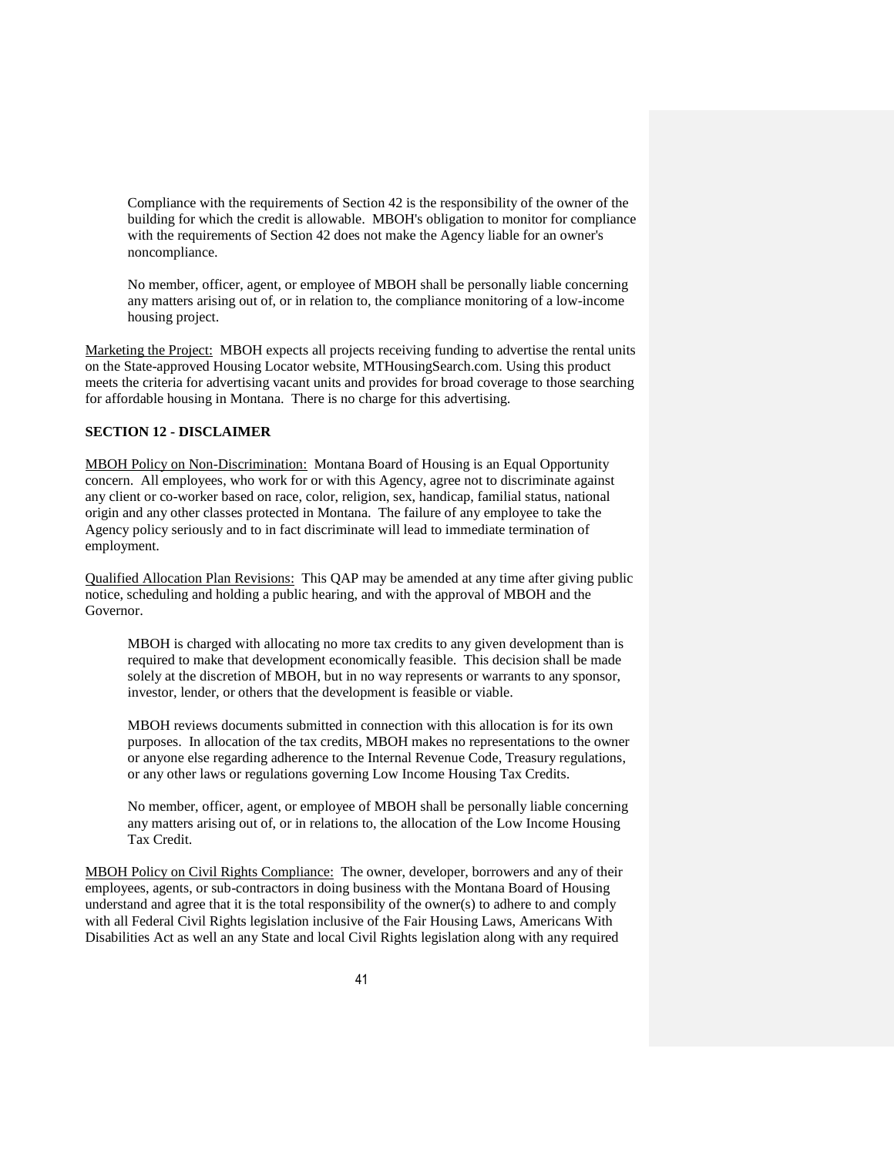Compliance with the requirements of Section 42 is the responsibility of the owner of the building for which the credit is allowable. MBOH's obligation to monitor for compliance with the requirements of Section 42 does not make the Agency liable for an owner's noncompliance.

No member, officer, agent, or employee of MBOH shall be personally liable concerning any matters arising out of, or in relation to, the compliance monitoring of a low-income housing project.

Marketing the Project: MBOH expects all projects receiving funding to advertise the rental units on the State-approved Housing Locator website, MTHousingSearch.com. Using this product meets the criteria for advertising vacant units and provides for broad coverage to those searching for affordable housing in Montana. There is no charge for this advertising.

# **SECTION 12 - DISCLAIMER**

MBOH Policy on Non-Discrimination: Montana Board of Housing is an Equal Opportunity concern. All employees, who work for or with this Agency, agree not to discriminate against any client or co-worker based on race, color, religion, sex, handicap, familial status, national origin and any other classes protected in Montana. The failure of any employee to take the Agency policy seriously and to in fact discriminate will lead to immediate termination of employment.

Qualified Allocation Plan Revisions:This QAP may be amended at any time after giving public notice, scheduling and holding a public hearing, and with the approval of MBOH and the Governor.

MBOH is charged with allocating no more tax credits to any given development than is required to make that development economically feasible. This decision shall be made solely at the discretion of MBOH, but in no way represents or warrants to any sponsor, investor, lender, or others that the development is feasible or viable.

MBOH reviews documents submitted in connection with this allocation is for its own purposes. In allocation of the tax credits, MBOH makes no representations to the owner or anyone else regarding adherence to the Internal Revenue Code, Treasury regulations, or any other laws or regulations governing Low Income Housing Tax Credits.

No member, officer, agent, or employee of MBOH shall be personally liable concerning any matters arising out of, or in relations to, the allocation of the Low Income Housing Tax Credit.

MBOH Policy on Civil Rights Compliance: The owner, developer, borrowers and any of their employees, agents, or sub-contractors in doing business with the Montana Board of Housing understand and agree that it is the total responsibility of the owner(s) to adhere to and comply with all Federal Civil Rights legislation inclusive of the Fair Housing Laws, Americans With Disabilities Act as well an any State and local Civil Rights legislation along with any required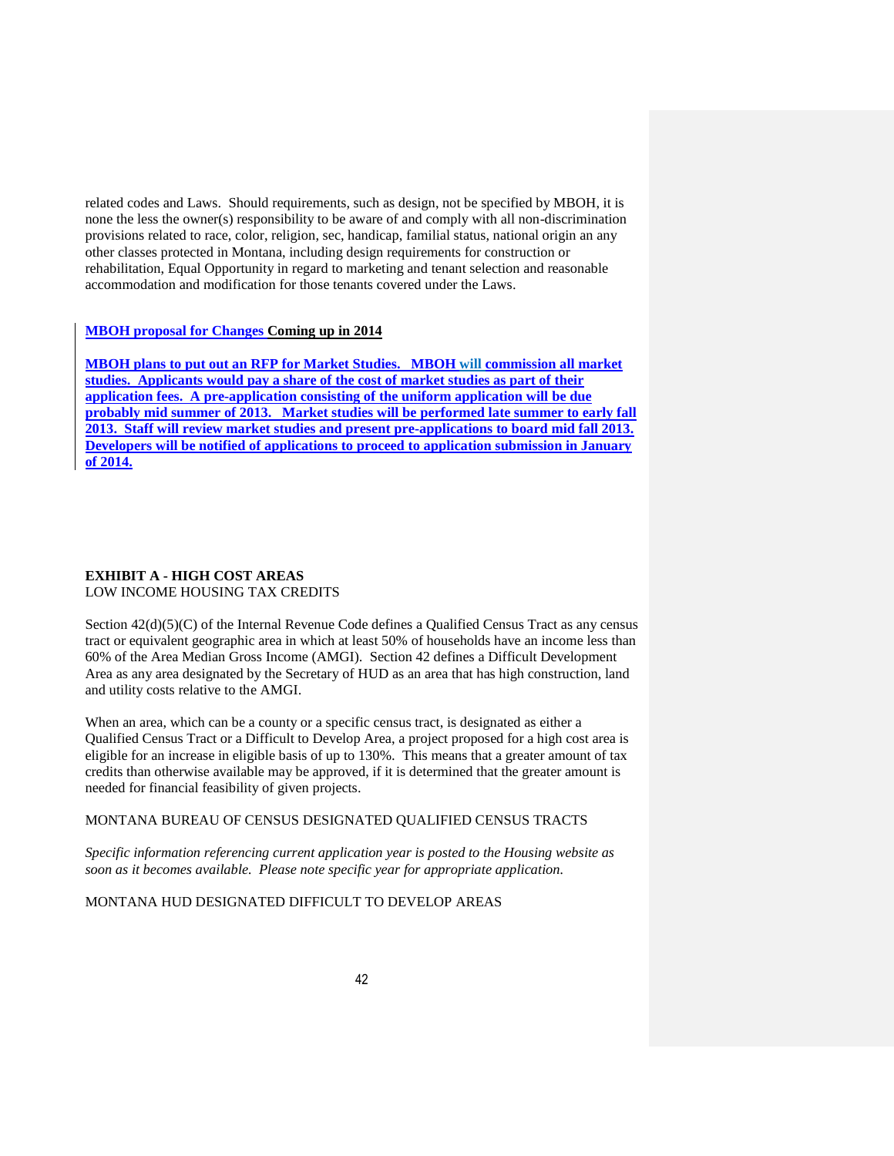related codes and Laws. Should requirements, such as design, not be specified by MBOH, it is none the less the owner(s) responsibility to be aware of and comply with all non-discrimination provisions related to race, color, religion, sec, handicap, familial status, national origin an any other classes protected in Montana, including design requirements for construction or rehabilitation, Equal Opportunity in regard to marketing and tenant selection and reasonable accommodation and modification for those tenants covered under the Laws.

#### **MBOH proposal for Changes Coming up in 2014**

**MBOH plans to put out an RFP for Market Studies. MBOH will commission all market studies. Applicants would pay a share of the cost of market studies as part of their application fees. A pre-application consisting of the uniform application will be due probably mid summer of 2013. Market studies will be performed late summer to early fall 2013. Staff will review market studies and present pre-applications to board mid fall 2013. Developers will be notified of applications to proceed to application submission in January of 2014.**

#### **EXHIBIT A - HIGH COST AREAS**  LOW INCOME HOUSING TAX CREDITS

Section 42(d)(5)(C) of the Internal Revenue Code defines a Qualified Census Tract as any census tract or equivalent geographic area in which at least 50% of households have an income less than 60% of the Area Median Gross Income (AMGI). Section 42 defines a Difficult Development Area as any area designated by the Secretary of HUD as an area that has high construction, land and utility costs relative to the AMGI.

When an area, which can be a county or a specific census tract, is designated as either a Qualified Census Tract or a Difficult to Develop Area, a project proposed for a high cost area is eligible for an increase in eligible basis of up to 130%. This means that a greater amount of tax credits than otherwise available may be approved, if it is determined that the greater amount is needed for financial feasibility of given projects.

# MONTANA BUREAU OF CENSUS DESIGNATED QUALIFIED CENSUS TRACTS

*Specific information referencing current application year is posted to the Housing website as soon as it becomes available. Please note specific year for appropriate application.*

#### MONTANA HUD DESIGNATED DIFFICULT TO DEVELOP AREAS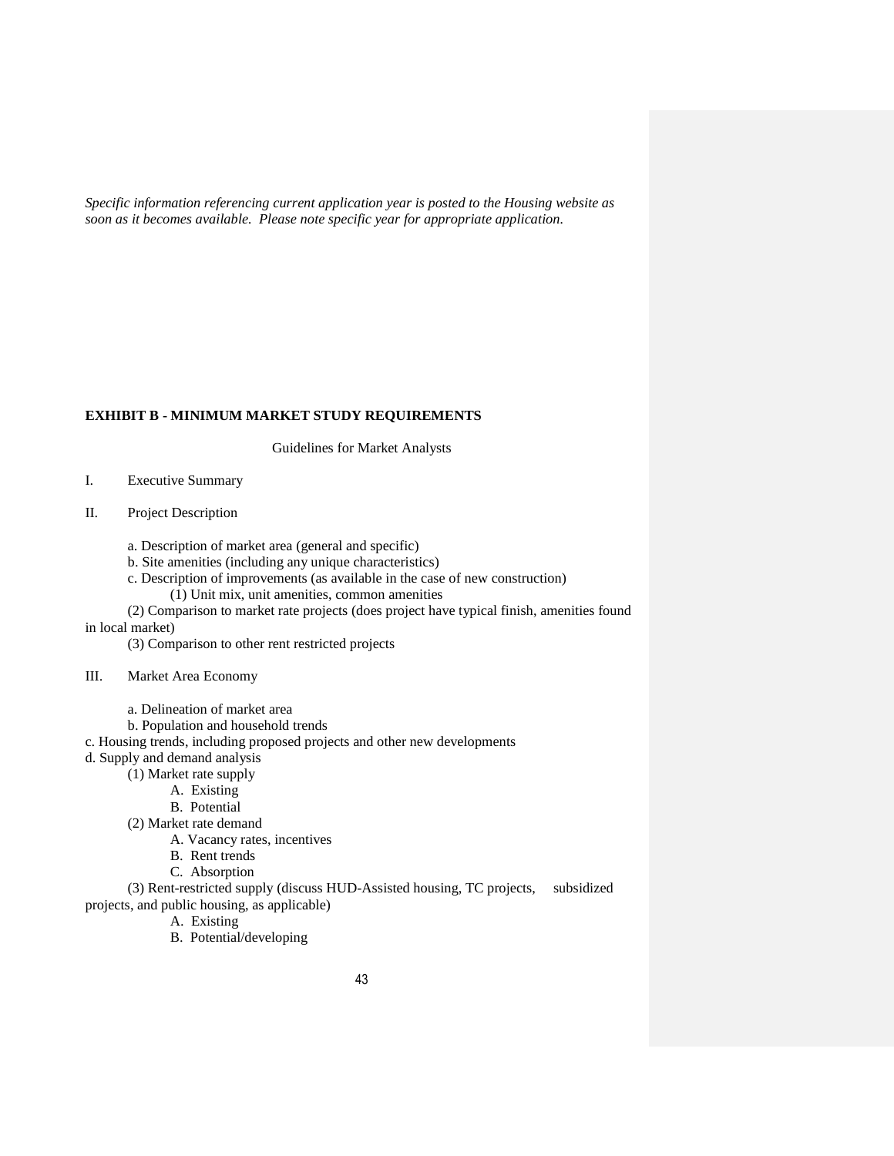*Specific information referencing current application year is posted to the Housing website as soon as it becomes available. Please note specific year for appropriate application.*

#### **EXHIBIT B - MINIMUM MARKET STUDY REQUIREMENTS**

Guidelines for Market Analysts

- I. Executive Summary
- II. Project Description
	- a. Description of market area (general and specific)
	- b. Site amenities (including any unique characteristics)
	- c. Description of improvements (as available in the case of new construction) (1) Unit mix, unit amenities, common amenities
- (2) Comparison to market rate projects (does project have typical finish, amenities found in local market)
	- (3) Comparison to other rent restricted projects
- III. Market Area Economy
	- a. Delineation of market area
	- b. Population and household trends
- c. Housing trends, including proposed projects and other new developments
- d. Supply and demand analysis
	- (1) Market rate supply
		- A. Existing
		- B. Potential
	- (2) Market rate demand
		- A. Vacancy rates, incentives
		- B. Rent trends
		- C. Absorption

(3) Rent-restricted supply (discuss HUD-Assisted housing, TC projects, subsidized projects, and public housing, as applicable)

- A. Existing
- B. Potential/developing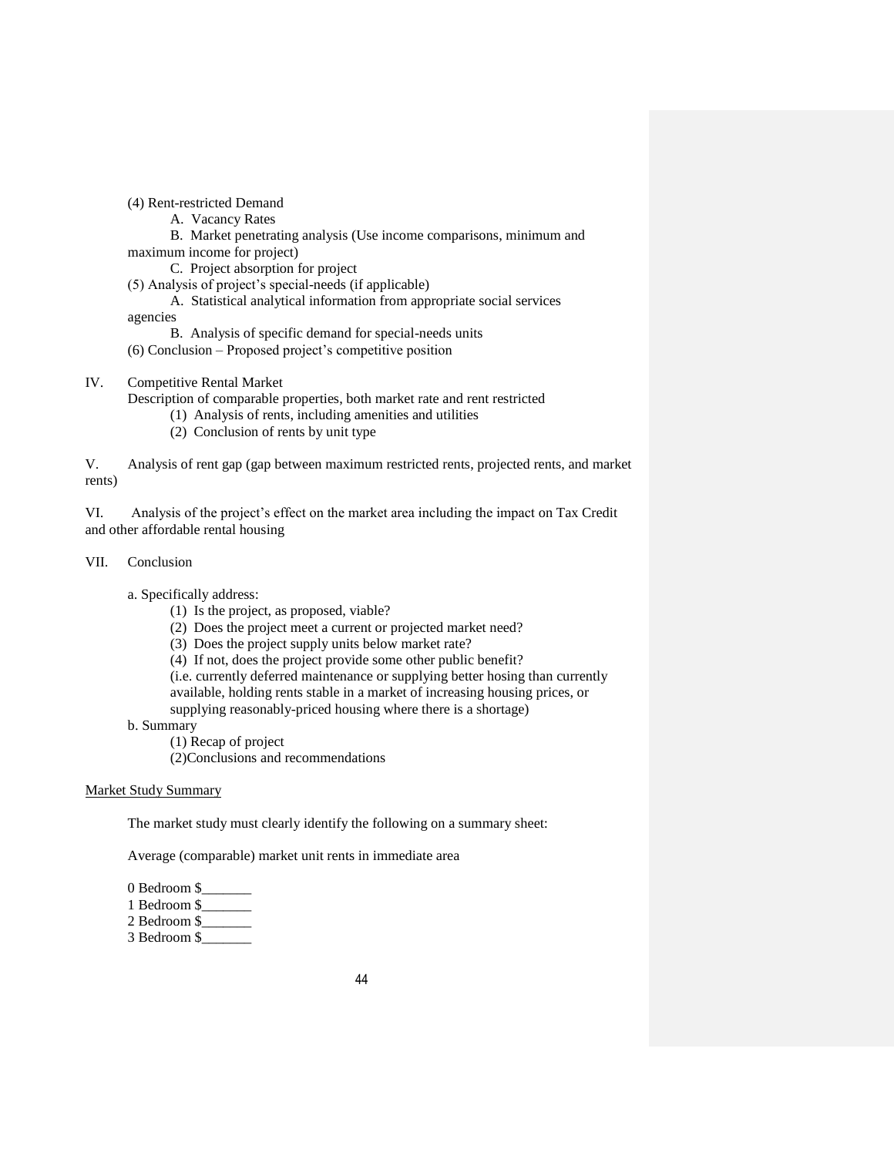(4) Rent-restricted Demand

A. Vacancy Rates

B. Market penetrating analysis (Use income comparisons, minimum and maximum income for project)

C. Project absorption for project

(5) Analysis of project's special-needs (if applicable)

- A. Statistical analytical information from appropriate social services agencies
- B. Analysis of specific demand for special-needs units
- (6) Conclusion Proposed project's competitive position

# IV. Competitive Rental Market

Description of comparable properties, both market rate and rent restricted

- (1) Analysis of rents, including amenities and utilities
- (2) Conclusion of rents by unit type

V. Analysis of rent gap (gap between maximum restricted rents, projected rents, and market rents)

VI. Analysis of the project's effect on the market area including the impact on Tax Credit and other affordable rental housing

# VII. Conclusion

a. Specifically address:

- (1) Is the project, as proposed, viable?
- (2) Does the project meet a current or projected market need?
- (3) Does the project supply units below market rate?
- (4) If not, does the project provide some other public benefit?

(i.e. currently deferred maintenance or supplying better hosing than currently

available, holding rents stable in a market of increasing housing prices, or supplying reasonably-priced housing where there is a shortage)

b. Summary

(1) Recap of project

(2)Conclusions and recommendations

#### Market Study Summary

The market study must clearly identify the following on a summary sheet:

Average (comparable) market unit rents in immediate area

- 0 Bedroom \$
- 1 Bedroom \$\_\_\_\_\_\_\_
- 2 Bedroom \$\_\_\_\_\_\_\_

3 Bedroom \$\_\_\_\_\_\_\_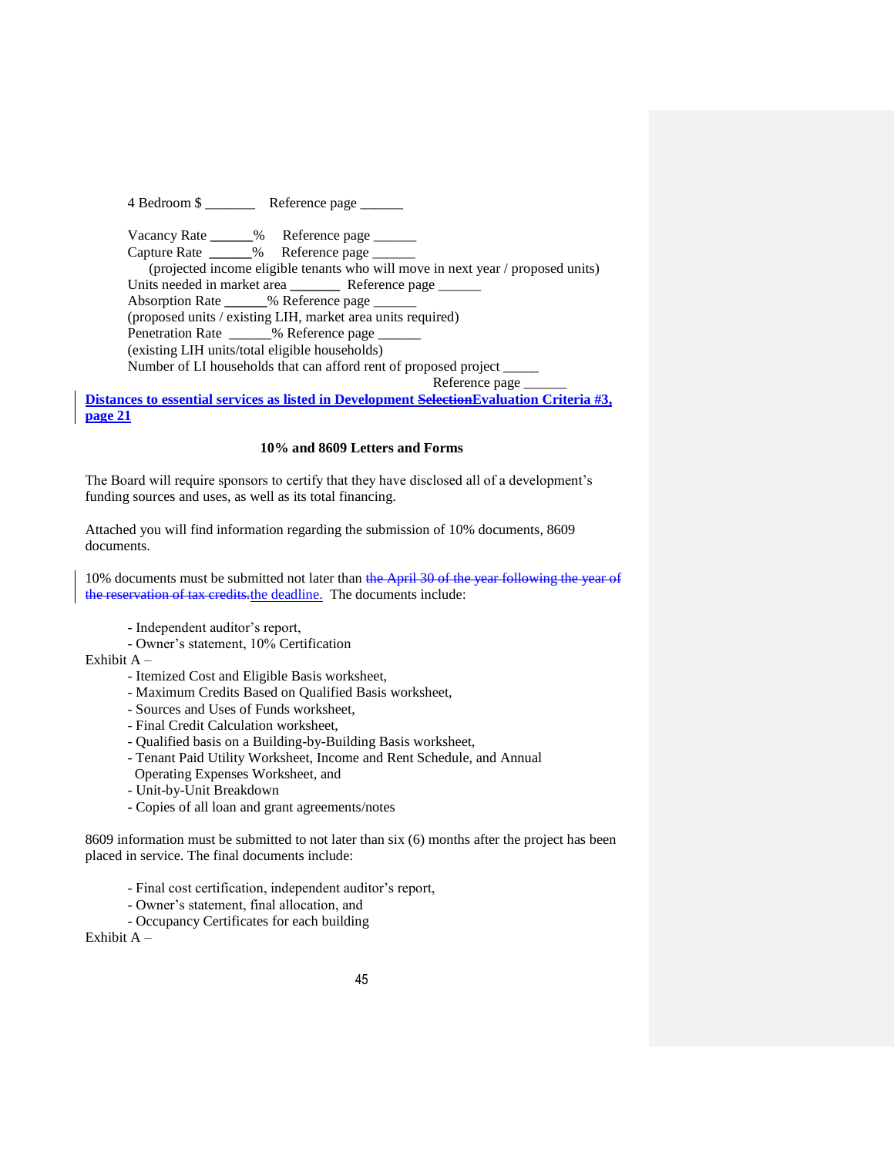4 Bedroom \$ \_\_\_\_\_\_\_ Reference page \_\_\_\_\_\_ Vacancy Rate \_\_\_\_\_\_% Reference page \_\_\_\_\_\_ Capture Rate **\_\_\_\_\_\_**% Reference page \_\_\_\_\_\_ (projected income eligible tenants who will move in next year / proposed units) Units needed in market area **\_\_\_\_\_\_\_** Reference page \_\_\_\_\_\_\_\_ Absorption Rate **\_\_\_\_\_\_**% Reference page \_\_\_\_\_\_ (proposed units / existing LIH, market area units required) Penetration Rate \_\_\_\_\_\_% Reference page (existing LIH units/total eligible households) Number of LI households that can afford rent of proposed project \_\_\_\_\_

Reference page

**Distances to essential services as listed in Development SelectionEvaluation Criteria #3, page 21**

# **10% and 8609 Letters and Forms**

The Board will require sponsors to certify that they have disclosed all of a development's funding sources and uses, as well as its total financing.

Attached you will find information regarding the submission of 10% documents, 8609 documents.

10% documents must be submitted not later than the April 30 of the year following the year of the reservation of tax credits.the deadline. The documents include:

- Independent auditor's report,
- Owner's statement, 10% Certification
- Exhibit A
	- Itemized Cost and Eligible Basis worksheet,
	- Maximum Credits Based on Qualified Basis worksheet,
	- Sources and Uses of Funds worksheet,
	- Final Credit Calculation worksheet,
	- Qualified basis on a Building-by-Building Basis worksheet,
	- Tenant Paid Utility Worksheet, Income and Rent Schedule, and Annual
	- Operating Expenses Worksheet, and
	- Unit-by-Unit Breakdown
	- **-** Copies of all loan and grant agreements/notes

8609 information must be submitted to not later than six (6) months after the project has been placed in service. The final documents include:

- Final cost certification, independent auditor's report,
- Owner's statement, final allocation, and
- Occupancy Certificates for each building

Exhibit A –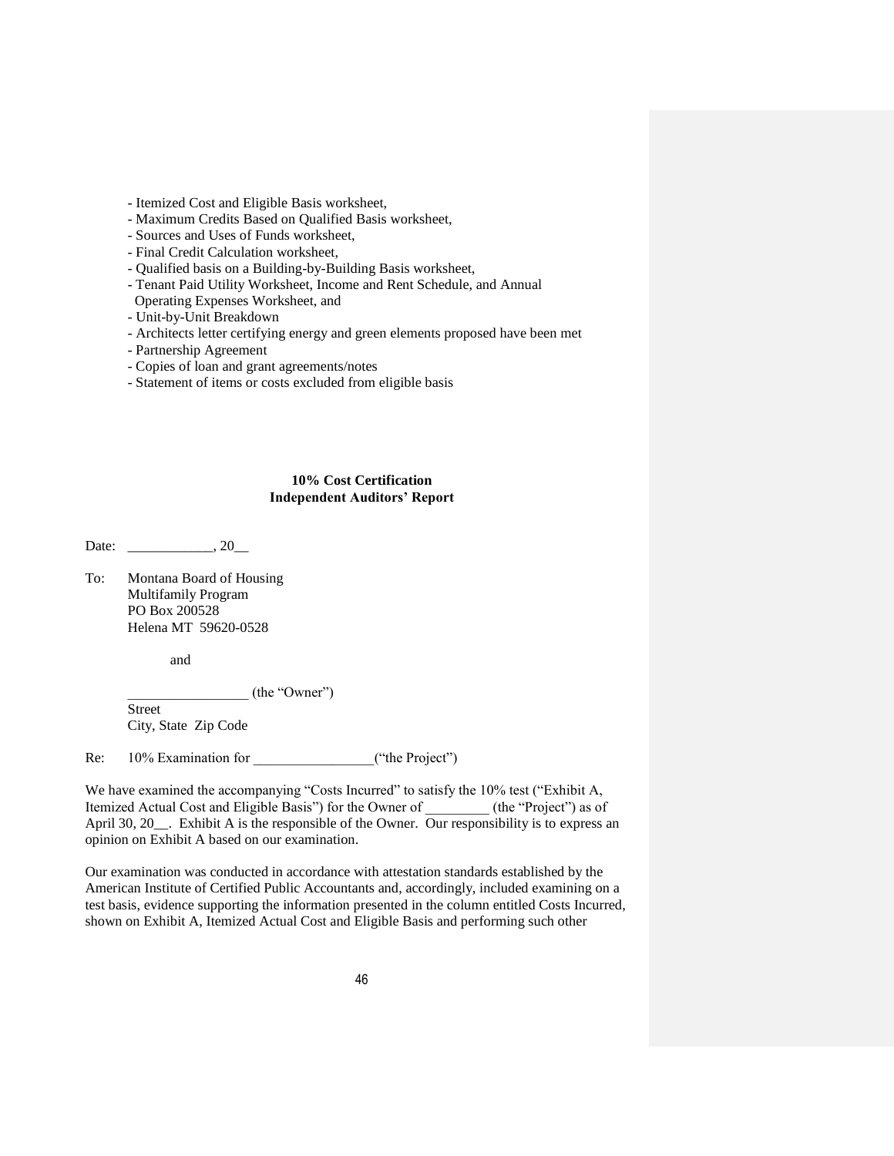- Itemized Cost and Eligible Basis worksheet,

- Maximum Credits Based on Qualified Basis worksheet,

- Sources and Uses of Funds worksheet,

- Final Credit Calculation worksheet,
- Qualified basis on a Building-by-Building Basis worksheet,
- Tenant Paid Utility Worksheet, Income and Rent Schedule, and Annual
- Operating Expenses Worksheet, and
- Unit-by-Unit Breakdown
- Architects letter certifying energy and green elements proposed have been met
- Partnership Agreement
- Copies of loan and grant agreements/notes
- Statement of items or costs excluded from eligible basis

### **10% Cost Certification Independent Auditors' Report**

Date: \_\_\_\_\_\_\_\_\_\_\_\_\_\_, 20\_\_\_\_

To: Montana Board of Housing Multifamily Program PO Box 200528 Helena MT 59620-0528

and

\_\_\_\_\_\_\_\_\_\_\_\_\_\_\_\_\_ (the "Owner")

Street City, State Zip Code

Re: 10% Examination for \_\_\_\_\_\_\_\_\_\_\_\_\_\_\_\_\_("the Project")

We have examined the accompanying "Costs Incurred" to satisfy the 10% test ("Exhibit A, Itemized Actual Cost and Eligible Basis") for the Owner of (the "Project") as of April 30, 20<sub>\_\_\_</sub>. Exhibit A is the responsible of the Owner. Our responsibility is to express an opinion on Exhibit A based on our examination.

Our examination was conducted in accordance with attestation standards established by the American Institute of Certified Public Accountants and, accordingly, included examining on a test basis, evidence supporting the information presented in the column entitled Costs Incurred, shown on Exhibit A, Itemized Actual Cost and Eligible Basis and performing such other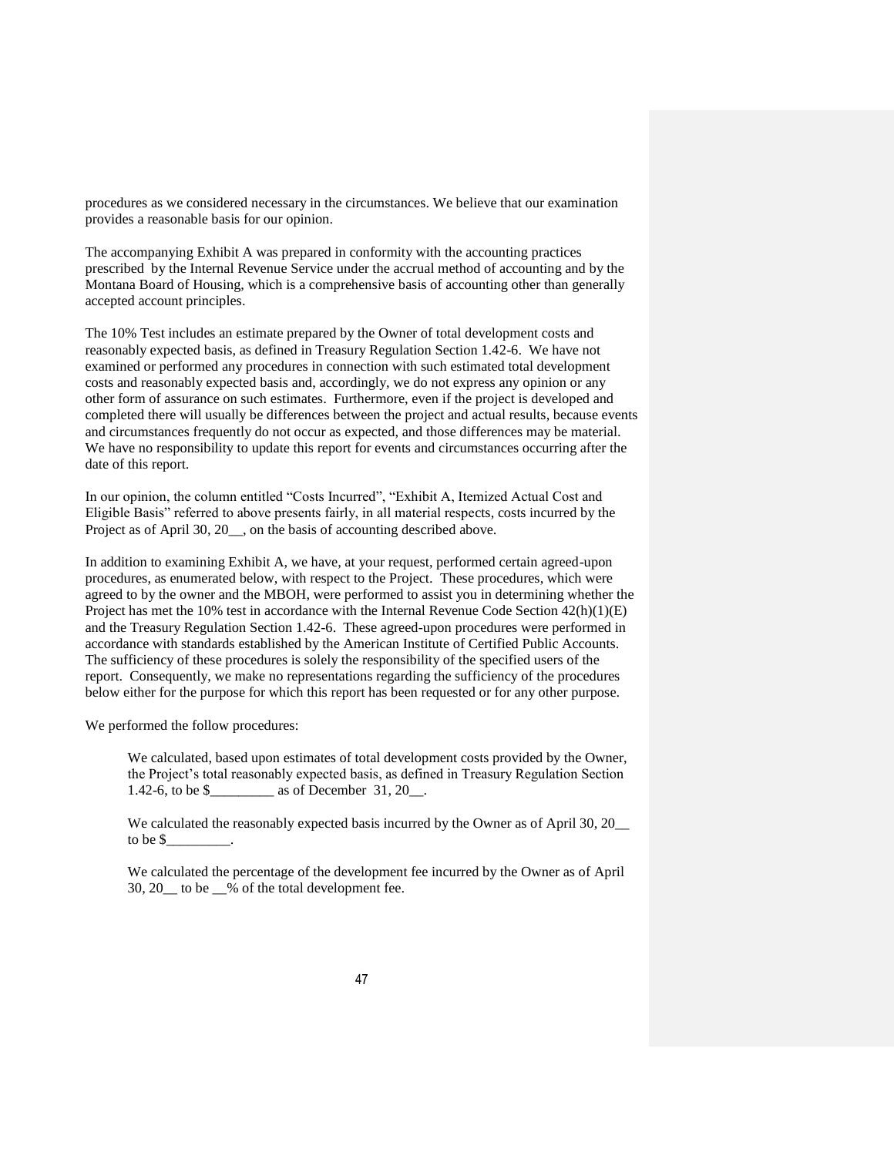procedures as we considered necessary in the circumstances. We believe that our examination provides a reasonable basis for our opinion.

The accompanying Exhibit A was prepared in conformity with the accounting practices prescribed by the Internal Revenue Service under the accrual method of accounting and by the Montana Board of Housing, which is a comprehensive basis of accounting other than generally accepted account principles.

The 10% Test includes an estimate prepared by the Owner of total development costs and reasonably expected basis, as defined in Treasury Regulation Section 1.42-6. We have not examined or performed any procedures in connection with such estimated total development costs and reasonably expected basis and, accordingly, we do not express any opinion or any other form of assurance on such estimates. Furthermore, even if the project is developed and completed there will usually be differences between the project and actual results, because events and circumstances frequently do not occur as expected, and those differences may be material. We have no responsibility to update this report for events and circumstances occurring after the date of this report.

In our opinion, the column entitled "Costs Incurred", "Exhibit A, Itemized Actual Cost and Eligible Basis" referred to above presents fairly, in all material respects, costs incurred by the Project as of April 30, 20\_\_, on the basis of accounting described above.

In addition to examining Exhibit A, we have, at your request, performed certain agreed-upon procedures, as enumerated below, with respect to the Project. These procedures, which were agreed to by the owner and the MBOH, were performed to assist you in determining whether the Project has met the 10% test in accordance with the Internal Revenue Code Section 42(h)(1)(E) and the Treasury Regulation Section 1.42-6. These agreed-upon procedures were performed in accordance with standards established by the American Institute of Certified Public Accounts. The sufficiency of these procedures is solely the responsibility of the specified users of the report. Consequently, we make no representations regarding the sufficiency of the procedures below either for the purpose for which this report has been requested or for any other purpose.

We performed the follow procedures:

We calculated, based upon estimates of total development costs provided by the Owner, the Project's total reasonably expected basis, as defined in Treasury Regulation Section 1.42-6, to be \$ as of December 31, 20.

We calculated the reasonably expected basis incurred by the Owner as of April 30, 20 to be \$\_\_\_\_\_\_\_\_\_.

We calculated the percentage of the development fee incurred by the Owner as of April 30, 20\_\_ to be \_\_% of the total development fee.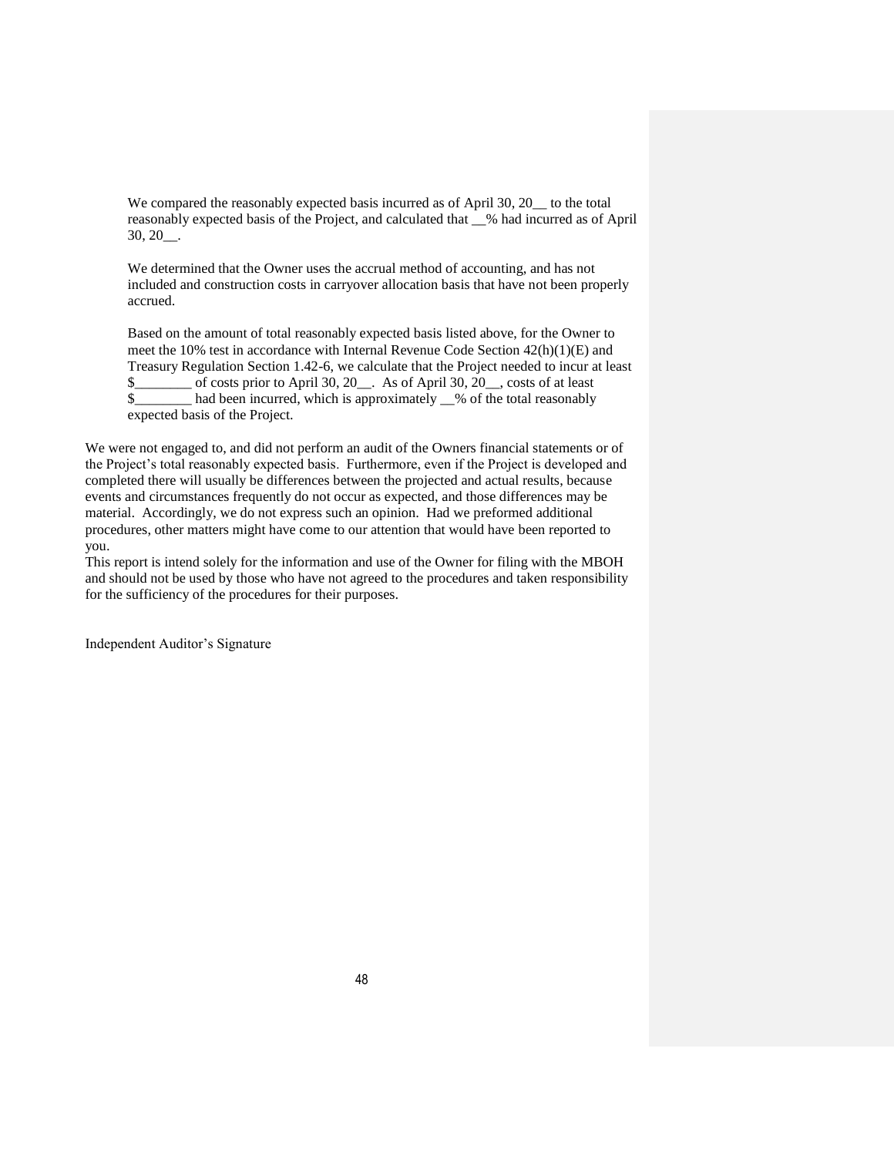We compared the reasonably expected basis incurred as of April 30, 20 to the total reasonably expected basis of the Project, and calculated that \_\_% had incurred as of April 30, 20\_\_.

We determined that the Owner uses the accrual method of accounting, and has not included and construction costs in carryover allocation basis that have not been properly accrued.

Based on the amount of total reasonably expected basis listed above, for the Owner to meet the 10% test in accordance with Internal Revenue Code Section  $42(h)(1)(E)$  and Treasury Regulation Section 1.42-6, we calculate that the Project needed to incur at least \$\_\_\_\_\_\_\_\_ of costs prior to April 30, 20\_\_. As of April 30, 20\_\_, costs of at least \$\_\_\_\_\_\_\_\_ had been incurred, which is approximately \_\_% of the total reasonably expected basis of the Project.

We were not engaged to, and did not perform an audit of the Owners financial statements or of the Project's total reasonably expected basis. Furthermore, even if the Project is developed and completed there will usually be differences between the projected and actual results, because events and circumstances frequently do not occur as expected, and those differences may be material. Accordingly, we do not express such an opinion. Had we preformed additional procedures, other matters might have come to our attention that would have been reported to you.

This report is intend solely for the information and use of the Owner for filing with the MBOH and should not be used by those who have not agreed to the procedures and taken responsibility for the sufficiency of the procedures for their purposes.

Independent Auditor's Signature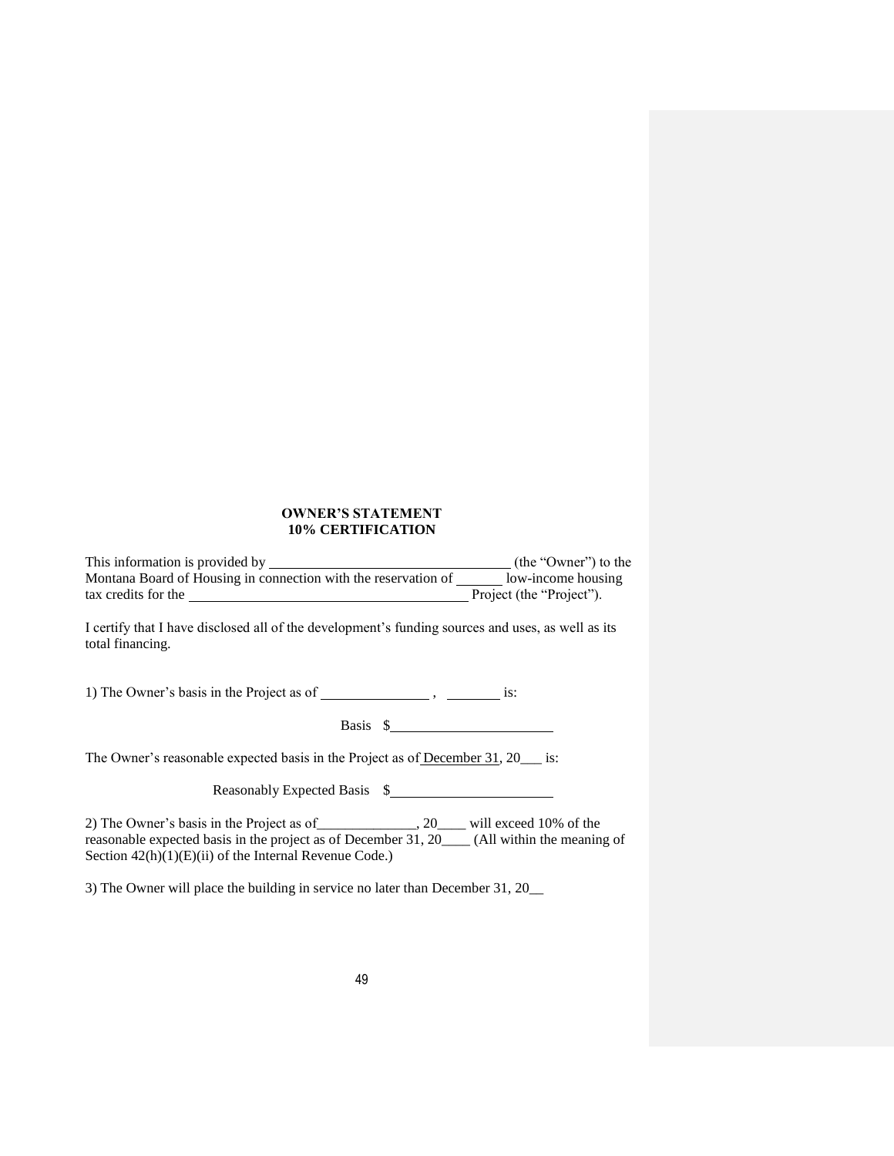### **OWNER'S STATEMENT 10% CERTIFICATION**

This information is provided by (the "Owner") to the Montana Board of Housing in connection with the reservation of  $\frac{1}{\sqrt{2\pi}}$  low-income housing tax credits for the Project'').

I certify that I have disclosed all of the development's funding sources and uses, as well as its total financing.

1) The Owner's basis in the Project as of  $\frac{1}{\sqrt{1-\frac{1}{\sqrt{1-\frac{1}{\sqrt{1-\frac{1}{\sqrt{1-\frac{1}{\sqrt{1-\frac{1}{\sqrt{1-\frac{1}{\sqrt{1-\frac{1}{\sqrt{1-\frac{1}{\sqrt{1-\frac{1}{\sqrt{1-\frac{1}{\sqrt{1-\frac{1}{\sqrt{1-\frac{1}{\sqrt{1-\frac{1}{\sqrt{1-\frac{1}{\sqrt{1-\frac{1}{\sqrt{1-\frac{1}{\sqrt{1-\frac{1}{\sqrt{1-\frac{1}{\sqrt{1-\frac{1}{\sqrt$ 

Basis  $\frac{1}{2}$ 

The Owner's reasonable expected basis in the Project as of December 31, 20\_\_\_ is:

Reasonably Expected Basis \$

2) The Owner's basis in the Project as of\_\_\_\_\_\_\_\_\_\_\_\_\_\_, 20\_\_\_\_ will exceed 10% of the reasonable expected basis in the project as of December 31, 20\_\_\_\_ (All within the meaning of Section  $42(h)(1)(E)(ii)$  of the Internal Revenue Code.)

3) The Owner will place the building in service no later than December 31, 20\_\_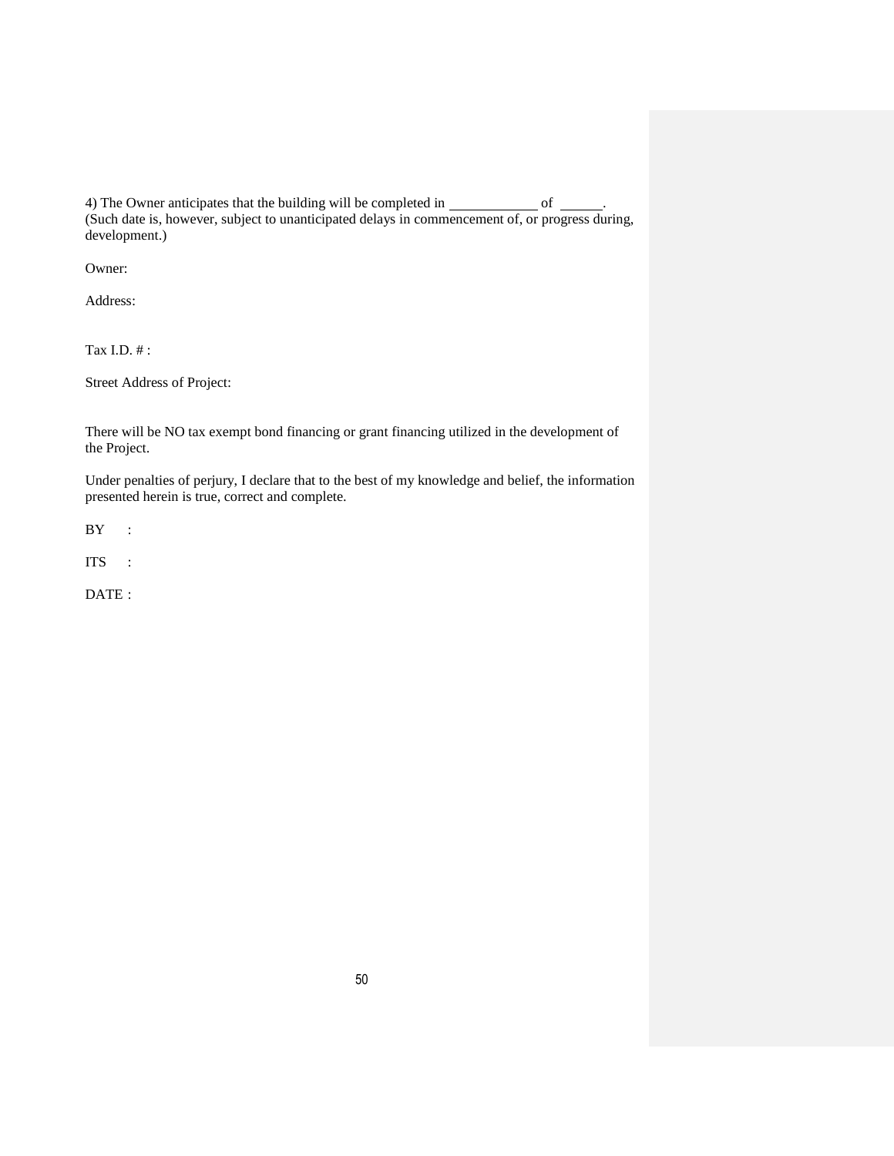4) The Owner anticipates that the building will be completed in  $\_\_\_\_\_\_\_\_\_\_$ (Such date is, however, subject to unanticipated delays in commencement of, or progress during, development.)

Owner:

Address:

Tax I.D. # :

Street Address of Project:

There will be NO tax exempt bond financing or grant financing utilized in the development of the Project.

Under penalties of perjury, I declare that to the best of my knowledge and belief, the information presented herein is true, correct and complete.

BY :

ITS :

DATE :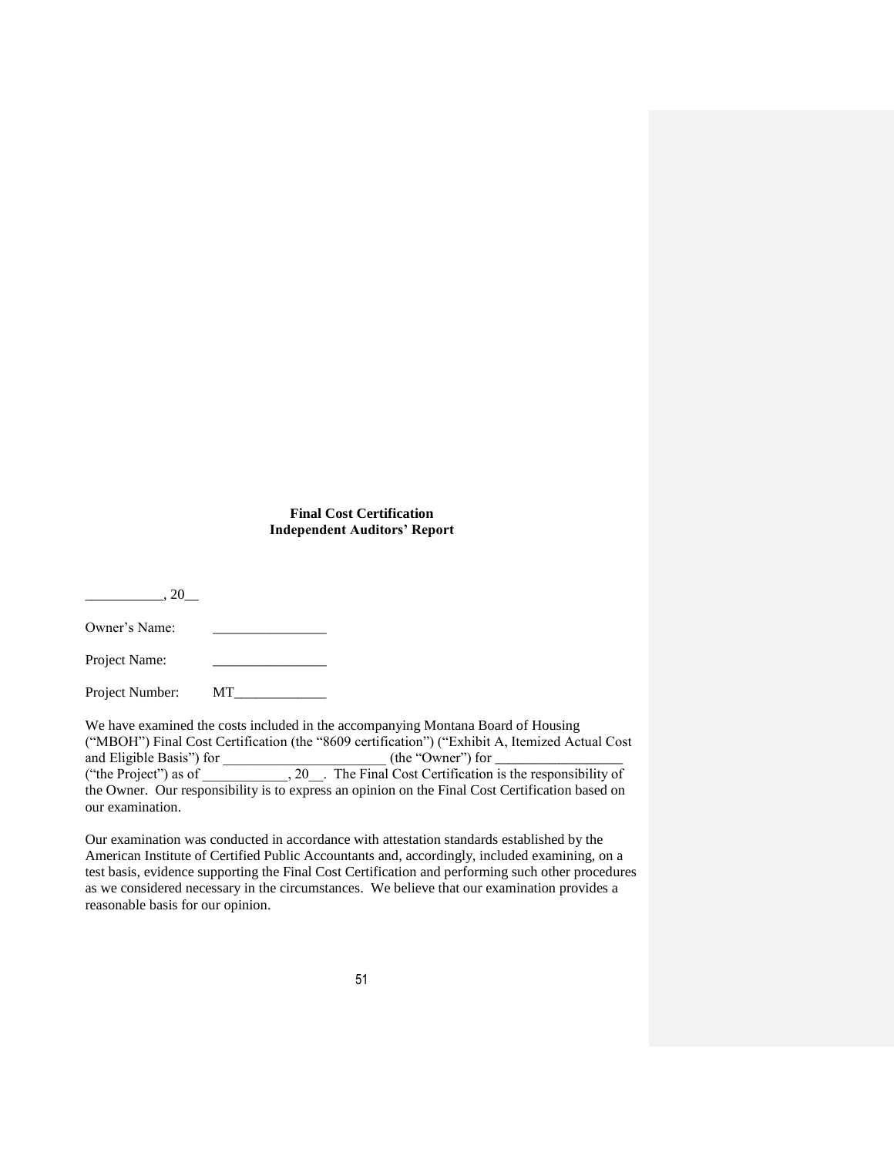# **Final Cost Certification Independent Auditors' Report**

 $.20\_$ 

Owner's Name:

Project Name:

Project Number: MT\_\_\_\_\_\_\_\_\_\_\_\_\_

We have examined the costs included in the accompanying Montana Board of Housing ("MBOH") Final Cost Certification (the "8609 certification") ("Exhibit A, Itemized Actual Cost and Eligible Basis") for \_\_\_\_\_\_\_\_\_\_\_\_\_\_\_\_\_\_\_\_\_\_\_ (the "Owner") for \_\_\_\_\_\_\_\_\_\_\_\_\_\_\_\_\_\_ ("the Project") as of  $\overline{\hspace{1cm}}$ , 20. The Final Cost Certification is the responsibility of the Owner. Our responsibility is to express an opinion on the Final Cost Certification based on our examination.

Our examination was conducted in accordance with attestation standards established by the American Institute of Certified Public Accountants and, accordingly, included examining, on a test basis, evidence supporting the Final Cost Certification and performing such other procedures as we considered necessary in the circumstances. We believe that our examination provides a reasonable basis for our opinion.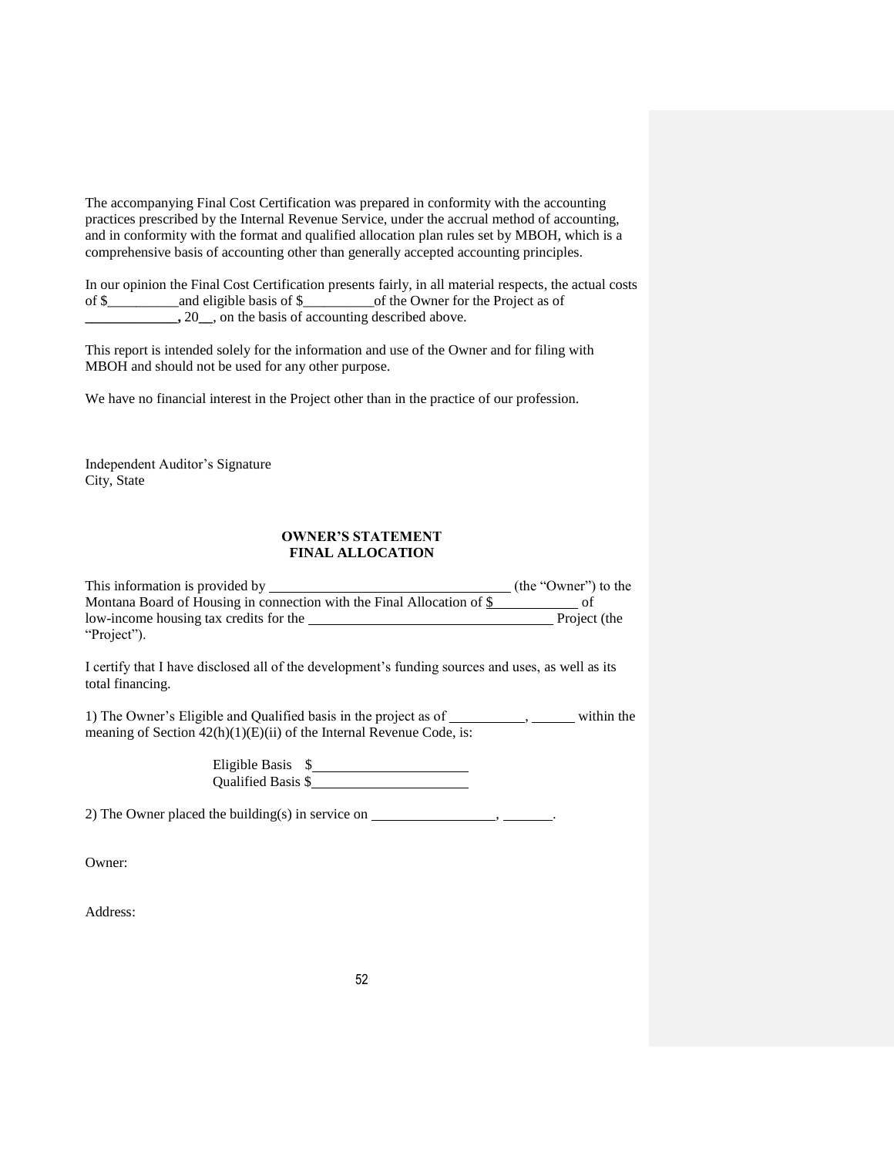The accompanying Final Cost Certification was prepared in conformity with the accounting practices prescribed by the Internal Revenue Service, under the accrual method of accounting, and in conformity with the format and qualified allocation plan rules set by MBOH, which is a comprehensive basis of accounting other than generally accepted accounting principles.

In our opinion the Final Cost Certification presents fairly, in all material respects, the actual costs of \$\_\_\_\_\_\_\_\_\_\_and eligible basis of \$\_\_\_\_\_\_\_\_\_\_of the Owner for the Project as of **\_\_\_\_\_\_\_\_\_\_\_\_\_\_\_,** 20\_\_, on the basis of accounting described above.

This report is intended solely for the information and use of the Owner and for filing with MBOH and should not be used for any other purpose.

We have no financial interest in the Project other than in the practice of our profession.

Independent Auditor's Signature City, State

#### **OWNER'S STATEMENT FINAL ALLOCATION**

This information is provided by (the "Owner") to the Montana Board of Housing in connection with the Final Allocation of  $\frac{1}{2}$  of low-income housing tax credits for the Project (the "Project").

I certify that I have disclosed all of the development's funding sources and uses, as well as its total financing.

1) The Owner's Eligible and Qualified basis in the project as of \_\_\_\_\_\_\_\_\_\_, \_\_\_\_\_\_ within the meaning of Section  $42(h)(1)(E)(ii)$  of the Internal Revenue Code, is:

> Eligible Basis \$ Qualified Basis \$

2) The Owner placed the building(s) in service on  $\_\_\_\_\_\_\_\_\_\_\_\_$ 

Owner:

Address: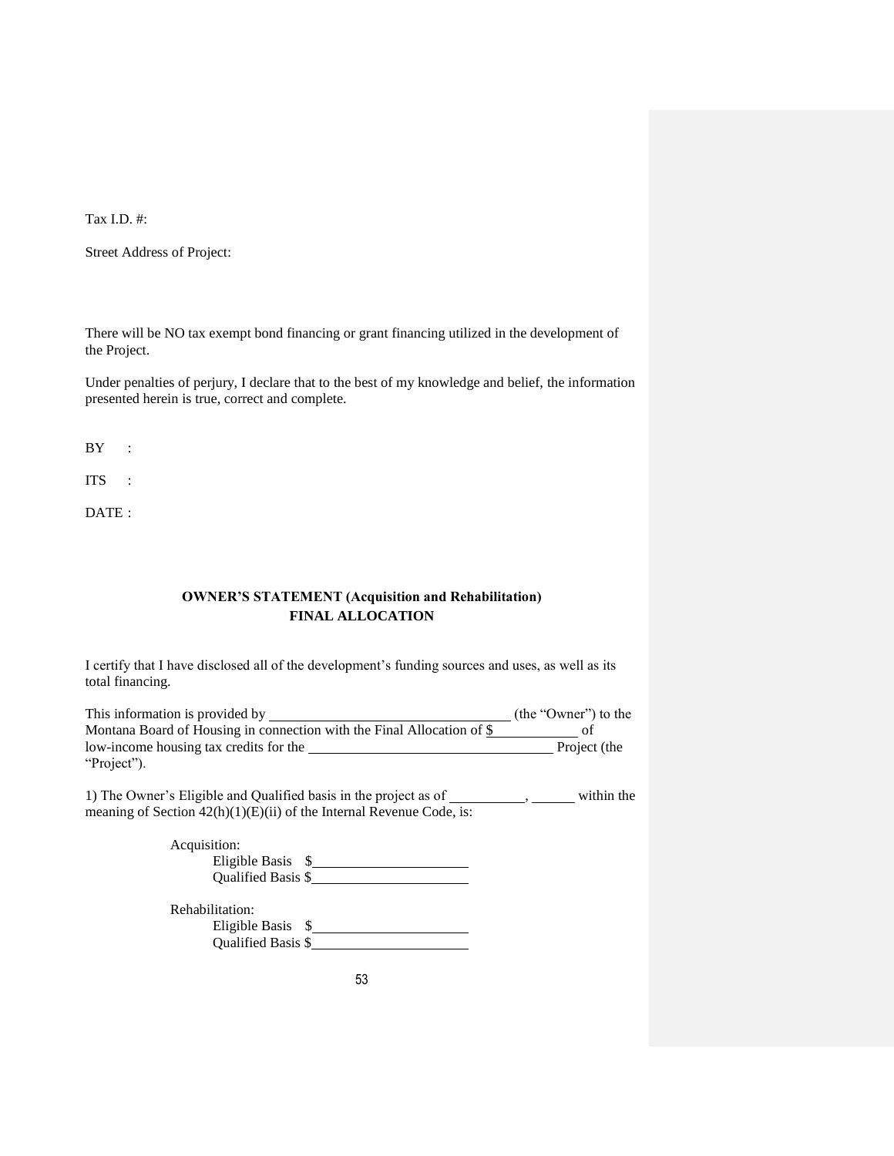Tax I.D. #:

Street Address of Project:

There will be NO tax exempt bond financing or grant financing utilized in the development of the Project.

Under penalties of perjury, I declare that to the best of my knowledge and belief, the information presented herein is true, correct and complete.

BY :

ITS :

DATE :

# **OWNER'S STATEMENT (Acquisition and Rehabilitation) FINAL ALLOCATION**

I certify that I have disclosed all of the development's funding sources and uses, as well as its total financing.

| This information is provided by                                          | (the "Owner") to the |
|--------------------------------------------------------------------------|----------------------|
| Montana Board of Housing in connection with the Final Allocation of $\S$ |                      |
| low-income housing tax credits for the                                   | Project (the         |
| "Project").                                                              |                      |

1) The Owner's Eligible and Qualified basis in the project as of  $\qquad \qquad$ , within the meaning of Section  $42(h)(1)(E)(ii)$  of the Internal Revenue Code, is:

| Acquisition:              |  |
|---------------------------|--|
| Eligible Basis            |  |
| <b>Oualified Basis \$</b> |  |
| Rehabilitation:           |  |

| Eligible Basis            |  |
|---------------------------|--|
| <b>Oualified Basis \$</b> |  |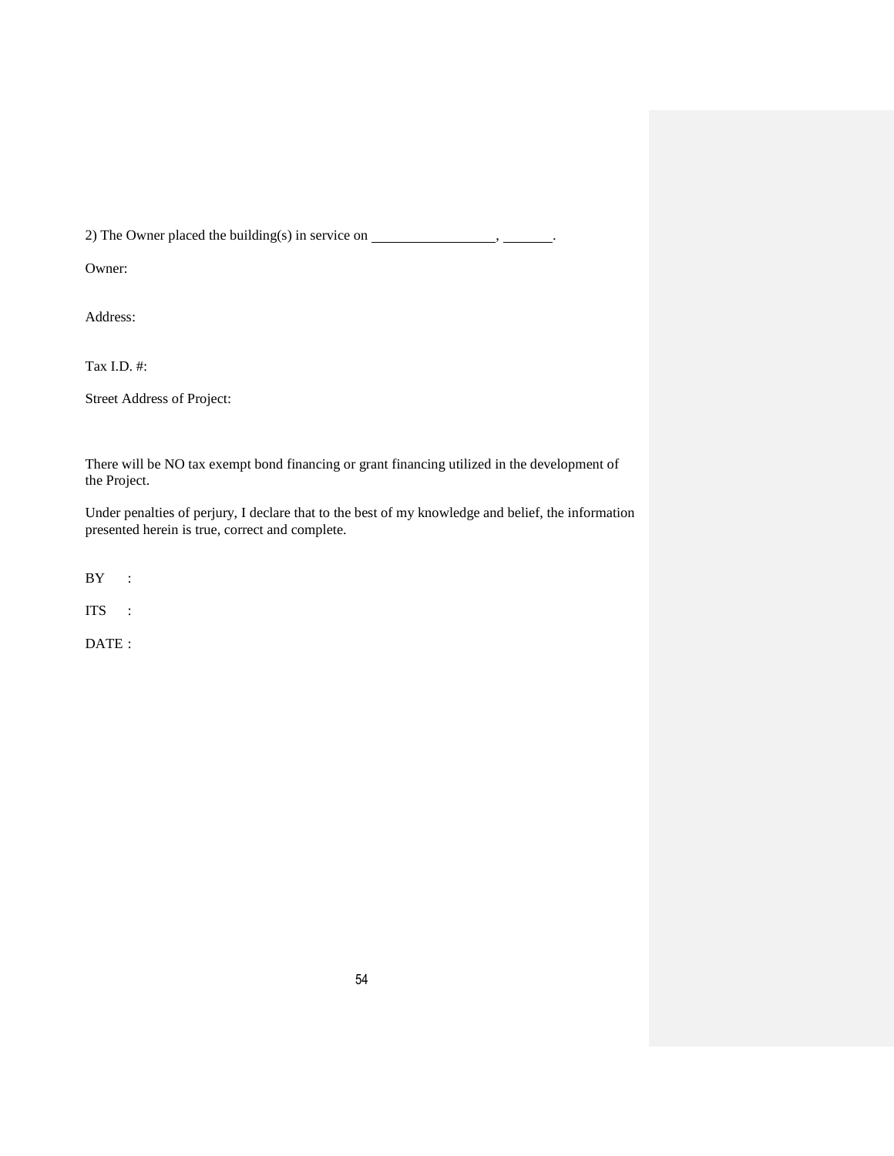2) The Owner placed the building(s) in service on  $\_\_\_\_\_\_\_\_\_\_\_$ 

Owner:

Address:

Tax I.D. #:

Street Address of Project:

There will be NO tax exempt bond financing or grant financing utilized in the development of the Project.

Under penalties of perjury, I declare that to the best of my knowledge and belief, the information presented herein is true, correct and complete.

 $BY$  :

ITS :

DATE: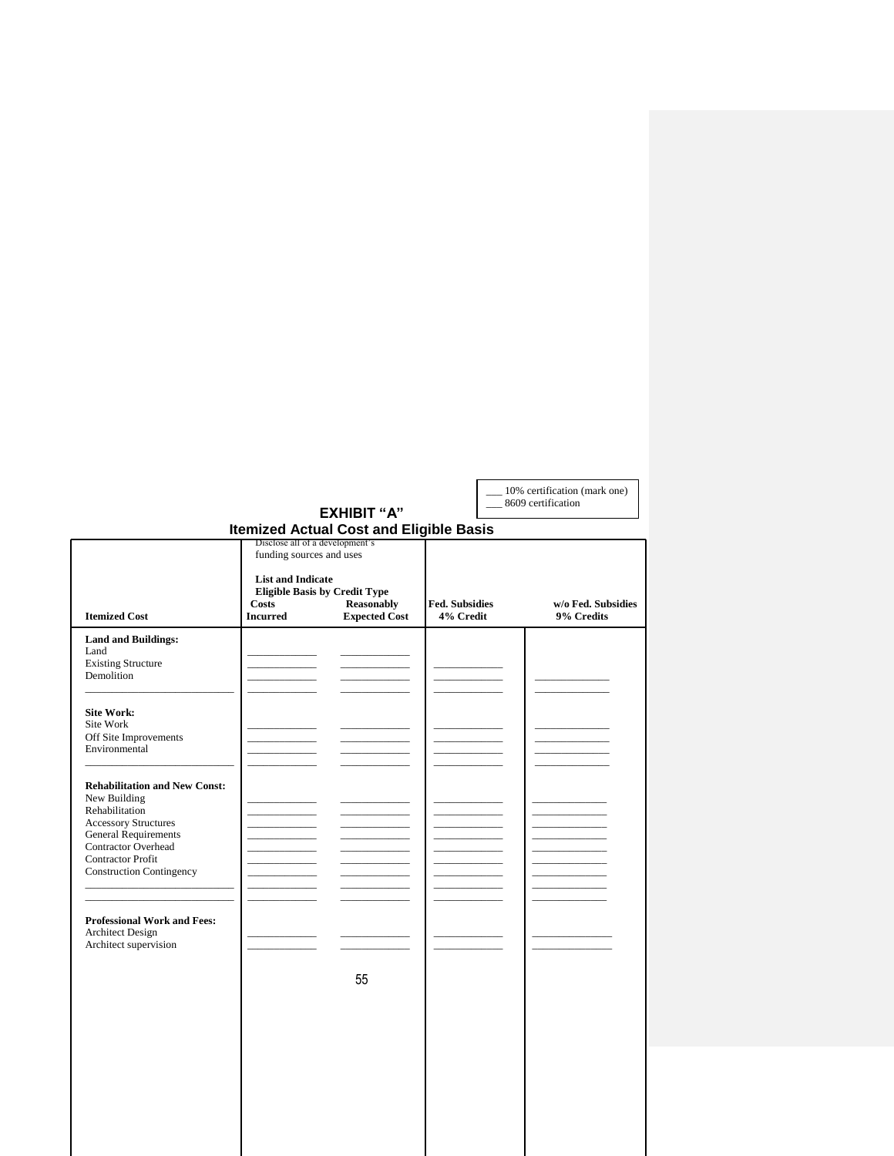| 10% certification (mark one)<br>8609 certification |
|----------------------------------------------------|
|                                                    |
|                                                    |

|                                                                                                                                                                                                                                   |  | <b>Itemized Actual Cost and Eligible Basis</b>                                                                                                                        |  |                                  |
|-----------------------------------------------------------------------------------------------------------------------------------------------------------------------------------------------------------------------------------|--|-----------------------------------------------------------------------------------------------------------------------------------------------------------------------|--|----------------------------------|
| Costs<br><b>Itemized Cost</b><br><b>Incurred</b>                                                                                                                                                                                  |  | Disclose all of a development's<br>funding sources and uses<br><b>List and Indicate</b><br><b>Eligible Basis by Credit Type</b><br>Reasonably<br><b>Expected Cost</b> |  | w/o Fed. Subsidies<br>9% Credits |
| <b>Land and Buildings:</b><br>Land<br><b>Existing Structure</b><br>Demolition                                                                                                                                                     |  |                                                                                                                                                                       |  |                                  |
| <b>Site Work:</b><br>Site Work<br>Off Site Improvements<br>Environmental                                                                                                                                                          |  |                                                                                                                                                                       |  |                                  |
| <b>Rehabilitation and New Const:</b><br>New Building<br>Rehabilitation<br><b>Accessory Structures</b><br><b>General Requirements</b><br><b>Contractor Overhead</b><br><b>Contractor Profit</b><br><b>Construction Contingency</b> |  |                                                                                                                                                                       |  |                                  |
| <b>Professional Work and Fees:</b><br><b>Architect Design</b><br>Architect supervision                                                                                                                                            |  | 55                                                                                                                                                                    |  |                                  |
|                                                                                                                                                                                                                                   |  |                                                                                                                                                                       |  |                                  |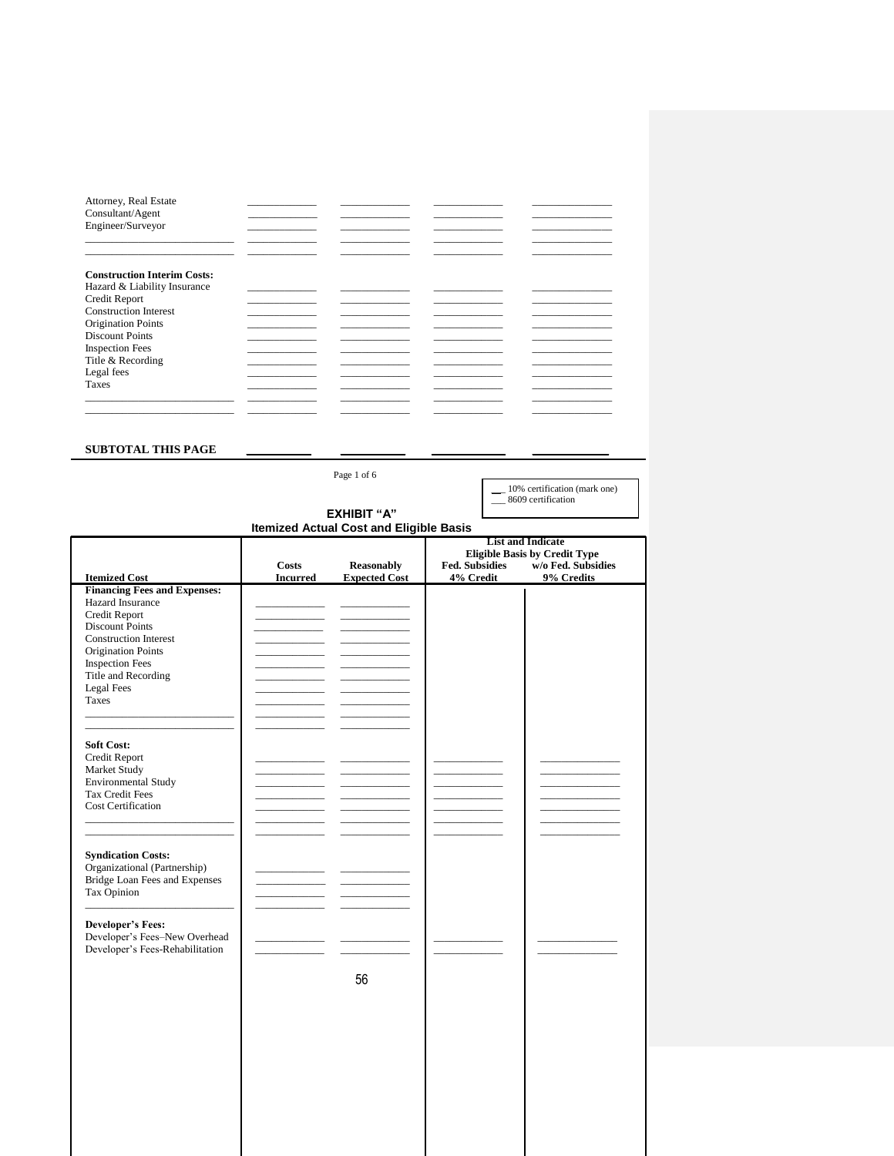| Attorney, Real Estate<br>Consultant/Agent |  |  |
|-------------------------------------------|--|--|
| Engineer/Surveyor                         |  |  |
|                                           |  |  |
|                                           |  |  |
| <b>Construction Interim Costs:</b>        |  |  |
| Hazard & Liability Insurance              |  |  |
| Credit Report                             |  |  |
| <b>Construction Interest</b>              |  |  |
| <b>Origination Points</b>                 |  |  |
| <b>Discount Points</b>                    |  |  |
| <b>Inspection Fees</b>                    |  |  |
| Title & Recording                         |  |  |
| Legal fees                                |  |  |
| <b>Taxes</b>                              |  |  |
|                                           |  |  |
|                                           |  |  |

#### SUBTOTAL THIS PAGE

Page 1 of 6 10% certification (mark one) 8609 certification **EXHIBIT "A" Itemized Actual Cost and Eligible Basis List and Indicate** Elist and material<br>Eligible Basis by Credit Type<br>Subsidies w/o Fed. Subsidies  $\mathbf{Costs}$ Reasonably Fed. Subsidies **Itemized Cost** 9% Credits **Incurred Expected Cost** 4% Credit Financing Fees and Expenses:<br>Hazard Insurance Credit Report Discount Points Construction Interest Origination Points Inspection Fees Title and Recording  ${\tt Legal\,Fees}$ Taxes **Soft Cost:** Credit Report Market Study Environmental Study Tax Credit Fees **Cost Certification Syndication Costs:** Syndration Costs.<br>
Organizational (Partnership)<br>
Bridge Loan Fees and Expenses<br>
Tax Opinion **Developer's Fees:** Developer's Fees-New Overhead<br>Developer's Fees-Rehabilitation 56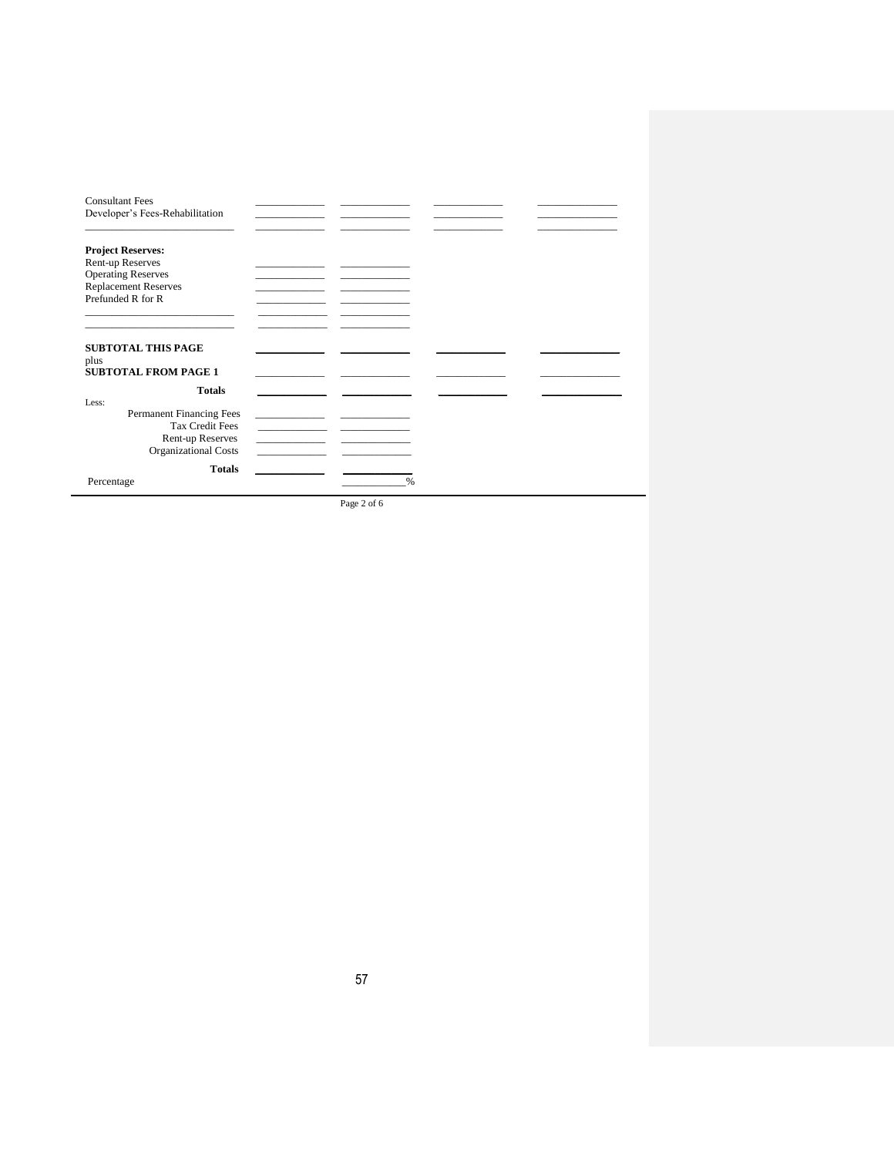| <b>Consultant Fees</b><br>Developer's Fees-Rehabilitation        |                                         |  |  |
|------------------------------------------------------------------|-----------------------------------------|--|--|
| <b>Project Reserves:</b>                                         |                                         |  |  |
| Rent-up Reserves                                                 |                                         |  |  |
| <b>Operating Reserves</b>                                        |                                         |  |  |
| <b>Replacement Reserves</b>                                      |                                         |  |  |
| Prefunded R for R                                                |                                         |  |  |
|                                                                  |                                         |  |  |
|                                                                  |                                         |  |  |
| <b>SUBTOTAL THIS PAGE</b><br>plus<br><b>SUBTOTAL FROM PAGE 1</b> |                                         |  |  |
| <b>Totals</b>                                                    |                                         |  |  |
| Less:                                                            |                                         |  |  |
| Permanent Financing Fees                                         |                                         |  |  |
| <b>Tax Credit Fees</b>                                           | <u> 1989 - Andrea Station Barbara (</u> |  |  |
| Rent-up Reserves                                                 |                                         |  |  |
|                                                                  | the control of the control of           |  |  |
| <b>Organizational Costs</b>                                      |                                         |  |  |
| <b>Totals</b>                                                    |                                         |  |  |

Page 2 of 6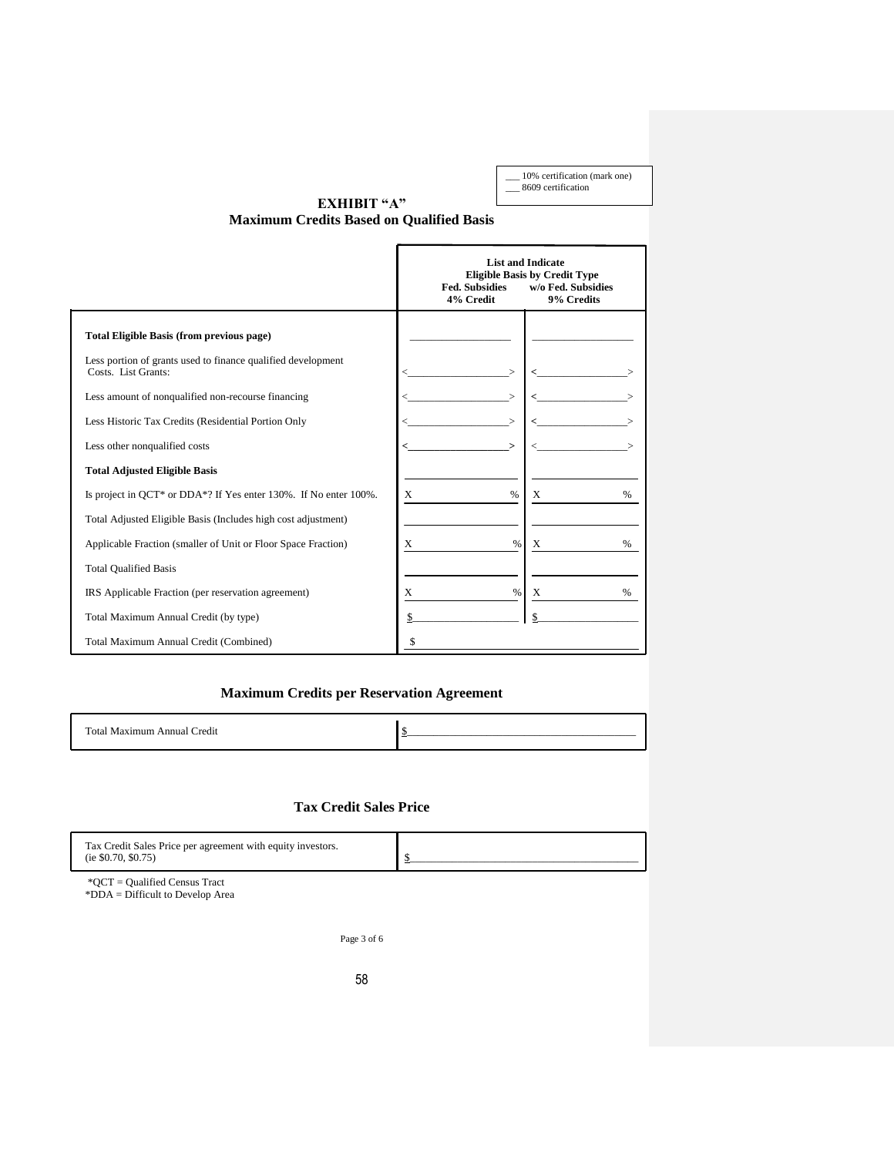\_\_\_ 10% certification (mark one) \_\_\_ 8609 certification

# **EXHIBIT "A"**

**Maximum Credits Based on Qualified Basis**

|                                                                                     | <b>List and Indicate</b><br><b>Eligible Basis by Credit Type</b><br><b>Fed. Subsidies</b><br>w/o Fed. Subsidies<br>4% Credit<br>9% Credits |                    |  |  |  |  |  |
|-------------------------------------------------------------------------------------|--------------------------------------------------------------------------------------------------------------------------------------------|--------------------|--|--|--|--|--|
| <b>Total Eligible Basis (from previous page)</b>                                    |                                                                                                                                            |                    |  |  |  |  |  |
| Less portion of grants used to finance qualified development<br>Costs. List Grants: |                                                                                                                                            |                    |  |  |  |  |  |
| Less amount of nonqualified non-recourse financing                                  |                                                                                                                                            |                    |  |  |  |  |  |
| Less Historic Tax Credits (Residential Portion Only                                 |                                                                                                                                            |                    |  |  |  |  |  |
| Less other nonqualified costs                                                       |                                                                                                                                            |                    |  |  |  |  |  |
| <b>Total Adjusted Eligible Basis</b>                                                |                                                                                                                                            |                    |  |  |  |  |  |
| Is project in QCT* or DDA*? If Yes enter 130%. If No enter 100%.                    | X<br>$\frac{0}{0}$                                                                                                                         | X<br>$\%$          |  |  |  |  |  |
| Total Adjusted Eligible Basis (Includes high cost adjustment)                       |                                                                                                                                            |                    |  |  |  |  |  |
| Applicable Fraction (smaller of Unit or Floor Space Fraction)                       | X<br>$\%$                                                                                                                                  | X<br>$\frac{0}{0}$ |  |  |  |  |  |
| <b>Total Qualified Basis</b>                                                        |                                                                                                                                            |                    |  |  |  |  |  |
| IRS Applicable Fraction (per reservation agreement)                                 | %<br>X                                                                                                                                     | %<br>X             |  |  |  |  |  |
| Total Maximum Annual Credit (by type)                                               |                                                                                                                                            |                    |  |  |  |  |  |
| Total Maximum Annual Credit (Combined)                                              | \$                                                                                                                                         |                    |  |  |  |  |  |

# **Maximum Credits per Reservation Agreement**

| `otal<br>лл<br>ור<br>. |  |
|------------------------|--|
|                        |  |

# **Tax Credit Sales Price**

| Tax Credit Sales Price per agreement with equity investors.<br>(ie \$0.70, \$0.75) |  |
|------------------------------------------------------------------------------------|--|
| $H \cap T$<br>$\sim$ $\sim$ $\sim$ $\sim$<br>Ē                                     |  |

\*QCT = Qualified Census Tract \*DDA = Difficult to Develop Area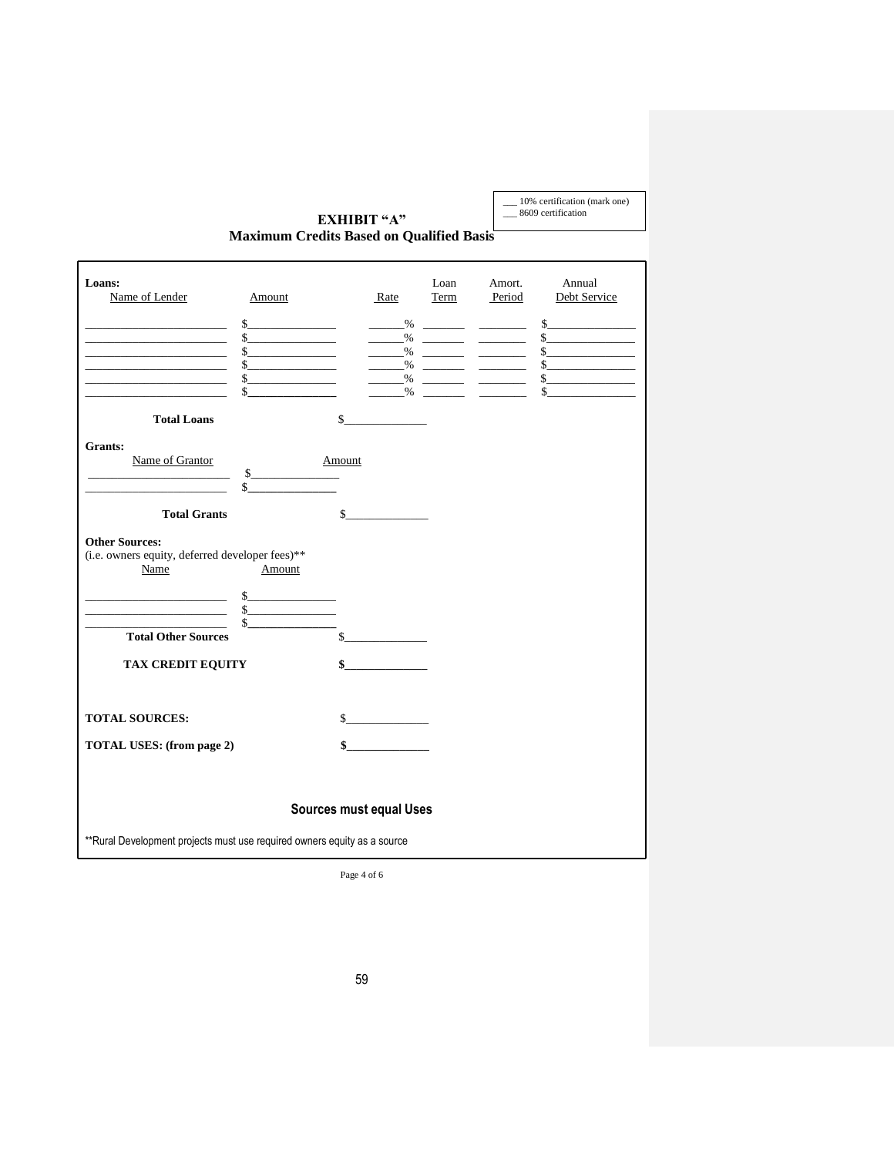\_\_\_ 10% certification (mark one) \_\_\_ 8609 certification

# **EXHIBIT "A" Maximum Credits Based on Qualified Basis**

| Loans:<br>Name of Lender<br><u> 1989 - Johann John Stone, mars and de fin de fin de fin de fin de fin de fin de fin de fin de fin de fin de f</u><br>the company of the company of the company of<br><u> 1990 - Johann Barbara, martin a</u><br><u> 1990 - Johann Stein, mars an Francisco Communication (</u><br><u> 1989 - Johann Harry Harry Harry Harry Harry Harry Harry Harry Harry Harry Harry Harry Harry Harry Harry Harry</u> | Amount<br>s<br>$\frac{\text{S}}{\text{S}}$<br>$s$<br>s<br>$s$<br>$\sim$ | Rate<br>$\frac{9}{6}$<br>$\%$ | Loan<br>Term<br>$\%$ | Amort.<br>Period<br>_______% ________ ________<br>_______% ________ ________ | Annual<br>Debt Service<br>s<br>$\sim$<br>$s$<br>s<br>$s$<br>s |  |  |  |  |
|-----------------------------------------------------------------------------------------------------------------------------------------------------------------------------------------------------------------------------------------------------------------------------------------------------------------------------------------------------------------------------------------------------------------------------------------|-------------------------------------------------------------------------|-------------------------------|----------------------|------------------------------------------------------------------------------|---------------------------------------------------------------|--|--|--|--|
| <b>Total Loans</b>                                                                                                                                                                                                                                                                                                                                                                                                                      |                                                                         | \$                            |                      |                                                                              |                                                               |  |  |  |  |
| Grants:<br>Name of Grantor                                                                                                                                                                                                                                                                                                                                                                                                              | $s$<br>$\frac{1}{2}$                                                    | Amount                        |                      |                                                                              |                                                               |  |  |  |  |
| <b>Total Grants</b>                                                                                                                                                                                                                                                                                                                                                                                                                     |                                                                         | $\mathbb{S}$                  |                      |                                                                              |                                                               |  |  |  |  |
| <b>Other Sources:</b><br>(i.e. owners equity, deferred developer fees)**<br>Name                                                                                                                                                                                                                                                                                                                                                        | Amount                                                                  |                               |                      |                                                                              |                                                               |  |  |  |  |
| <b>Total Other Sources</b>                                                                                                                                                                                                                                                                                                                                                                                                              | s<br>$s$                                                                | $\sim$                        |                      |                                                                              |                                                               |  |  |  |  |
| <b>TAX CREDIT EQUITY</b>                                                                                                                                                                                                                                                                                                                                                                                                                |                                                                         | $\sim$                        |                      |                                                                              |                                                               |  |  |  |  |
| <b>TOTAL SOURCES:</b>                                                                                                                                                                                                                                                                                                                                                                                                                   |                                                                         | $\sim$                        |                      |                                                                              |                                                               |  |  |  |  |
| <b>TOTAL USES: (from page 2)</b>                                                                                                                                                                                                                                                                                                                                                                                                        |                                                                         | $\sim$                        |                      |                                                                              |                                                               |  |  |  |  |
| <b>Sources must equal Uses</b>                                                                                                                                                                                                                                                                                                                                                                                                          |                                                                         |                               |                      |                                                                              |                                                               |  |  |  |  |
| ** Rural Development projects must use required owners equity as a source                                                                                                                                                                                                                                                                                                                                                               |                                                                         |                               |                      |                                                                              |                                                               |  |  |  |  |

Page 4 of 6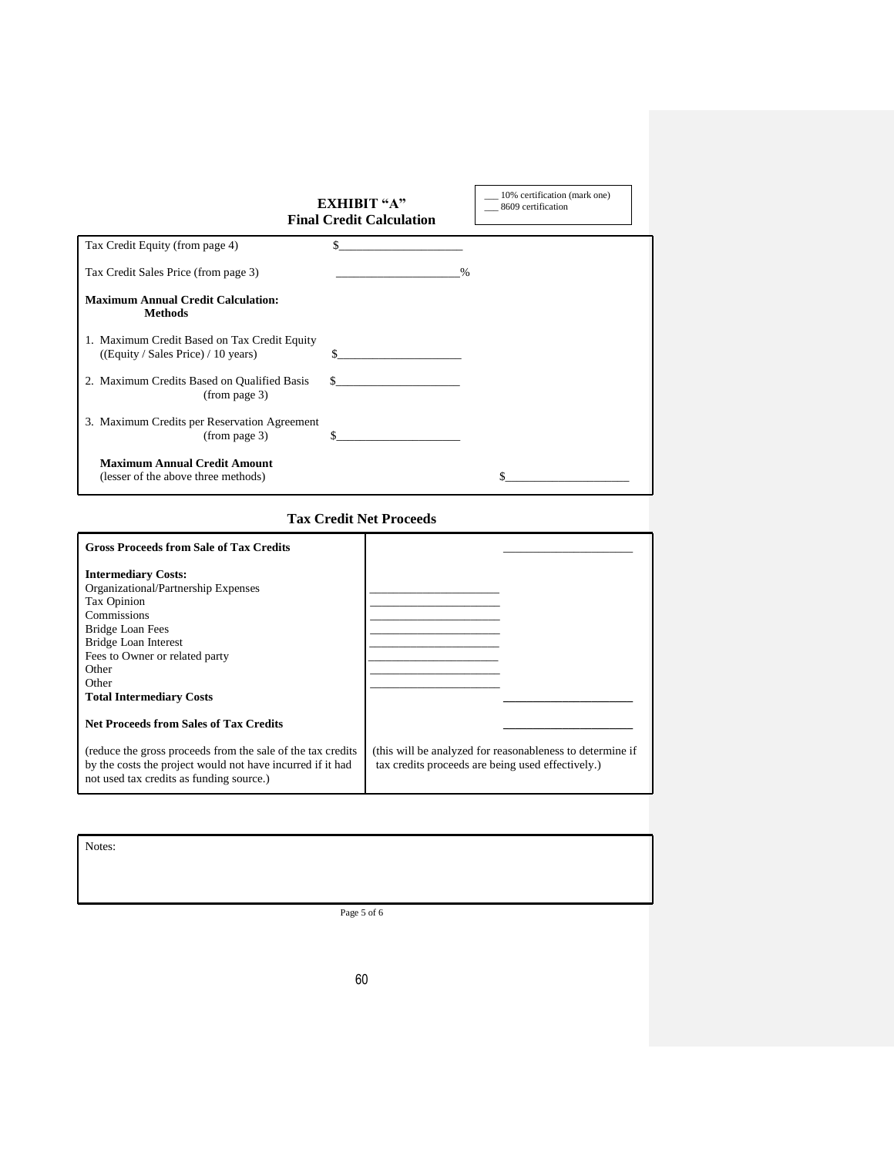|                                                                                     | EXHIBIT "A"<br><b>Final Credit Calculation</b> | 10% certification (mark one)<br>8609 certification |
|-------------------------------------------------------------------------------------|------------------------------------------------|----------------------------------------------------|
| Tax Credit Equity (from page 4)                                                     | \$                                             |                                                    |
| Tax Credit Sales Price (from page 3)                                                |                                                | $\frac{0}{0}$                                      |
| <b>Maximum Annual Credit Calculation:</b><br><b>Methods</b>                         |                                                |                                                    |
| 1. Maximum Credit Based on Tax Credit Equity<br>((Equity / Sales Price) / 10 years) |                                                |                                                    |
| 2. Maximum Credits Based on Qualified Basis<br>(from page 3)                        | S.                                             |                                                    |
| 3. Maximum Credits per Reservation Agreement<br>(from page 3)                       |                                                |                                                    |
| <b>Maximum Annual Credit Amount</b><br>(lesser of the above three methods)          |                                                |                                                    |

# **Tax Credit Net Proceeds**

| <b>Gross Proceeds from Sale of Tax Credits</b>                                                                                                                         |                                                                                                                |
|------------------------------------------------------------------------------------------------------------------------------------------------------------------------|----------------------------------------------------------------------------------------------------------------|
| <b>Intermediary Costs:</b>                                                                                                                                             |                                                                                                                |
| Organizational/Partnership Expenses                                                                                                                                    |                                                                                                                |
| Tax Opinion                                                                                                                                                            |                                                                                                                |
| Commissions                                                                                                                                                            |                                                                                                                |
| <b>Bridge Loan Fees</b>                                                                                                                                                |                                                                                                                |
| <b>Bridge Loan Interest</b>                                                                                                                                            |                                                                                                                |
| Fees to Owner or related party                                                                                                                                         |                                                                                                                |
| Other                                                                                                                                                                  |                                                                                                                |
| Other                                                                                                                                                                  |                                                                                                                |
| <b>Total Intermediary Costs</b>                                                                                                                                        |                                                                                                                |
| <b>Net Proceeds from Sales of Tax Credits</b>                                                                                                                          |                                                                                                                |
| (reduce the gross proceeds from the sale of the tax credits)<br>by the costs the project would not have incurred if it had<br>not used tax credits as funding source.) | (this will be analyzed for reasonableness to determine if<br>tax credits proceeds are being used effectively.) |

Notes:

Page 5 of 6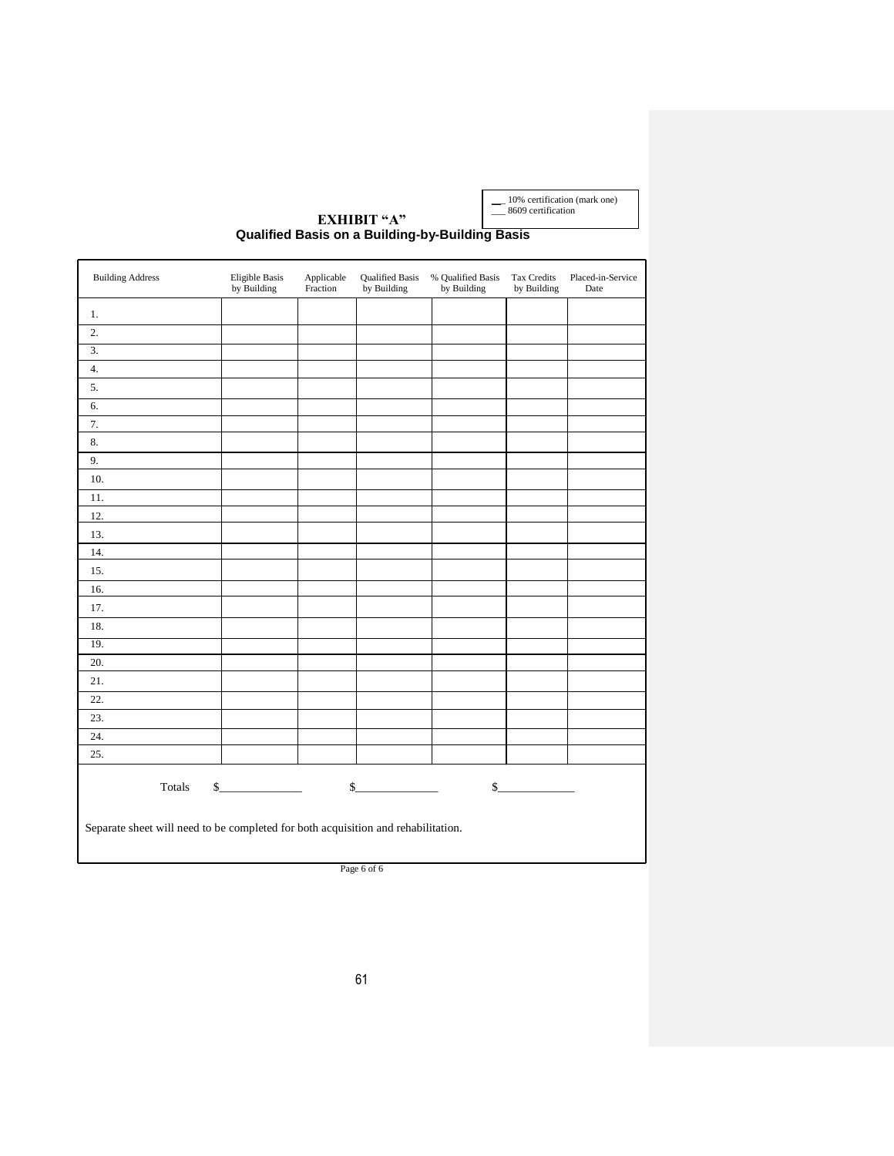\_\_\_ 10% certification (mark one) \_\_\_ 8609 certification

**EXHIBIT "A" Qualified Basis on a Building-by-Building Basis**

| <b>Building Address</b>                                                           | Eligible Basis<br>by Building | Applicable<br>Fraction | <b>Qualified Basis</b><br>by Building | % Qualified Basis<br>by Building | <b>Tax Credits</b><br>by Building | Placed-in-Service<br>Date |
|-----------------------------------------------------------------------------------|-------------------------------|------------------------|---------------------------------------|----------------------------------|-----------------------------------|---------------------------|
| 1.                                                                                |                               |                        |                                       |                                  |                                   |                           |
| 2.                                                                                |                               |                        |                                       |                                  |                                   |                           |
| $\overline{3}$ .                                                                  |                               |                        |                                       |                                  |                                   |                           |
| 4.                                                                                |                               |                        |                                       |                                  |                                   |                           |
| 5.                                                                                |                               |                        |                                       |                                  |                                   |                           |
| 6.                                                                                |                               |                        |                                       |                                  |                                   |                           |
| 7.                                                                                |                               |                        |                                       |                                  |                                   |                           |
| 8.                                                                                |                               |                        |                                       |                                  |                                   |                           |
| 9.                                                                                |                               |                        |                                       |                                  |                                   |                           |
| 10.                                                                               |                               |                        |                                       |                                  |                                   |                           |
| 11.                                                                               |                               |                        |                                       |                                  |                                   |                           |
| 12.                                                                               |                               |                        |                                       |                                  |                                   |                           |
| 13.                                                                               |                               |                        |                                       |                                  |                                   |                           |
| 14.                                                                               |                               |                        |                                       |                                  |                                   |                           |
| 15.                                                                               |                               |                        |                                       |                                  |                                   |                           |
| 16.                                                                               |                               |                        |                                       |                                  |                                   |                           |
| 17.                                                                               |                               |                        |                                       |                                  |                                   |                           |
| 18.                                                                               |                               |                        |                                       |                                  |                                   |                           |
| 19.                                                                               |                               |                        |                                       |                                  |                                   |                           |
| 20.                                                                               |                               |                        |                                       |                                  |                                   |                           |
| 21.                                                                               |                               |                        |                                       |                                  |                                   |                           |
| 22.                                                                               |                               |                        |                                       |                                  |                                   |                           |
| 23.                                                                               |                               |                        |                                       |                                  |                                   |                           |
| 24.                                                                               |                               |                        |                                       |                                  |                                   |                           |
| 25.                                                                               |                               |                        |                                       |                                  |                                   |                           |
| Totals                                                                            | s                             |                        | $\mathsf{S}_-$                        |                                  | s                                 |                           |
| Separate sheet will need to be completed for both acquisition and rehabilitation. |                               |                        |                                       |                                  |                                   |                           |

Page 6 of 6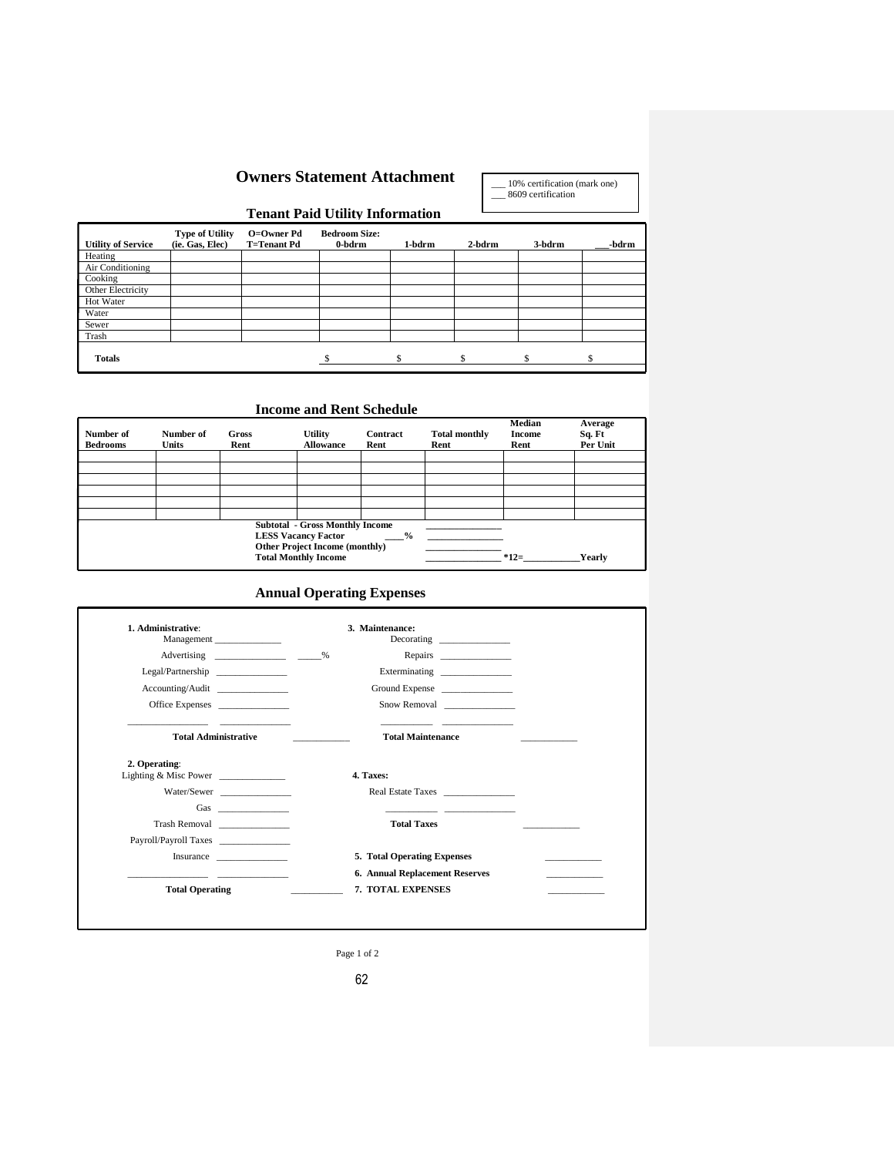# **Owners Statement Attachment**

\_\_\_ 10% certification (mark one) \_\_\_ 8609 certification

# **Tenant Paid Utility Information**

| <b>Utility of Service</b> | <b>Type of Utility</b><br>(ie. Gas, Elec) | O=Owner Pd<br><b>T=Tenant Pd</b> | <b>Bedroom Size:</b><br>0-bdrm | 1-bdrm | 2-bdrm | 3-bdrm | -bdrm |
|---------------------------|-------------------------------------------|----------------------------------|--------------------------------|--------|--------|--------|-------|
| Heating                   |                                           |                                  |                                |        |        |        |       |
| Air Conditioning          |                                           |                                  |                                |        |        |        |       |
| Cooking                   |                                           |                                  |                                |        |        |        |       |
| Other Electricity         |                                           |                                  |                                |        |        |        |       |
| Hot Water                 |                                           |                                  |                                |        |        |        |       |
| Water                     |                                           |                                  |                                |        |        |        |       |
| Sewer                     |                                           |                                  |                                |        |        |        |       |
| Trash                     |                                           |                                  |                                |        |        |        |       |
| <b>Totals</b>             |                                           |                                  |                                |        |        | ¢      |       |

# **Income and Rent Schedule**

| Number of<br><b>Bedrooms</b> | Number of<br>Units | Gross<br>Rent | <b>Utility</b><br><b>Allowance</b>                                                                                                           | Contract<br>Rent | <b>Total monthly</b><br>Rent | Median<br><b>Income</b><br>Rent | Average<br>Sq. Ft<br>Per Unit |
|------------------------------|--------------------|---------------|----------------------------------------------------------------------------------------------------------------------------------------------|------------------|------------------------------|---------------------------------|-------------------------------|
|                              |                    |               |                                                                                                                                              |                  |                              |                                 |                               |
|                              |                    |               |                                                                                                                                              |                  |                              |                                 |                               |
|                              |                    |               |                                                                                                                                              |                  |                              |                                 |                               |
|                              |                    |               |                                                                                                                                              |                  |                              |                                 |                               |
|                              |                    |               |                                                                                                                                              |                  |                              |                                 |                               |
|                              |                    |               |                                                                                                                                              |                  |                              |                                 |                               |
|                              |                    |               | <b>Subtotal - Gross Monthly Income</b><br><b>LESS Vacancy Factor</b><br><b>Other Project Income (monthly)</b><br><b>Total Monthly Income</b> | $\frac{6}{6}$    |                              | $*12=$                          | Yearly                        |

# **Annual Operating Expenses**

| 1. Administrative:<br>Management                   | 3. Maintenance:<br>Decorating ______________                                                                           |
|----------------------------------------------------|------------------------------------------------------------------------------------------------------------------------|
| Advertising ________________________________%      | Repairs                                                                                                                |
| Legal/Partnership                                  | Exterminating                                                                                                          |
| Accounting/Audit                                   | Ground Expense                                                                                                         |
| Office Expenses                                    | Snow Removal                                                                                                           |
| <b>Total Administrative</b>                        | <b>Total Maintenance</b>                                                                                               |
| 2. Operating:<br>Lighting & Misc Power             | 4. Taxes:                                                                                                              |
| Water/Sewer                                        | Real Estate Taxes                                                                                                      |
|                                                    | <u> 1989 - Johann John Harry Harry Harry Harry Harry Harry Harry Harry Harry Harry Harry Harry Harry Harry Harry H</u> |
| Trash Removal                                      | <b>Total Taxes</b>                                                                                                     |
| Payroll/Payroll Taxes                              |                                                                                                                        |
|                                                    |                                                                                                                        |
| Insurance                                          | 5. Total Operating Expenses                                                                                            |
| <u> 1989 - John Stein, Amerikaansk politiker (</u> | <b>6. Annual Replacement Reserves</b>                                                                                  |

Page 1 of 2